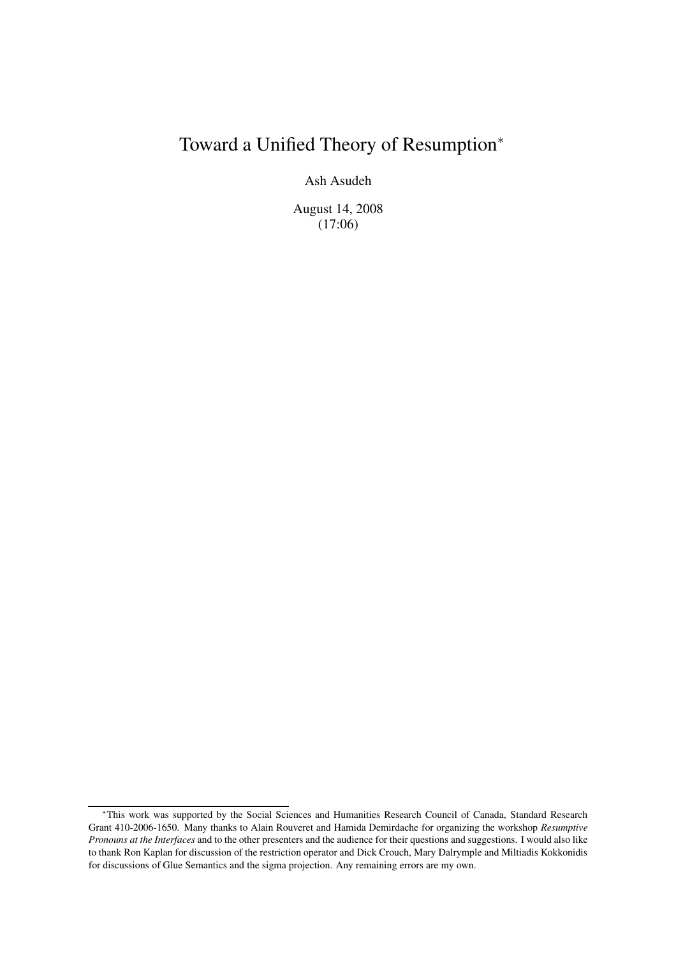# Toward a Unified Theory of Resumption<sup>∗</sup>

Ash Asudeh

August 14, 2008 (17:06)

<sup>∗</sup>This work was supported by the Social Sciences and Humanities Research Council of Canada, Standard Research Grant 410-2006-1650. Many thanks to Alain Rouveret and Hamida Demirdache for organizing the workshop *Resumptive Pronouns at the Interfaces* and to the other presenters and the audience for their questions and suggestions. I would also like to thank Ron Kaplan for discussion of the restriction operator and Dick Crouch, Mary Dalrymple and Miltiadis Kokkonidis for discussions of Glue Semantics and the sigma projection. Any remaining errors are my own.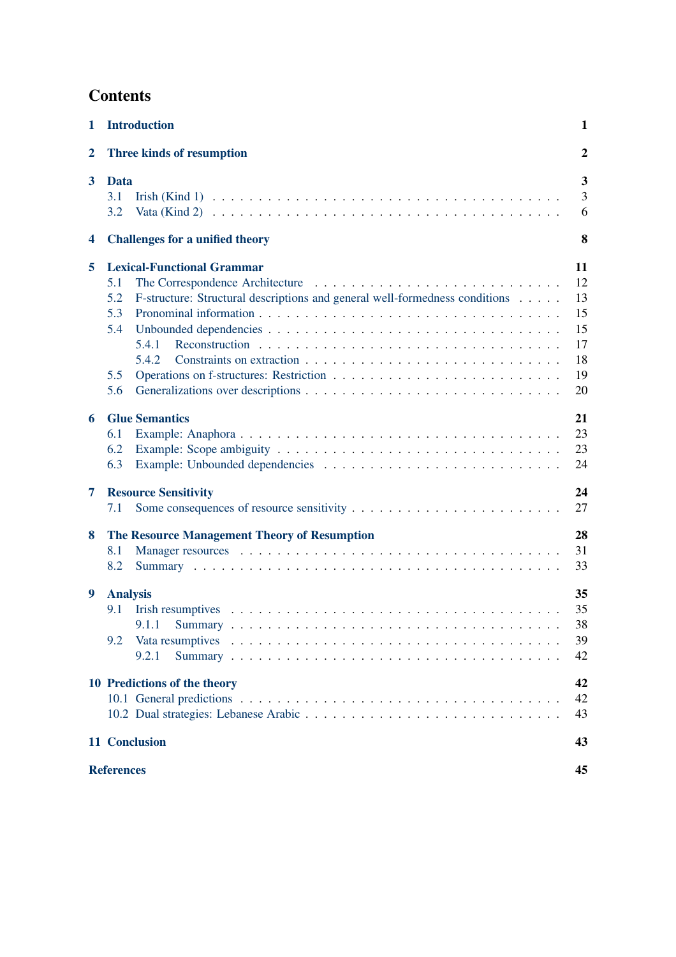## **Contents**

| 1              | <b>Introduction</b><br>1                                                                                                                                                     |                                                    |  |  |  |  |
|----------------|------------------------------------------------------------------------------------------------------------------------------------------------------------------------------|----------------------------------------------------|--|--|--|--|
| $\overline{2}$ | <b>Three kinds of resumption</b>                                                                                                                                             |                                                    |  |  |  |  |
| 3              | <b>Data</b><br>3.1<br>3.2                                                                                                                                                    | 3<br>$\overline{3}$<br>6                           |  |  |  |  |
| 4              | <b>Challenges for a unified theory</b>                                                                                                                                       | 8                                                  |  |  |  |  |
| 5              | <b>Lexical-Functional Grammar</b><br>5.1<br>F-structure: Structural descriptions and general well-formedness conditions<br>5.2<br>5.3<br>5.4<br>5.4.1<br>5.4.2<br>5.5<br>5.6 | 11<br>12<br>13<br>15<br>15<br>17<br>18<br>19<br>20 |  |  |  |  |
| 6              | <b>Glue Semantics</b><br>6.1<br>6.2<br>6.3                                                                                                                                   | 21<br>23<br>23<br>24                               |  |  |  |  |
| 7              | <b>Resource Sensitivity</b><br>7.1                                                                                                                                           | 24<br>27                                           |  |  |  |  |
| 8              | The Resource Management Theory of Resumption<br>8.1<br>8.2                                                                                                                   | 28<br>31<br>33                                     |  |  |  |  |
| 9              | <b>Analysis</b><br>9.1<br>9.2<br>9.2.1                                                                                                                                       | 35<br>35<br>38<br>39<br>42                         |  |  |  |  |
|                | 10 Predictions of the theory                                                                                                                                                 | 42<br>42<br>43                                     |  |  |  |  |
|                | 11 Conclusion                                                                                                                                                                | 43                                                 |  |  |  |  |
|                | <b>References</b>                                                                                                                                                            | 45                                                 |  |  |  |  |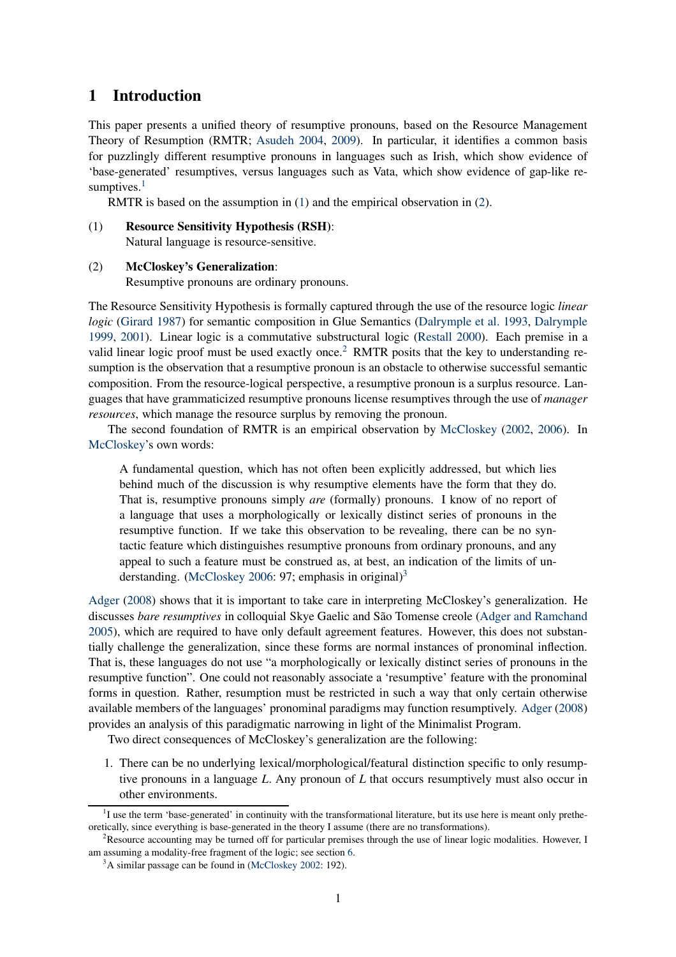## <span id="page-2-0"></span>**1 Introduction**

This paper presents a unified theory of resumptive pronouns, based on the Resource Management Theory of Resumption (RMTR; [Asudeh 2004,](#page-46-0) [2009](#page-46-1)). In particular, it identifies a common basis for puzzlingly different resumptive pronouns in languages such as Irish, which show evidence of 'base-generated' resumptives, versus languages such as Vata, which show evidence of gap-like resumptives. $<sup>1</sup>$  $<sup>1</sup>$  $<sup>1</sup>$ </sup>

RMTR is based on the assumption in [\(1\)](#page-2-2) and the empirical observation in [\(2\)](#page-2-3).

<span id="page-2-3"></span><span id="page-2-2"></span>(1) **Resource Sensitivity Hypothesis (RSH)**:

Natural language is resource-sensitive.

#### (2) **McCloskey's Generalization**:

Resumptive pronouns are ordinary pronouns.

The Resource Sensitivity Hypothesis is formally captured through the use of the resource logic *linear logic* [\(Girard 1987\)](#page-49-0) for semantic composition in Glue Semantics [\(Dalrymple et al. 1993,](#page-48-0) [Dalrymple](#page-47-0) [1999,](#page-47-0) [2001\)](#page-47-1). Linear logic is a commutative substructural logic [\(Restall 2000](#page-52-0)). Each premise in a valid linear logic proof must be used exactly once.<sup>[2](#page-2-4)</sup> RMTR posits that the key to understanding resumption is the observation that a resumptive pronoun is an obstacle to otherwise successful semantic composition. From the resource-logical perspective, a resumptive pronoun is a surplus resource. Languages that have grammaticized resumptive pronouns license resumptives through the use of *manager resources*, which manage the resource surplus by removing the pronoun.

The second foundation of RMTR is an empirical observation by [McCloskey](#page-51-0) [\(2002,](#page-51-0) [2006](#page-51-1)). In [McCloskey'](#page-51-0)s own words:

A fundamental question, which has not often been explicitly addressed, but which lies behind much of the discussion is why resumptive elements have the form that they do. That is, resumptive pronouns simply *are* (formally) pronouns. I know of no report of a language that uses a morphologically or lexically distinct series of pronouns in the resumptive function. If we take this observation to be revealing, there can be no syntactic feature which distinguishes resumptive pronouns from ordinary pronouns, and any appeal to such a feature must be construed as, at best, an indication of the limits of un-derstanding. [\(McCloskey 2006](#page-51-1): 97; emphasis in original)<sup>[3](#page-2-5)</sup>

Adger [\(2008\)](#page-46-2) shows that it is important to take care in interpreting McCloskey's generalization. He discusses *bare resumptives* in colloquial Skye Gaelic and S˜ao Tomense creole [\(Adger and Ramchand](#page-46-3) [2005\)](#page-46-3), which are required to have only default agreement features. However, this does not substantially challenge the generalization, since these forms are normal instances of pronominal inflection. That is, these languages do not use "a morphologically or lexically distinct series of pronouns in the resumptive function". One could not reasonably associate a 'resumptive' feature with the pronominal forms in question. Rather, resumption must be restricted in such a way that only certain otherwise available members of the languages' pronominal paradigms may function resumptively. [Adger](#page-46-2) [\(2008](#page-46-2)) provides an analysis of this paradigmatic narrowing in light of the Minimalist Program.

Two direct consequences of McCloskey's generalization are the following:

<span id="page-2-6"></span>1. There can be no underlying lexical/morphological/featural distinction specific to only resumptive pronouns in a language *L*. Any pronoun of *L* that occurs resumptively must also occur in other environments.

<span id="page-2-1"></span> $1<sup>1</sup>$  use the term 'base-generated' in continuity with the transformational literature, but its use here is meant only pretheoretically, since everything is base-generated in the theory I assume (there are no transformations).

<span id="page-2-5"></span><span id="page-2-4"></span><sup>&</sup>lt;sup>2</sup>Resource accounting may be turned off for particular premises through the use of linear logic modalities. However, I am assuming a modality-free fragment of the logic; see section [6.](#page-22-0)

<sup>&</sup>lt;sup>3</sup>A similar passage can be found in [\(McCloskey 2002](#page-51-0): 192).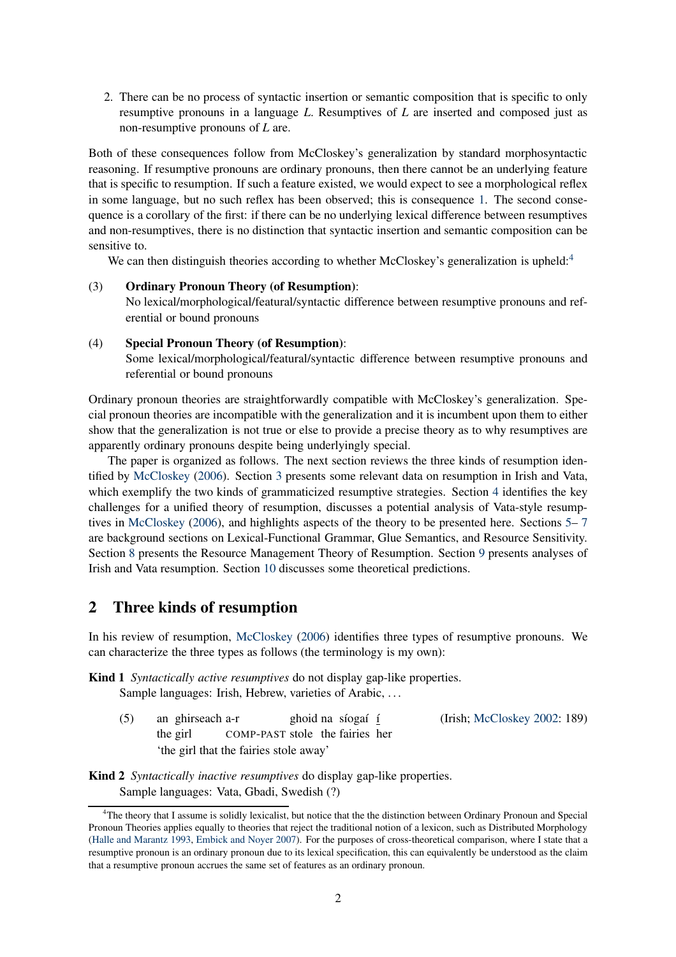2. There can be no process of syntactic insertion or semantic composition that is specific to only resumptive pronouns in a language *L*. Resumptives of *L* are inserted and composed just as non-resumptive pronouns of *L* are.

Both of these consequences follow from McCloskey's generalization by standard morphosyntactic reasoning. If resumptive pronouns are ordinary pronouns, then there cannot be an underlying feature that is specific to resumption. If such a feature existed, we would expect to see a morphological reflex in some language, but no such reflex has been observed; this is consequence [1.](#page-2-6) The second consequence is a corollary of the first: if there can be no underlying lexical difference between resumptives and non-resumptives, there is no distinction that syntactic insertion and semantic composition can be sensitive to.

We can then distinguish theories according to whether McCloskey's generalization is upheld:<sup>[4](#page-3-1)</sup>

(3) **Ordinary Pronoun Theory (of Resumption)**: No lexical/morphological/featural/syntactic difference between resumptive pronouns and referential or bound pronouns

#### (4) **Special Pronoun Theory (of Resumption)**:

Some lexical/morphological/featural/syntactic difference between resumptive pronouns and referential or bound pronouns

Ordinary pronoun theories are straightforwardly compatible with McCloskey's generalization. Special pronoun theories are incompatible with the generalization and it is incumbent upon them to either show that the generalization is not true or else to provide a precise theory as to why resumptives are apparently ordinary pronouns despite being underlyingly special.

The paper is organized as follows. The next section reviews the three kinds of resumption identified by [McCloskey](#page-51-1) [\(2006\)](#page-51-1). Section [3](#page-4-0) presents some relevant data on resumption in Irish and Vata, which exemplify the two kinds of grammaticized resumptive strategies. Section [4](#page-9-0) identifies the key challenges for a unified theory of resumption, discusses a potential analysis of Vata-style resumptives in [McCloskey](#page-51-1) [\(2006](#page-51-1)), and highlights aspects of the theory to be presented here. Sections [5–](#page-12-0) [7](#page-25-1) are background sections on Lexical-Functional Grammar, Glue Semantics, and Resource Sensitivity. Section [8](#page-29-0) presents the Resource Management Theory of Resumption. Section [9](#page-36-0) presents analyses of Irish and Vata resumption. Section [10](#page-43-1) discusses some theoretical predictions.

## <span id="page-3-0"></span>**2 Three kinds of resumption**

In his review of resumption, [McCloskey](#page-51-1) [\(2006\)](#page-51-1) identifies three types of resumptive pronouns. We can characterize the three types as follows (the terminology is my own):

**Kind 1** *Syntactically active resumptives* do not display gap-like properties. Sample languages: Irish, Hebrew, varieties of Arabic, ...

 $(5)$ the girl ghirseach a-r COMP-PAST stole the fairies her ghoid na síogaí <u>í</u> 'the girl that the fairies stole away'

(Irish; [McCloskey 2002](#page-51-0): 189)

**Kind 2** *Syntactically inactive resumptives* do display gap-like properties. Sample languages: Vata, Gbadi, Swedish (?)

<span id="page-3-1"></span><sup>4</sup>The theory that I assume is solidly lexicalist, but notice that the the distinction between Ordinary Pronoun and Special Pronoun Theories applies equally to theories that reject the traditional notion of a lexicon, such as Distributed Morphology [\(Halle and Marantz 1993](#page-49-1), [Embick and Noyer 2007\)](#page-48-1). For the purposes of cross-theoretical comparison, where I state that a resumptive pronoun is an ordinary pronoun due to its lexical specification, this can equivalently be understood as the claim that a resumptive pronoun accrues the same set of features as an ordinary pronoun.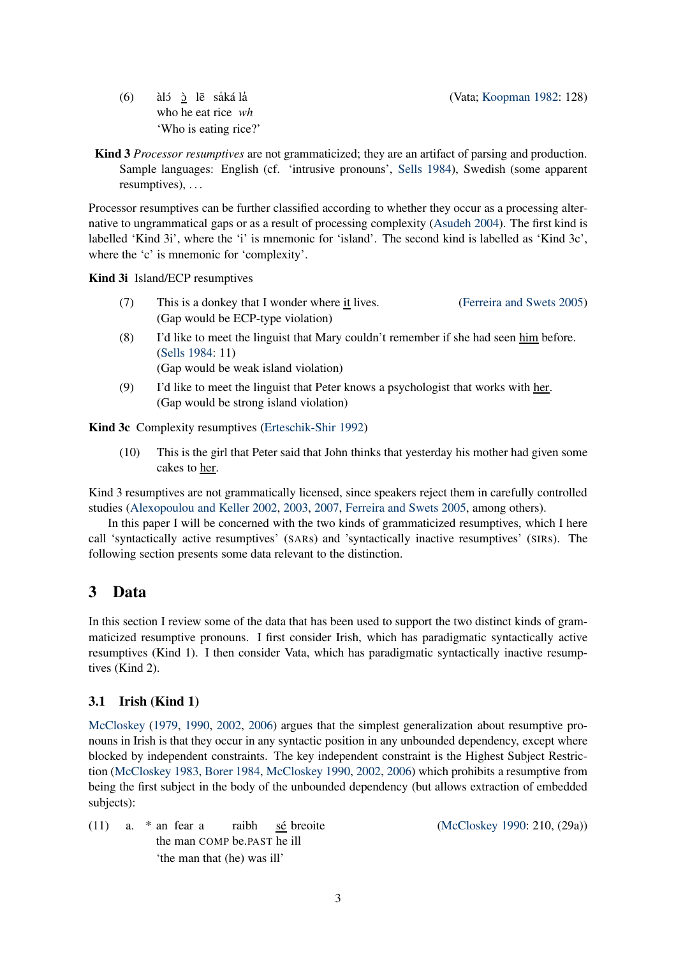- $(6)$  àló  $\frac{\partial}{\partial}$  lē saká la who he eat rice *wh* 'Who is eating rice?'
- **Kind 3** *Processor resumptives* are not grammaticized; they are an artifact of parsing and production. Sample languages: English (cf. 'intrusive pronouns', [Sells 1984](#page-52-1)), Swedish (some apparent resumptives), ...

Processor resumptives can be further classified according to whether they occur as a processing alternative to ungrammatical gaps or as a result of processing complexity [\(Asudeh 2004](#page-46-0)). The first kind is labelled 'Kind 3i', where the 'i' is mnemonic for 'island'. The second kind is labelled as 'Kind 3c', where the 'c' is mnemonic for 'complexity'.

**Kind 3i** Island/ECP resumptives

- (7) This is a donkey that I wonder where it lives. [\(Ferreira and Swets 2005](#page-48-2)) (Gap would be ECP-type violation)
- (8) I'd like to meet the linguist that Mary couldn't remember if she had seen him before. [\(Sells 1984](#page-52-1): 11) (Gap would be weak island violation)
- (9) I'd like to meet the linguist that Peter knows a psychologist that works with her. (Gap would be strong island violation)

**Kind 3c** Complexity resumptives [\(Erteschik-Shir 1992](#page-48-3))

(10) This is the girl that Peter said that John thinks that yesterday his mother had given some cakes to her.

Kind 3 resumptives are not grammatically licensed, since speakers reject them in carefully controlled studies [\(Alexopoulou and Keller 2002,](#page-46-4) [2003](#page-46-5), [2007](#page-46-6), [Ferreira and Swets 2005](#page-48-2), among others).

In this paper I will be concerned with the two kinds of grammaticized resumptives, which I here call 'syntactically active resumptives' (SARs) and 'syntactically inactive resumptives' (SIRs). The following section presents some data relevant to the distinction.

## <span id="page-4-0"></span>**3 Data**

In this section I review some of the data that has been used to support the two distinct kinds of grammaticized resumptive pronouns. I first consider Irish, which has paradigmatic syntactically active resumptives (Kind 1). I then consider Vata, which has paradigmatic syntactically inactive resumptives (Kind 2).

## <span id="page-4-1"></span>**3.1 Irish (Kind 1)**

McCloskey [\(1979](#page-51-2), [1990](#page-51-3), [2002](#page-51-0), [2006](#page-51-1)) argues that the simplest generalization about resumptive pronouns in Irish is that they occur in any syntactic position in any unbounded dependency, except where blocked by independent constraints. The key independent constraint is the Highest Subject Restriction [\(McCloskey 1983,](#page-51-4) [Borer 1984,](#page-47-2) [McCloskey 1990](#page-51-3), [2002](#page-51-0), [2006](#page-51-1)) which prohibits a resumptive from being the first subject in the body of the unbounded dependency (but allows extraction of embedded subjects):

(11) a. \* an fear a the man COMP be.PAST he ill raibh sé breoite 'the man that (he) was ill'

[\(McCloskey 1990:](#page-51-3) 210, (29a))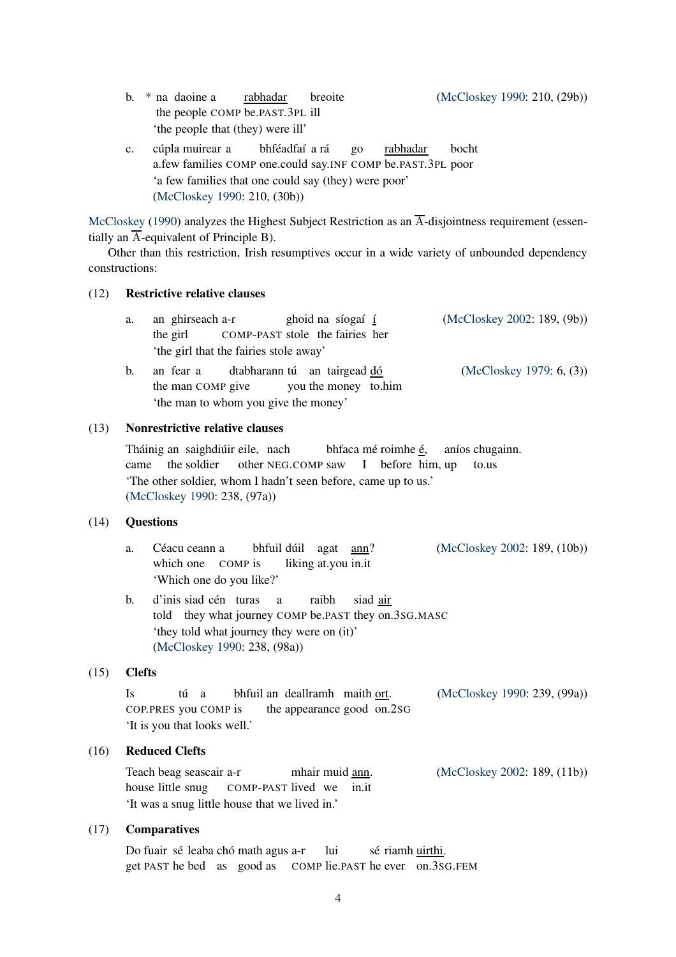b. \* na daoine a the people COMP be.PAST.3PL ill rabhadar breoite 'the people that (they) were ill'

c. cúpla muirear a a.few families COMP one.could say.INF COMP be.PAST.3PL poor bhféadfaí a rá go rabhadar bocht 'a few families that one could say (they) were poor' [\(McCloskey 1990:](#page-51-3) 210, (30b))

McCloskey [\(1990\)](#page-51-3) analyzes the Highest Subject Restriction as an  $\overline{A}$ -disjointness requirement (essentially an  $\overline{A}$ -equivalent of Principle B).

Other than this restriction, Irish resumptives occur in a wide variety of unbounded dependency constructions:

#### (12) **Restrictive relative clauses**

| a. an ghirseach a-r                    | ghoid na síogaí í                        | (McCloskey 2002: 189, (9b))                                |
|----------------------------------------|------------------------------------------|------------------------------------------------------------|
|                                        | the girl COMP-PAST stole the fairies her |                                                            |
| 'the girl that the fairies stole away' |                                          |                                                            |
|                                        | 1 $\sim$ 1.11 $\sim$ 1.11                | $(1.6 \, \text{C}1 \, 1 \, 1)$ $(0.70 \, \text{C} \, (0))$ |

b. an fear a the man COMP give dtabharann tú an tairgead dó you the money to.him [\(McCloskey 1979](#page-51-2): 6, (3)) 'the man to whom you give the money'

#### (13) **Nonrestrictive relative clauses**

Tháinig an saighdiúir eile, nach came the soldier other NEG.COMP saw bhfaca mé roimhe <u>é</u>, I before him, up aníos chugainn. to.us 'The other soldier, whom I hadn't seen before, came up to us.' [\(McCloskey 1990:](#page-51-3) 238, (97a))

### (14) **Questions**

- a. Céacu ceann a which one COMP is bhfuil dúil agat <u>ann</u>? liking at.you in.it [\(McCloskey 2002](#page-51-0): 189, (10b)) 'Which one do you like?'
- b. d'inis siad cén turas told they what journey COMP be.PAST they on.3SG.MASC a raibh siad air 'they told what journey they were on (it)' [\(McCloskey 1990:](#page-51-3) 238, (98a))

#### (15) **Clefts**

**I**<sub>c</sub> COP.PRES you COMP is tú a bhfuil an deallramh maith ort. the appearance good on.2SG [\(McCloskey 1990:](#page-51-3) 239, (99a)) 'It is you that looks well.'

#### (16) **Reduced Clefts**

Teach beag seascair a-r house little snug COMP-PAST lived we in.it mhair muid ann. [\(McCloskey 2002](#page-51-0): 189, (11b)) 'It was a snug little house that we lived in.'

#### (17) **Comparatives**

Do fuair sé leaba chó math agus a-r get PAST he bed as good as COMP lie.PAST he ever on.3SG.FEM lui sé riamh uirthi.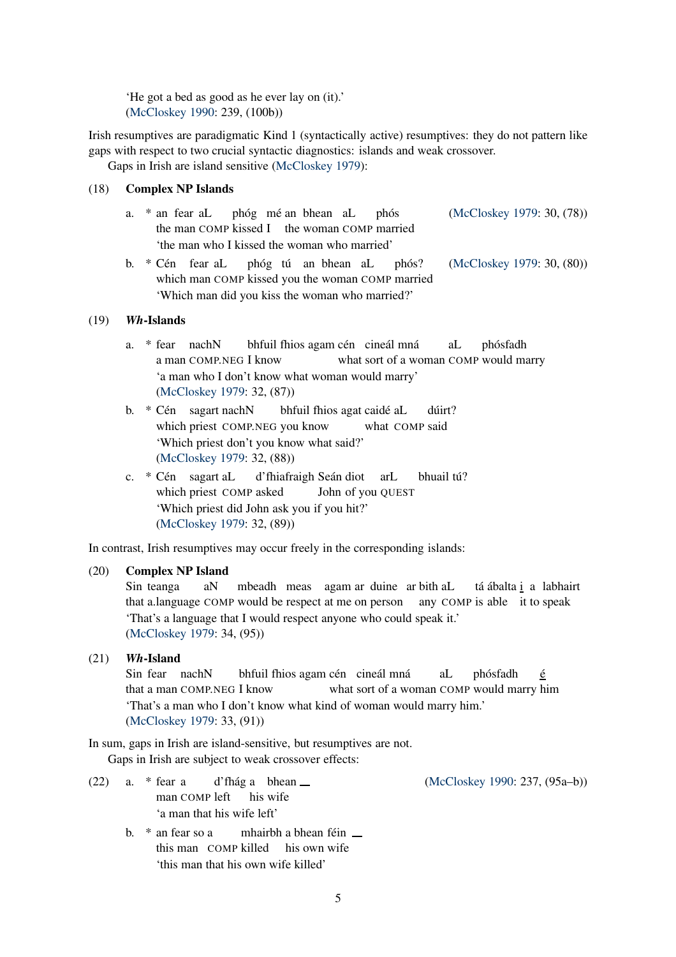'He got a bed as good as he ever lay on (it).' [\(McCloskey 1990:](#page-51-3) 239, (100b))

Irish resumptives are paradigmatic Kind 1 (syntactically active) resumptives: they do not pattern like gaps with respect to two crucial syntactic diagnostics: islands and weak crossover.

Gaps in Irish are island sensitive [\(McCloskey 1979](#page-51-2)):

#### (18) **Complex NP Islands**

- a. \* an fear aL the man COMP kissed I the woman COMP married phóg mé an bhean aL phós [\(McCloskey 1979](#page-51-2): 30, (78)) 'the man who I kissed the woman who married'
- b. \* Cén fear aL which man COMP kissed you the woman COMP married phóg tú an bhean aL phós? [\(McCloskey 1979](#page-51-2): 30, (80)) 'Which man did you kiss the woman who married?'

#### (19) *Wh***-Islands**

- a. \* fear nachN a man COMP.NEG I know bhfuil fhios agam cén cineál mná what sort of a woman COMP would marry aL phósfadh 'a man who I don't know what woman would marry' [\(McCloskey 1979](#page-51-2): 32, (87))
- b. \* Cén sagart nachN which priest COMP.NEG you know bhfuil fhios agat caidé aL what COMP said dúirt? 'Which priest don't you know what said?' [\(McCloskey 1979](#page-51-2): 32, (88))
- c. \* Cén sagart aL which priest COMP asked d'fhiafraigh Seán diot arL John of you QUEST bhuail tú? 'Which priest did John ask you if you hit?' [\(McCloskey 1979](#page-51-2): 32, (89))

In contrast, Irish resumptives may occur freely in the corresponding islands:

#### (20) **Complex NP Island**

Sin teanga that a.language COMP would be respect at me on person aN mbeadh meas agam ar duine ar bith aL any COMP is able it to speak tá ábalta <u>i</u> a labhairt 'That's a language that I would respect anyone who could speak it.' [\(McCloskey 1979:](#page-51-2) 34, (95))

### (21) *Wh***-Island**

Sin fear nachN that a man COMP.NEG I know bhfuil fhios agam cén cineál mná what sort of a woman COMP would marry him aL phósfadh ´e 'That's a man who I don't know what kind of woman would marry him.' [\(McCloskey 1979:](#page-51-2) 33, (91))

In sum, gaps in Irish are island-sensitive, but resumptives are not. Gaps in Irish are subject to weak crossover effects:

|  | $(22)$ a. * fear a d'fhág a bhean $\equiv$ |                            | (McCloskey 1990: 237, (95a–b)) |
|--|--------------------------------------------|----------------------------|--------------------------------|
|  | man COMP left his wife                     |                            |                                |
|  |                                            | 'a man that his wife left' |                                |

b. \* an fear so a this man COMP killed his own wife mhairbh a bhean féin 'this man that his own wife killed'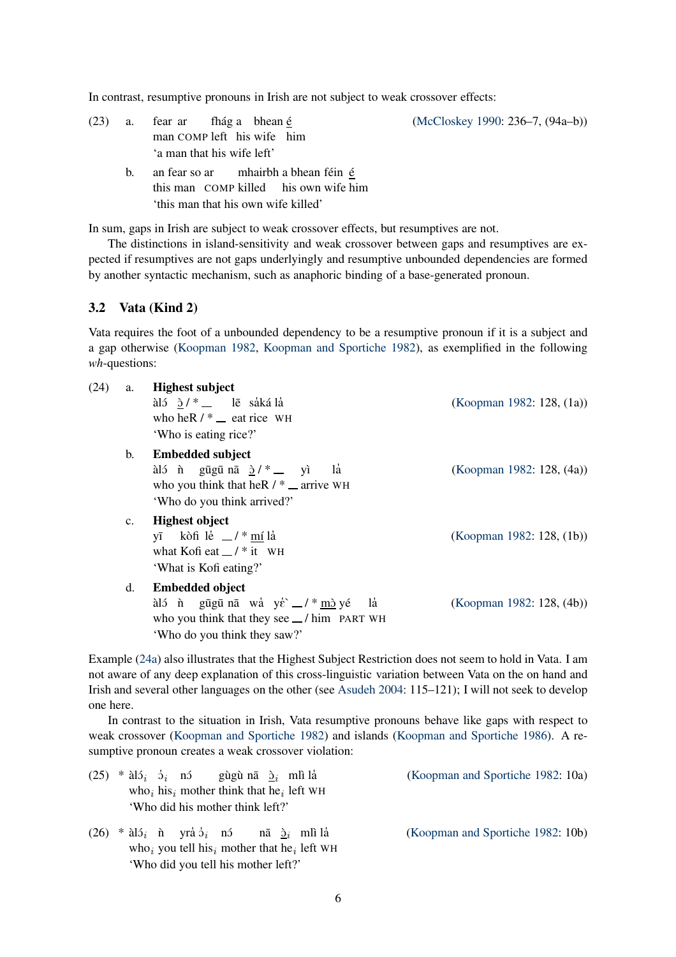In contrast, resumptive pronouns in Irish are not subject to weak crossover effects:

| (23) |    | a. fear ar fhág a bhean é             | (McCloskey 1990: 236–7, (94a–b)) |
|------|----|---------------------------------------|----------------------------------|
|      |    | man COMP left his wife him            |                                  |
|      |    | 'a man that his wife left'            |                                  |
|      | b. | an fear so ar mhairbh a bhean féin é  |                                  |
|      |    | this man COMP killed his own wife him |                                  |
|      |    | 'this man that his own wife killed'   |                                  |

In sum, gaps in Irish are subject to weak crossover effects, but resumptives are not.

The distinctions in island-sensitivity and weak crossover between gaps and resumptives are expected if resumptives are not gaps underlyingly and resumptive unbounded dependencies are formed by another syntactic mechanism, such as anaphoric binding of a base-generated pronoun.

#### <span id="page-7-0"></span>**3.2 Vata (Kind 2)**

Vata requires the foot of a unbounded dependency to be a resumptive pronoun if it is a subject and a gap otherwise [\(Koopman 1982](#page-50-0), [Koopman and Sportiche 1982\)](#page-51-5), as exemplified in the following *wh*-questions:

<span id="page-7-2"></span><span id="page-7-1"></span>

| (24) | a.          | <b>Highest subject</b>                                                                                   |                           |  |  |
|------|-------------|----------------------------------------------------------------------------------------------------------|---------------------------|--|--|
|      |             | $\text{al}5 \quad \text{d} \cdot \text{d}^* = 1\text{e} \quad \text{sak} \cdot \text{al} \cdot \text{d}$ | (Koopman 1982: 128, (1a)) |  |  |
|      |             | who heR $/$ * $\equiv$ eat rice WH                                                                       |                           |  |  |
|      |             | 'Who is eating rice?'                                                                                    |                           |  |  |
|      | b.          | <b>Embedded subject</b>                                                                                  |                           |  |  |
|      |             | àló nे gūgū nā $\frac{\partial}{\partial t}$ yì là                                                       | (Koopman 1982: 128, (4a)) |  |  |
|      |             | who you think that heR $\ell^*$ arrive WH                                                                |                           |  |  |
|      |             | 'Who do you think arrived?'                                                                              |                           |  |  |
|      | $c_{\cdot}$ | <b>Highest object</b>                                                                                    |                           |  |  |
|      |             | $y\bar{i}$ kòfi lè $\angle$ * mí là                                                                      | (Koopman 1982: 128, (1b)) |  |  |
|      |             | what Kofi eat $\angle$ / * it WH                                                                         |                           |  |  |
|      |             | 'What is Kofi eating?'                                                                                   |                           |  |  |
|      | d.          | <b>Embedded object</b>                                                                                   |                           |  |  |
|      |             | àló ǹ gūgū nā wa yé $\angle$ / * m i yé la                                                               | (Koopman 1982: 128, (4b)) |  |  |
|      |             | who you think that they see $\angle$ him PART WH                                                         |                           |  |  |
|      |             | 'Who do you think they saw?'                                                                             |                           |  |  |
|      |             |                                                                                                          |                           |  |  |

Example [\(24](#page-7-1)[a\)](#page-7-2) also illustrates that the Highest Subject Restriction does not seem to hold in Vata. I am not aware of any deep explanation of this cross-linguistic variation between Vata on the on hand and Irish and several other languages on the other (see [Asudeh 2004:](#page-46-0) 115–121); I will not seek to develop one here.

In contrast to the situation in Irish, Vata resumptive pronouns behave like gaps with respect to weak crossover [\(Koopman and Sportiche 1982](#page-51-5)) and islands [\(Koopman and Sportiche 1986\)](#page-51-6). A resumptive pronoun creates a weak crossover violation:

<span id="page-7-3"></span>

| $(25)$ * àl $5_i$ $\dot{5}_i$ nó gùgù nā $\dot{5}_i$ mlì là                                       | (Koopman and Sportiche 1982: 10a) |
|---------------------------------------------------------------------------------------------------|-----------------------------------|
| who, his, mother think that he, left WH                                                           |                                   |
| 'Who did his mother think left?'                                                                  |                                   |
| $(26)$ * àl $5_i$ ǹ yra $5_i$ n $5$ nā $5_i$ mlì la<br>who, you tell his, mother that he, left WH | (Koopman and Sportiche 1982: 10b) |
| 'Who did you tell his mother left?'                                                               |                                   |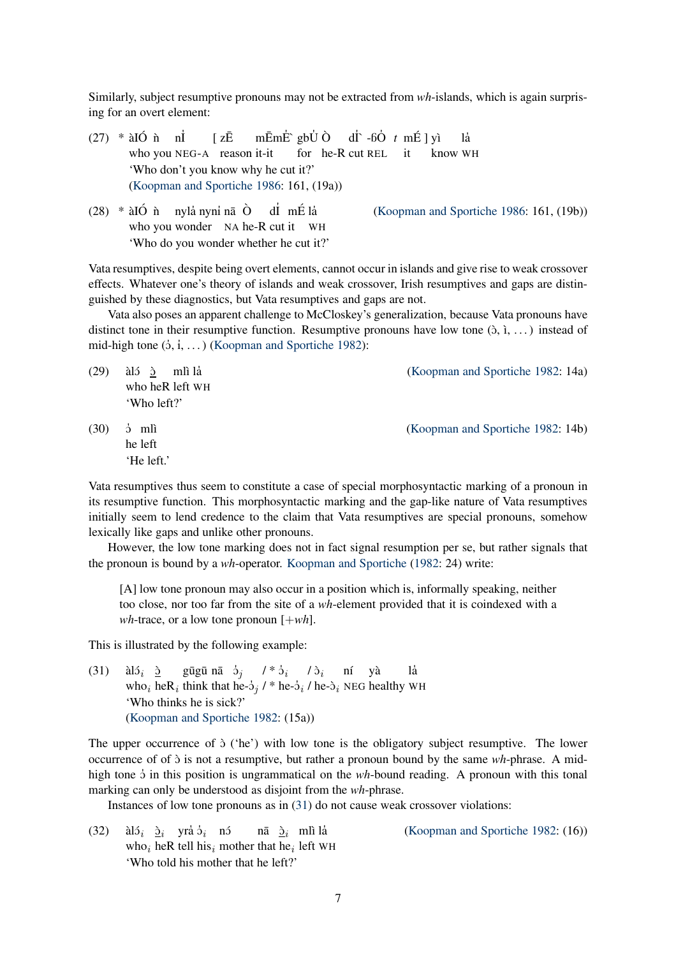<span id="page-8-2"></span>Similarly, subject resumptive pronouns may not be extracted from *wh*-islands, which is again surprising for an overt element:

|  | $(27)$ * àIÓ ǹ nİ [zĒ mĒmĖ` gbU Ò di -6Ò t mÉ ] yì là                                                                    |  |  |                                      |  |
|--|--------------------------------------------------------------------------------------------------------------------------|--|--|--------------------------------------|--|
|  | who you NEG-A reason it-it for he-R cut REL it know WH                                                                   |  |  |                                      |  |
|  | 'Who don't you know why he cut it?'                                                                                      |  |  |                                      |  |
|  | (Koopman and Sportiche 1986: 161, $(19a)$ )                                                                              |  |  |                                      |  |
|  | $(20)$ * $\sqrt{0}$ * and grad $\frac{\partial}{\partial}$ d $\frac{\partial}{\partial}$ the $\frac{\partial}{\partial}$ |  |  | $Ucommon$ and $Cnonrel$ and $1006.1$ |  |

 $(28)$  \* àIÓ ǹ nyla nyni nā Ò who you wonder NA he-R cut it WH dİ mÉla 'Who do you wonder whether he cut it?' [\(Koopman and Sportiche 1986](#page-51-6): 161, (19b))

Vata resumptives, despite being overt elements, cannot occur in islands and give rise to weak crossover effects. Whatever one's theory of islands and weak crossover, Irish resumptives and gaps are distinguished by these diagnostics, but Vata resumptives and gaps are not.

Vata also poses an apparent challenge to McCloskey's generalization, because Vata pronouns have distinct tone in their resumptive function. Resumptive pronouns have low tone  $(\delta, \delta, \ldots)$  instead of mid-high tone  $(5, i, \ldots)$  [\(Koopman and Sportiche 1982](#page-51-5)):

| (29) | $\lambda$ ls $\lambda$<br>mlì là<br>who here left WH<br>'Who left?' | (Koopman and Sportiche 1982: 14a) |
|------|---------------------------------------------------------------------|-----------------------------------|
| (30) | $\frac{1}{2}$ mli<br>he left<br>'He left.'                          | (Koopman and Sportiche 1982: 14b) |

Vata resumptives thus seem to constitute a case of special morphosyntactic marking of a pronoun in its resumptive function. This morphosyntactic marking and the gap-like nature of Vata resumptives initially seem to lend credence to the claim that Vata resumptives are special pronouns, somehow lexically like gaps and unlike other pronouns.

However, the low tone marking does not in fact signal resumption per se, but rather signals that the pronoun is bound by a *wh*-operator. [Koopman and Sportiche](#page-51-5) [\(1982](#page-51-5): 24) write:

[A] low tone pronoun may also occur in a position which is, informally speaking, neither too close, nor too far from the site of a *wh*-element provided that it is coindexed with a *wh*-trace, or a low tone pronoun [+*wh*].

<span id="page-8-0"></span>This is illustrated by the following example:

 $(31)$ who<sub>i</sub> heR<sub>i</sub> think that he- $\dot{0}_j$  / \* he- $\dot{0}_i$  / he- $\dot{0}_i$  NEG healthy WH  $\mathrm{d}15_i$   $\mathrm{\dot{o}}$ gūgūnā $j_j \rightarrow * j_i \rightarrow * j_i$  ní yà  $\rm Ia$ 'Who thinks he is sick?' [\(Koopman and Sportiche 1982](#page-51-5): (15a))

The upper occurrence of  $\delta$  ('he') with low tone is the obligatory subject resumptive. The lower occurrence of of  $\delta$  is not a resumptive, but rather a pronoun bound by the same  $wh$ -phrase. A midhigh tone  $\dot{\theta}$  in this position is ungrammatical on the *wh*-bound reading. A pronoun with this tonal marking can only be understood as disjoint from the *wh*-phrase.

Instances of low tone pronouns as in [\(31\)](#page-8-0) do not cause weak crossover violations:

<span id="page-8-1"></span> $(32)$ who<sub>i</sub> heR tell his<sub>i</sub> mother that he<sub>i</sub> left WH  $\hat{\mathbf{d}}_i$  yra  $\mathbf{d}_i$  n3 nā  $\frac{\Delta_i}{2}$  mlì la 'Who told his mother that he left?'

[\(Koopman and Sportiche 1982](#page-51-5): (16))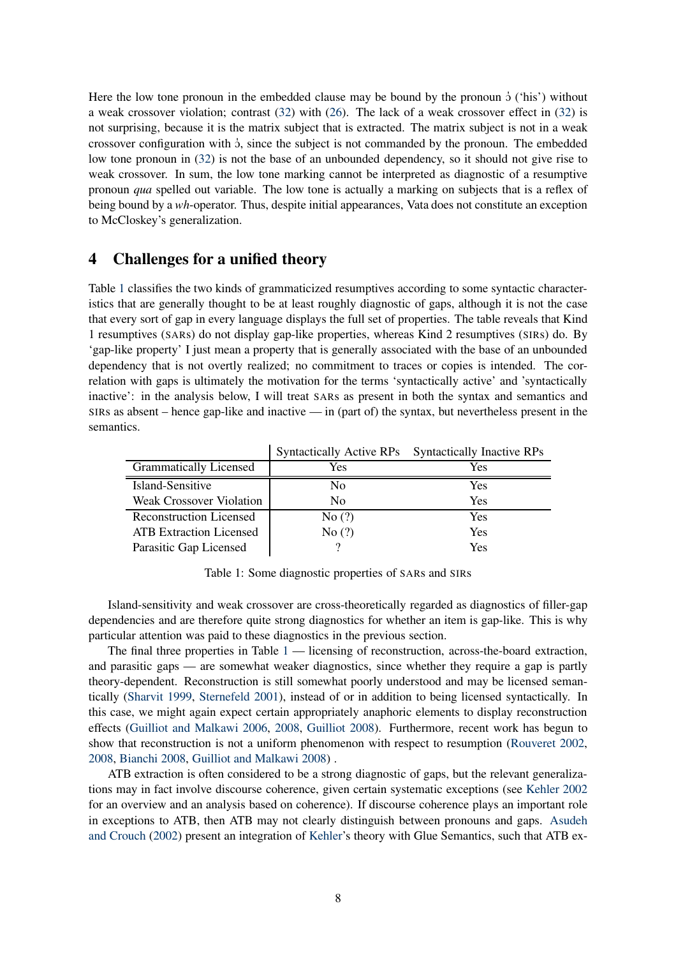Here the low tone pronoun in the embedded clause may be bound by the pronoun  $\dot{J}$  ('his') without a weak crossover violation; contrast [\(32\)](#page-8-1) with [\(26\)](#page-7-3). The lack of a weak crossover effect in [\(32\)](#page-8-1) is not surprising, because it is the matrix subject that is extracted. The matrix subject is not in a weak crossover configuration with  $\dot{\phi}$ , since the subject is not commanded by the pronoun. The embedded low tone pronoun in [\(32\)](#page-8-1) is not the base of an unbounded dependency, so it should not give rise to weak crossover. In sum, the low tone marking cannot be interpreted as diagnostic of a resumptive pronoun *qua* spelled out variable. The low tone is actually a marking on subjects that is a reflex of being bound by a *wh*-operator. Thus, despite initial appearances, Vata does not constitute an exception to McCloskey's generalization.

## <span id="page-9-0"></span>**4 Challenges for a unified theory**

Table [1](#page-9-1) classifies the two kinds of grammaticized resumptives according to some syntactic characteristics that are generally thought to be at least roughly diagnostic of gaps, although it is not the case that every sort of gap in every language displays the full set of properties. The table reveals that Kind 1 resumptives (SARs) do not display gap-like properties, whereas Kind 2 resumptives (SIRs) do. By 'gap-like property' I just mean a property that is generally associated with the base of an unbounded dependency that is not overtly realized; no commitment to traces or copies is intended. The correlation with gaps is ultimately the motivation for the terms 'syntactically active' and 'syntactically inactive': in the analysis below, I will treat SARs as present in both the syntax and semantics and SIRs as absent – hence gap-like and inactive — in (part of) the syntax, but nevertheless present in the semantics.

|                                 |                | Syntactically Active RPs Syntactically Inactive RPs |
|---------------------------------|----------------|-----------------------------------------------------|
| <b>Grammatically Licensed</b>   | <b>Yes</b>     | Yes                                                 |
| Island-Sensitive                | N <sub>0</sub> | Yes                                                 |
| <b>Weak Crossover Violation</b> | N <sub>0</sub> | Yes                                                 |
| <b>Reconstruction Licensed</b>  | No(?)          | Yes                                                 |
| <b>ATB</b> Extraction Licensed  | No(?)          | Yes                                                 |
| Parasitic Gap Licensed          |                | Yes                                                 |

<span id="page-9-1"></span>Table 1: Some diagnostic properties of SARs and SIRs

Island-sensitivity and weak crossover are cross-theoretically regarded as diagnostics of filler-gap dependencies and are therefore quite strong diagnostics for whether an item is gap-like. This is why particular attention was paid to these diagnostics in the previous section.

The final three properties in Table [1](#page-9-1) — licensing of reconstruction, across-the-board extraction, and parasitic gaps — are somewhat weaker diagnostics, since whether they require a gap is partly theory-dependent. Reconstruction is still somewhat poorly understood and may be licensed semantically [\(Sharvit 1999,](#page-52-2) [Sternefeld 2001](#page-52-3)), instead of or in addition to being licensed syntactically. In this case, we might again expect certain appropriately anaphoric elements to display reconstruction effects [\(Guilliot and Malkawi 2006](#page-49-2), [2008,](#page-49-3) [Guilliot 2008\)](#page-49-4). Furthermore, recent work has begun to show that reconstruction is not a uniform phenomenon with respect to resumption [\(Rouveret 2002](#page-52-4), [2008,](#page-52-5) [Bianchi 2008](#page-47-3), [Guilliot and Malkawi 2008](#page-49-3)) .

ATB extraction is often considered to be a strong diagnostic of gaps, but the relevant generalizations may in fact involve discourse coherence, given certain systematic exceptions (see [Kehler 2002](#page-50-1) for an overview and an analysis based on coherence). If discourse coherence plays an important role in exceptio[ns to ATB, then ATB may not clearly distinguish between pronouns and gaps.](#page-46-7) Asudeh and Crouch [\(2002](#page-46-7)) present an integration of [Kehler](#page-50-1)'s theory with Glue Semantics, such that ATB ex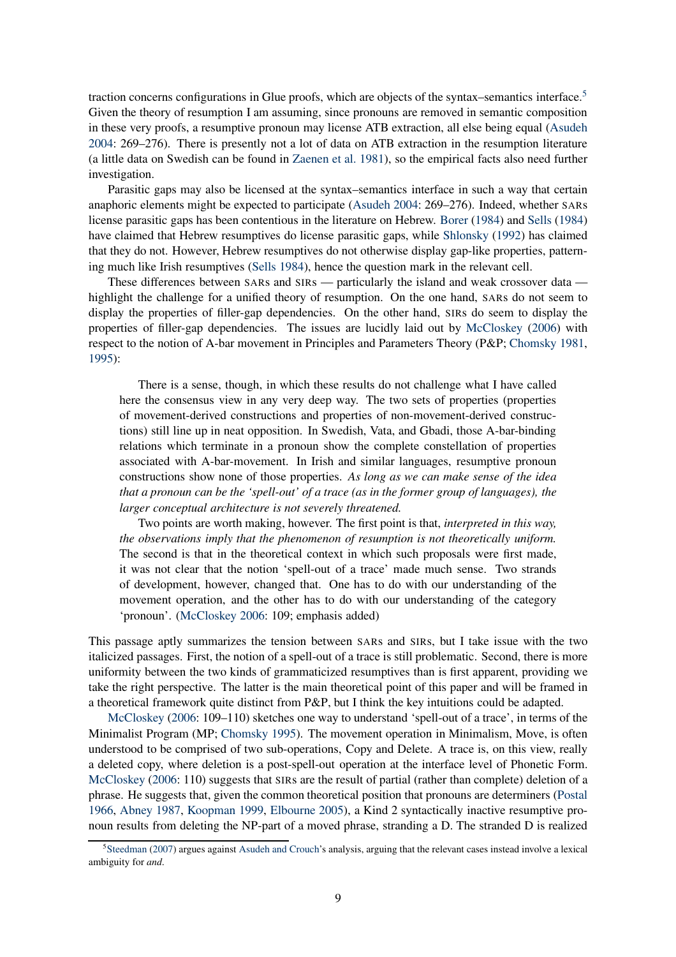traction concerns configurations in Glue proofs, which are objects of the syntax–semantics interface.[5](#page-10-0) Given the theory of resumption I am assuming, since pronouns are removed in semantic composition in these very proofs, a resumptive pronoun may license ATB extraction, all else being equal [\(Asudeh](#page-46-0) [2004:](#page-46-0) 269–276). There is presently not a lot of data on ATB extraction in the resumption literature (a little data on Swedish can be found in [Zaenen et al. 1981](#page-52-6)), so the empirical facts also need further investigation.

Parasitic gaps may also be licensed at the syntax–semantics interface in such a way that certain anaphoric elements might be expected to participate [\(Asudeh 2004](#page-46-0): 269–276). Indeed, whether SARs license parasitic gaps has been contentious in the literature on Hebrew. [Borer](#page-47-2) [\(1984\)](#page-47-2) and [Sells](#page-52-1) [\(1984](#page-52-1)) have claimed that Hebrew resumptives do license parasitic gaps, while [Shlonsky](#page-52-7) [\(1992\)](#page-52-7) has claimed that they do not. However, Hebrew resumptives do not otherwise display gap-like properties, patterning much like Irish resumptives [\(Sells 1984](#page-52-1)), hence the question mark in the relevant cell.

These differences between SARs and SIRs — particularly the island and weak crossover data highlight the challenge for a unified theory of resumption. On the one hand, SARs do not seem to display the properties of filler-gap dependencies. On the other hand, SIRs do seem to display the properties of filler-gap dependencies. The issues are lucidly laid out by [McCloskey](#page-51-1) [\(2006\)](#page-51-1) with respect to the notion of A-bar movement in Principles and Parameters Theory (P&P; [Chomsky 1981](#page-47-4), [1995\)](#page-47-5):

There is a sense, though, in which these results do not challenge what I have called here the consensus view in any very deep way. The two sets of properties (properties of movement-derived constructions and properties of non-movement-derived constructions) still line up in neat opposition. In Swedish, Vata, and Gbadi, those A-bar-binding relations which terminate in a pronoun show the complete constellation of properties associated with A-bar-movement. In Irish and similar languages, resumptive pronoun constructions show none of those properties. *As long as we can make sense of the idea that a pronoun can be the 'spell-out' of a trace (as in the former group of languages), the larger conceptual architecture is not severely threatened.*

Two points are worth making, however. The first point is that, *interpreted in this way, the observations imply that the phenomenon of resumption is not theoretically uniform.* The second is that in the theoretical context in which such proposals were first made, it was not clear that the notion 'spell-out of a trace' made much sense. Two strands of development, however, changed that. One has to do with our understanding of the movement operation, and the other has to do with our understanding of the category 'pronoun'. [\(McCloskey 2006:](#page-51-1) 109; emphasis added)

This passage aptly summarizes the tension between SARs and SIRs, but I take issue with the two italicized passages. First, the notion of a spell-out of a trace is still problematic. Second, there is more uniformity between the two kinds of grammaticized resumptives than is first apparent, providing we take the right perspective. The latter is the main theoretical point of this paper and will be framed in [a theoretical fra](#page-51-1)mework quite distinct from P&P, but I think the key intuitions could be adapted.

McCloskey [\(2006:](#page-51-1) 109–110) sketches one way to understand 'spell-out of a trace', in terms of the Minimalist Program (MP; [Chomsky 1995\)](#page-47-5). The movement operation in Minimalism, Move, is often understood to be comprised of two sub-operations, Copy and Delete. A trace is, on this view, really a deleted copy, where deletion is a post-spell-out operation at the interface level of Phonetic Form. [McCloskey](#page-51-1) [\(2006:](#page-51-1) 110) suggests that SIRs are the result of partial (rather than complete) deletion of a phrase. He suggests that, given the common theoretical position that pronouns are determiners [\(Postal](#page-51-7) [1966,](#page-51-7) [Abney 1987,](#page-46-8) [Koopman 1999,](#page-50-2) [Elbourne 2005](#page-48-4)), a Kind 2 syntactically inactive resumptive pronoun results from deleting the NP-part of a moved phrase, stranding a D. The stranded D is realized

<span id="page-10-0"></span><sup>5</sup> [Steedman](#page-52-8) [\(2007](#page-52-8)) argues against [Asudeh and Crouch](#page-46-7)'s analysis, arguing that the relevant cases instead involve a lexical ambiguity for *and*.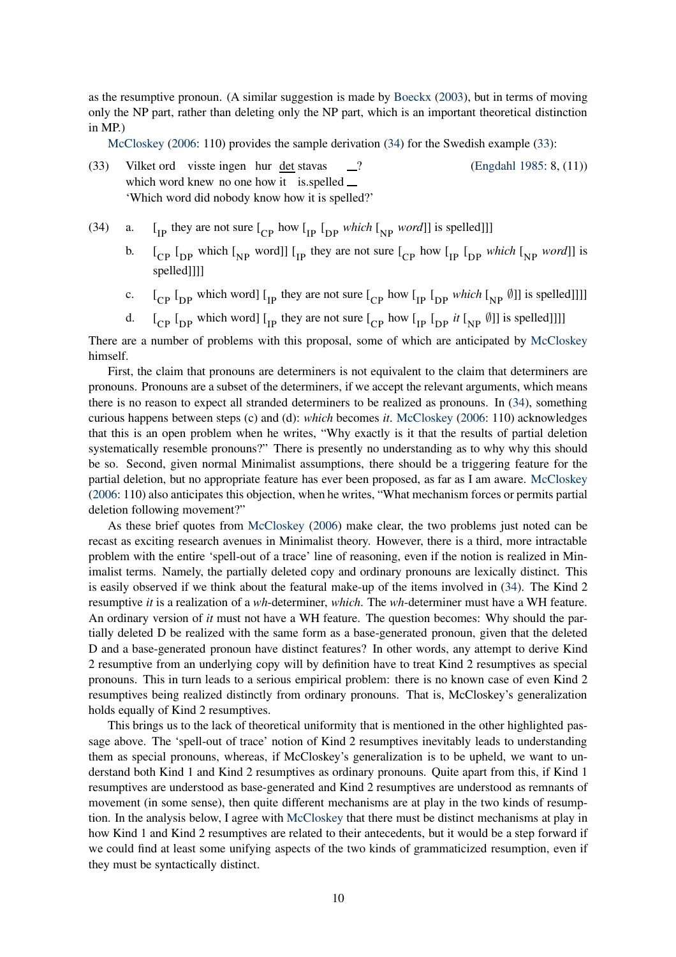as the resumptive pronoun. (A similar suggestion is made by [Boeckx](#page-47-6) [\(2003](#page-47-6)), but in terms of moving only the NP part, rather than deleting only the NP part, which is an important theoretical distinction [in MP.\)](#page-51-1)

McCloskey [\(2006:](#page-51-1) 110) provides the sample derivation [\(34\)](#page-11-0) for the Swedish example [\(33\)](#page-11-1):

- <span id="page-11-1"></span>(33) Vilket ord visste ingen hur det stavas which word knew no one how it is spelled ? [\(Engdahl 1985:](#page-48-5) 8, (11)) 'Which word did nobody know how it is spelled?'
- <span id="page-11-0"></span>(34) a.  $\left[\begin{matrix}I_{\text{IP}} & \text{they are not sure} \end{matrix}\right]$  how  $\left[\begin{matrix}I_{\text{IP}} & \text{which} \end{matrix}\right]$  *(N<sub>NP</sub> word*) is spelled)]
	- b.  $\left[\begin{array}{cc} C_{\text{CP}} & \text{[op} \end{array} \right]$  which  $\left[\begin{array}{cc} D_{\text{CP}} & \text{[op} \end{array} \right]$  are not sure  $\left[\begin{array}{cc} D_{\text{CP}} & \text{[op} \end{array} \right]$  which  $\left[\begin{array}{cc} D_{\text{CP}} & \text{[op} \end{array} \right]$  is spelled]]]]
	- c.  $\left[\begin{array}{cc} C_{\text{CP}} & \text{[op} \end{array}\right]$  which word  $\left[\begin{array}{cc} I_{\text{IP}} & \text{[op} \end{array}\right]$  are not sure  $\left[\begin{array}{cc} C_{\text{CP}} & \text{[op} \end{array}\right]$  which  $\left[\begin{array}{cc} I_{\text{NP}} & \text{[op} \end{array}\right]$  is spelled  $\left[\begin{array}{cc} I_{\text{IP}} & \text{[op} \end{array}\right]$
	- d.  $\left[\begin{array}{cc} [C_{\text{CP}} | D_{\text{CP}}] & \text{which word} \end{array}\right]$  [<sub>IP</sub> they are not sure  $\left[\begin{array}{cc} [C_{\text{CP}} | D_{\text{CP}}] & \text{if } [C_{\text{CP}} | D_{\text{CP}}] \end{array}\right]$  is spelled]]]

There are a number of problems with this proposal, some of which are anticipated by [McCloskey](#page-51-1) himself.

First, the claim that pronouns are determiners is not equivalent to the claim that determiners are pronouns. Pronouns are a subset of the determiners, if we accept the relevant arguments, which means there is no reason to expect all stranded determiners to be realized as pronouns. In [\(34\)](#page-11-0), something curious happens between steps (c) and (d): *which* becomes *it*. [McCloskey](#page-51-1) [\(2006](#page-51-1): 110) acknowledges that this is an open problem when he writes, "Why exactly is it that the results of partial deletion systematically resemble pronouns?" There is presently no understanding as to why why this should be so. Second, given normal Minimalist assumptions, there should be a triggering feature for the partial deletion, but no appropriate feature has ever been proposed, as far as I am aware. [McCloskey](#page-51-1) [\(2006](#page-51-1): 110) also anticipates this objection, when he writes, "What mechanism forces or permits partial deletion following movement?"

As these brief quotes from [McCloskey](#page-51-1) [\(2006](#page-51-1)) make clear, the two problems just noted can be recast as exciting research avenues in Minimalist theory. However, there is a third, more intractable problem with the entire 'spell-out of a trace' line of reasoning, even if the notion is realized in Minimalist terms. Namely, the partially deleted copy and ordinary pronouns are lexically distinct. This is easily observed if we think about the featural make-up of the items involved in [\(34\)](#page-11-0). The Kind 2 resumptive *it* is a realization of a *wh*-determiner, *which*. The *wh*-determiner must have a WH feature. An ordinary version of *it* must not have a WH feature. The question becomes: Why should the partially deleted D be realized with the same form as a base-generated pronoun, given that the deleted D and a base-generated pronoun have distinct features? In other words, any attempt to derive Kind 2 resumptive from an underlying copy will by definition have to treat Kind 2 resumptives as special pronouns. This in turn leads to a serious empirical problem: there is no known case of even Kind 2 resumptives being realized distinctly from ordinary pronouns. That is, McCloskey's generalization holds equally of Kind 2 resumptives.

This brings us to the lack of theoretical uniformity that is mentioned in the other highlighted passage above. The 'spell-out of trace' notion of Kind 2 resumptives inevitably leads to understanding them as special pronouns, whereas, if McCloskey's generalization is to be upheld, we want to understand both Kind 1 and Kind 2 resumptives as ordinary pronouns. Quite apart from this, if Kind 1 resumptives are understood as base-generated and Kind 2 resumptives are understood as remnants of movement (in some sense), then quite different mechanisms are at play in the two kinds of resumption. In the analysis below, I agree with [McCloskey](#page-51-1) that there must be distinct mechanisms at play in how Kind 1 and Kind 2 resumptives are related to their antecedents, but it would be a step forward if we could find at least some unifying aspects of the two kinds of grammaticized resumption, even if they must be syntactically distinct.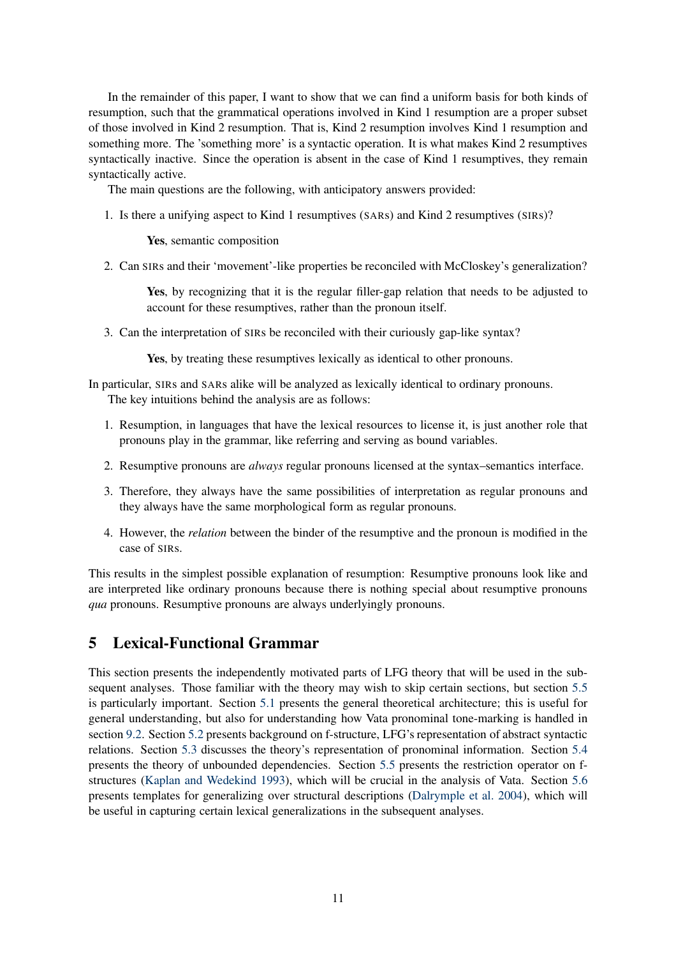In the remainder of this paper, I want to show that we can find a uniform basis for both kinds of resumption, such that the grammatical operations involved in Kind 1 resumption are a proper subset of those involved in Kind 2 resumption. That is, Kind 2 resumption involves Kind 1 resumption and something more. The 'something more' is a syntactic operation. It is what makes Kind 2 resumptives syntactically inactive. Since the operation is absent in the case of Kind 1 resumptives, they remain syntactically active.

The main questions are the following, with anticipatory answers provided:

1. Is there a unifying aspect to Kind 1 resumptives (SARs) and Kind 2 resumptives (SIRs)?

**Yes**, semantic composition

2. Can SIRs and their 'movement'-like properties be reconciled with McCloskey's generalization?

**Yes**, by recognizing that it is the regular filler-gap relation that needs to be adjusted to account for these resumptives, rather than the pronoun itself.

3. Can the interpretation of SIRs be reconciled with their curiously gap-like syntax?

**Yes**, by treating these resumptives lexically as identical to other pronouns.

In particular, SIRs and SARs alike will be analyzed as lexically identical to ordinary pronouns. The key intuitions behind the analysis are as follows:

- 1. Resumption, in languages that have the lexical resources to license it, is just another role that pronouns play in the grammar, like referring and serving as bound variables.
- 2. Resumptive pronouns are *always* regular pronouns licensed at the syntax–semantics interface.
- 3. Therefore, they always have the same possibilities of interpretation as regular pronouns and they always have the same morphological form as regular pronouns.
- 4. However, the *relation* between the binder of the resumptive and the pronoun is modified in the case of SIRs.

This results in the simplest possible explanation of resumption: Resumptive pronouns look like and are interpreted like ordinary pronouns because there is nothing special about resumptive pronouns *qua* pronouns. Resumptive pronouns are always underlyingly pronouns.

## <span id="page-12-0"></span>**5 Lexical-Functional Grammar**

This section presents the independently motivated parts of LFG theory that will be used in the sub-sequent analyses. Those familiar with the theory may wish to skip certain sections, but section [5.5](#page-20-0) is particularly important. Section [5.1](#page-13-0) presents the general theoretical architecture; this is useful for general understanding, but also for understanding how Vata pronominal tone-marking is handled in section [9.2.](#page-40-0) Section [5.2](#page-14-0) presents background on f-structure, LFG's representation of abstract syntactic relations. Section [5.3](#page-16-0) discusses the theory's representation of pronominal information. Section [5.4](#page-16-1) presents the theory of unbounded dependencies. Section [5.5](#page-20-0) presents the restriction operator on fstructures [\(Kaplan and Wedekind 1993](#page-50-3)), which will be crucial in the analysis of Vata. Section [5.6](#page-21-0) presents templates for generalizing over structural descriptions [\(Dalrymple et al. 2004](#page-48-6)), which will be useful in capturing certain lexical generalizations in the subsequent analyses.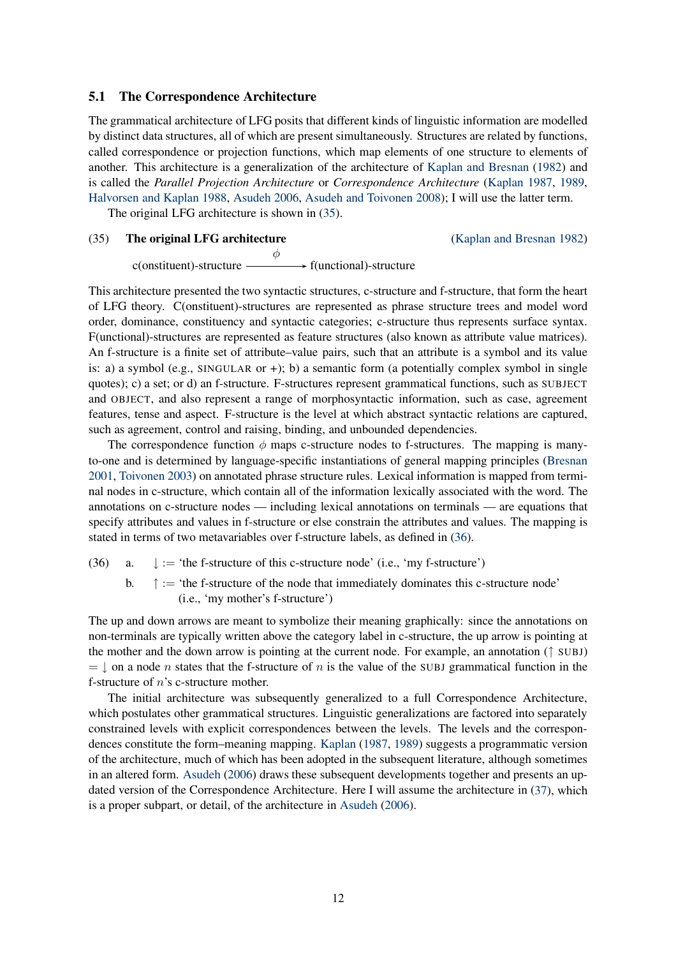#### <span id="page-13-0"></span>**5.1 The Correspondence Architecture**

The grammatical architecture of LFG posits that different kinds of linguistic information are modelled by distinct data structures, all of which are present simultaneously. Structures are related by functions, called correspondence or projection functions, which map elements of one structure to elements of another. This architecture is a generalization of the architecture of [Kaplan and Bresnan](#page-50-4) [\(1982](#page-50-4)) and is called the *Parallel Projection Architecture* or *Correspondence Architecture* [\(Kaplan 1987](#page-50-5), [1989](#page-50-6), [Halvorsen and Kaplan 1988,](#page-49-5) [Asudeh 2006,](#page-46-9) [Asudeh and Toivonen 2008\)](#page-46-10); I will use the latter term.

The original LFG architecture is shown in [\(35\)](#page-13-1).

#### <span id="page-13-1"></span>(35) **The original LFG architecture** [\(Kaplan and Bresnan 1982](#page-50-4))

 $c$ (onstituent)-structure  $\longrightarrow$  f(unctional)-structure φ

This architecture presented the two syntactic structures, c-structure and f-structure, that form the heart of LFG theory. C(onstituent)-structures are represented as phrase structure trees and model word order, dominance, constituency and syntactic categories; c-structure thus represents surface syntax. F(unctional)-structures are represented as feature structures (also known as attribute value matrices). An f-structure is a finite set of attribute–value pairs, such that an attribute is a symbol and its value is: a) a symbol (e.g., SINGULAR or +); b) a semantic form (a potentially complex symbol in single quotes); c) a set; or d) an f-structure. F-structures represent grammatical functions, such as SUBJECT and OBJECT, and also represent a range of morphosyntactic information, such as case, agreement features, tense and aspect. F-structure is the level at which abstract syntactic relations are captured, such as agreement, control and raising, binding, and unbounded dependencies.

The correspondence function  $\phi$  maps c-structure nodes to f-structures. The mapping is manyto-one and is determined by language-specific instantiations of general mapping principles [\(Bresnan](#page-47-7) [2001,](#page-47-7) [Toivonen 2003](#page-52-9)) on annotated phrase structure rules. Lexical information is mapped from terminal nodes in c-structure, which contain all of the information lexically associated with the word. The annotations on c-structure nodes — including lexical annotations on terminals — are equations that specify attributes and values in f-structure or else constrain the attributes and values. The mapping is stated in terms of two metavariables over f-structure labels, as defined in [\(36\)](#page-13-2).

- <span id="page-13-2"></span>(36) a.  $\downarrow$  := 'the f-structure of this c-structure node' (i.e., 'my f-structure')
	- b.  $\uparrow$  := 'the f-structure of the node that immediately dominates this c-structure node' (i.e., 'my mother's f-structure')

The up and down arrows are meant to symbolize their meaning graphically: since the annotations on non-terminals are typically written above the category label in c-structure, the up arrow is pointing at the mother and the down arrow is pointing at the current node. For example, an annotation (↑ SUBJ)  $= \frac{1}{2}$  on a node *n* states that the f-structure of *n* is the value of the SUBJ grammatical function in the f-structure of  $n$ 's c-structure mother.

The initial architecture was subsequently generalized to a full Correspondence Architecture, which postulates other grammatical structures. Linguistic generalizations are factored into separately constrained levels with explicit correspondences between the levels. The levels and the correspondences constitute the form–meaning mapping. [Kaplan](#page-50-5) [\(1987](#page-50-5), [1989](#page-50-6)) suggests a programmatic version of the architecture, much of which has been adopted in the subsequent literature, although sometimes in an altered form. [Asudeh](#page-46-9) [\(2006](#page-46-9)) draws these subsequent developments together and presents an updated version of the Correspondence Architecture. Here I will assume the architecture in [\(37\)](#page-14-1), which is a proper subpart, or detail, of the architecture in [Asudeh](#page-46-9) [\(2006](#page-46-9)).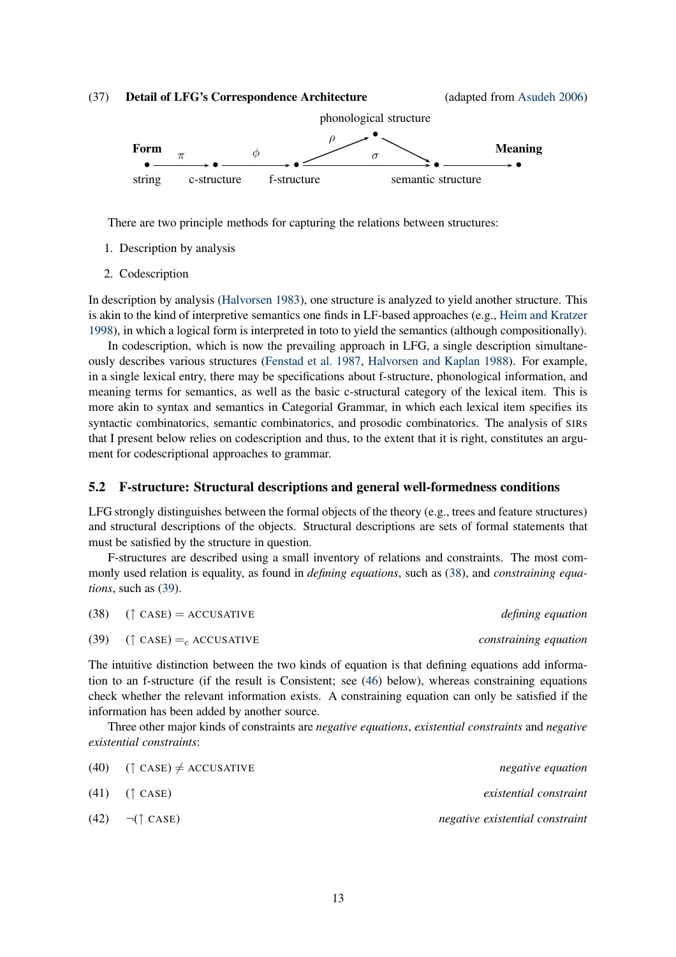<span id="page-14-1"></span>

There are two principle methods for capturing the relations between structures:

- 1. Description by analysis
- 2. Codescription

In description by analysis [\(Halvorsen 1983](#page-49-6)), one structure is analyzed to yield another structure. This is akin to the kind of interpretive semantics one finds in LF-based approaches (e.g., [Heim and Kratzer](#page-49-7) [1998\)](#page-49-7), in which a logical form is interpreted in toto to yield the semantics (although compositionally).

In codescription, which is now the prevailing approach in LFG, a single description simultaneously describes various structures [\(Fenstad et al. 1987,](#page-48-7) [Halvorsen and Kaplan 1988\)](#page-49-5). For example, in a single lexical entry, there may be specifications about f-structure, phonological information, and meaning terms for semantics, as well as the basic c-structural category of the lexical item. This is more akin to syntax and semantics in Categorial Grammar, in which each lexical item specifies its syntactic combinatorics, semantic combinatorics, and prosodic combinatorics. The analysis of SIRs that I present below relies on codescription and thus, to the extent that it is right, constitutes an argument for codescriptional approaches to grammar.

#### <span id="page-14-0"></span>**5.2 F-structure: Structural descriptions and general well-formedness conditions**

LFG strongly distinguishes between the formal objects of the theory (e.g., trees and feature structures) and structural descriptions of the objects. Structural descriptions are sets of formal statements that must be satisfied by the structure in question.

F-structures are described using a small inventory of relations and constraints. The most commonly used relation is equality, as found in *defining equations*, such as [\(38\)](#page-14-2), and *constraining equations*, such as [\(39\)](#page-14-3).

<span id="page-14-3"></span><span id="page-14-2"></span>

| $(38)$ $( )$ $\cap$ CASE) = ACCUSATIVE           | defining equation     |
|--------------------------------------------------|-----------------------|
| (39) $(\uparrow$ CASE) = <sub>c</sub> ACCUSATIVE | constraining equation |

The intuitive distinction between the two kinds of equation is that defining equations add information to an f-structure (if the result is Consistent; see [\(46\)](#page-15-0) below), whereas constraining equations check whether the relevant information exists. A constraining equation can only be satisfied if the information has been added by another source.

<span id="page-14-4"></span>Three other major kinds of constraints are *negative equations*, *existential constraints* and *negative existential constraints*:

<span id="page-14-6"></span><span id="page-14-5"></span>

| negative equation               | (40) $(\uparrow$ CASE) $\neq$ ACCUSATIVE |  |
|---------------------------------|------------------------------------------|--|
| existential constraint          | $(41)$ $(†$ CASE)                        |  |
| negative existential constraint | $(42) \quad \neg (\uparrow \text{CASE})$ |  |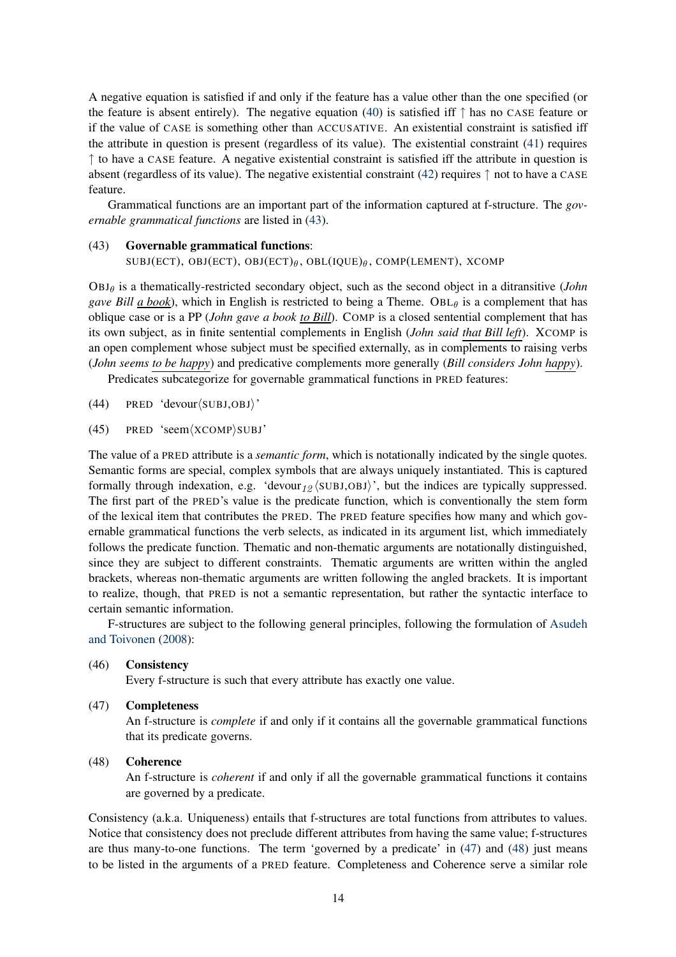A negative equation is satisfied if and only if the feature has a value other than the one specified (or the feature is absent entirely). The negative equation [\(40\)](#page-14-4) is satisfied iff ↑ has no CASE feature or if the value of CASE is something other than ACCUSATIVE. An existential constraint is satisfied iff the attribute in question is present (regardless of its value). The existential constraint [\(41\)](#page-14-5) requires ↑ to have a CASE feature. A negative existential constraint is satisfied iff the attribute in question is absent (regardless of its value). The negative existential constraint [\(42\)](#page-14-6) requires ↑ not to have a CASE feature.

<span id="page-15-1"></span>Grammatical functions are an important part of the information captured at f-structure. The *governable grammatical functions* are listed in [\(43\)](#page-15-1).

#### (43) **Governable grammatical functions**:

SUBJ(ECT), OBJ(ECT), OBJ(ECT) $_{\theta}$ , OBL(IQUE) $_{\theta}$ , COMP(LEMENT), XCOMP

 $OBJ<sub>\theta</sub>$  is a thematically-restricted secondary object, such as the second object in a ditransitive (*John gave Bill <u>a book</u>*), which in English is restricted to being a Theme. OBL $_{\theta}$  is a complement that has oblique case or is a PP (*John gave a book to Bill*). COMP is a closed sentential complement that has its own subject, as in finite sentential complements in English (*John said that Bill left*). XCOMP is an open complement whose subject must be specified externally, as in complements to raising verbs (*John seems to be happy*) and predicative complements more generally (*Bill considers John happy*).

Predicates subcategorize for governable grammatical functions in PRED features:

- $(44)$  PRED 'devour $\langle \text{SUBJ,OBJ} \rangle'$ '
- $(45)$  PRED 'seem $(XCOMP)$ SUBJ'

The value of a PRED attribute is a *semantic form*, which is notationally indicated by the single quotes. Semantic forms are special, complex symbols that are always uniquely instantiated. This is captured formally through indexation, e.g. 'devour<sub>12</sub>  $\langle \text{SUBJ,OBJ} \rangle$ ', but the indices are typically suppressed. The first part of the PRED's value is the predicate function, which is conventionally the stem form of the lexical item that contributes the PRED. The PRED feature specifies how many and which governable grammatical functions the verb selects, as indicated in its argument list, which immediately follows the predicate function. Thematic and non-thematic arguments are notationally distinguished, since they are subject to different constraints. Thematic arguments are written within the angled brackets, whereas non-thematic arguments are written following the angled brackets. It is important to realize, though, that PRED is not a semantic representation, but rather the syntactic interface to certain semantic information.

F-structu[res are subject to the following general principles, following the formulation of](#page-46-10) Asudeh and Toivonen [\(2008\)](#page-46-10):

<span id="page-15-0"></span>(46) **Consistency**

Every f-structure is such that every attribute has exactly one value.

<span id="page-15-2"></span>(47) **Completeness**

An f-structure is *complete* if and only if it contains all the governable grammatical functions that its predicate governs.

#### <span id="page-15-3"></span>(48) **Coherence**

An f-structure is *coherent* if and only if all the governable grammatical functions it contains are governed by a predicate.

Consistency (a.k.a. Uniqueness) entails that f-structures are total functions from attributes to values. Notice that consistency does not preclude different attributes from having the same value; f-structures are thus many-to-one functions. The term 'governed by a predicate' in [\(47\)](#page-15-2) and [\(48\)](#page-15-3) just means to be listed in the arguments of a PRED feature. Completeness and Coherence serve a similar role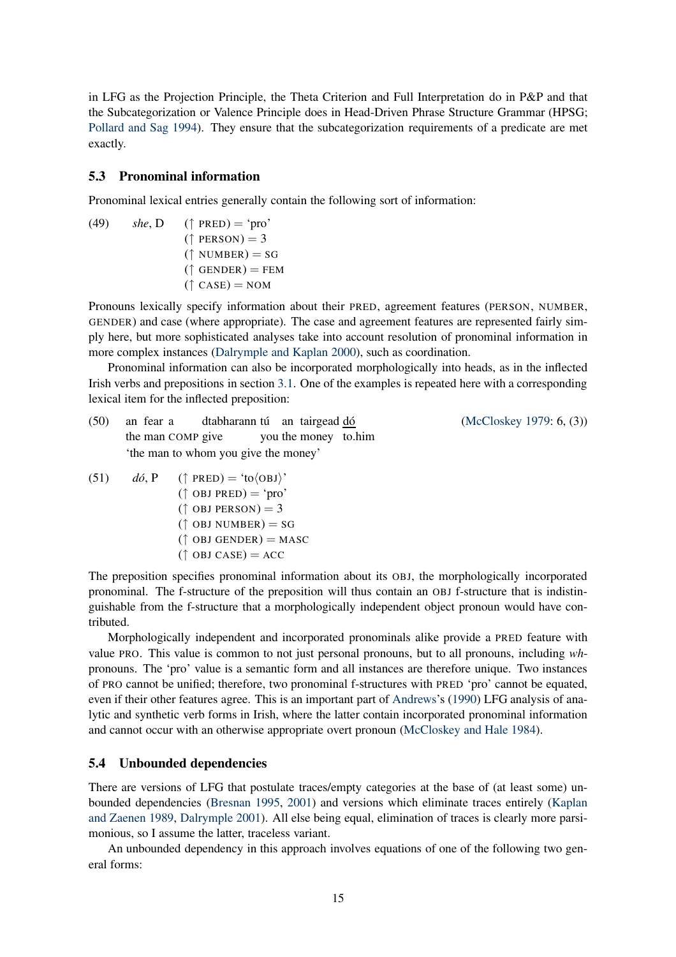in LFG as the Projection Principle, the Theta Criterion and Full Interpretation do in P&P and that the Subcategorization or Valence Principle does in Head-Driven Phrase Structure Grammar (HPSG; [Pollard and Sag 1994](#page-51-8)). They ensure that the subcategorization requirements of a predicate are met exactly.

#### <span id="page-16-0"></span>**5.3 Pronominal information**

Pronominal lexical entries generally contain the following sort of information:

 $(49)$  *she*, D (↑ PRED) = 'pro'  $(\uparrow$  PERSON) = 3  $(\uparrow$  NUMBER) = SG  $($ <sup> $\uparrow$ </sup> GENDER) = FEM  $(\uparrow$  CASE) = NOM

Pronouns lexically specify information about their PRED, agreement features (PERSON, NUMBER, GENDER) and case (where appropriate). The case and agreement features are represented fairly simply here, but more sophisticated analyses take into account resolution of pronominal information in more complex instances [\(Dalrymple and Kaplan 2000](#page-48-8)), such as coordination.

Pronominal information can also be incorporated morphologically into heads, as in the inflected Irish verbs and prepositions in section [3.1.](#page-4-1) One of the examples is repeated here with a corresponding lexical item for the inflected preposition:

 $(50)$ the man COMP give fear a dtabharann tú an tairgead dó you the money to.him [\(McCloskey 1979](#page-51-2): 6, (3)) 'the man to whom you give the money'

(51) 
$$
d\acute{o}, P \quad (\uparrow \text{PRED}) = \text{`to} \langle \text{OBJ} \rangle
$$

$$
(\uparrow \text{OBJ PRED}) = \text{`pro'}
$$

$$
(\uparrow \text{OBJ PERSON}) = 3
$$

$$
(\uparrow \text{OBJ NUMBER}) = \text{SG}
$$

$$
(\uparrow \text{OBJ GENDER}) = \text{MASC}
$$

$$
(\uparrow \text{OBJ GENE}) = \text{ACC}
$$

The preposition specifies pronominal information about its OBJ, the morphologically incorporated pronominal. The f-structure of the preposition will thus contain an OBJ f-structure that is indistinguishable from the f-structure that a morphologically independent object pronoun would have contributed.

Morphologically independent and incorporated pronominals alike provide a PRED feature with value PRO. This value is common to not just personal pronouns, but to all pronouns, including *wh*pronouns. The 'pro' value is a semantic form and all instances are therefore unique. Two instances of PRO cannot be unified; therefore, two pronominal f-structures with PRED 'pro' cannot be equated, even if their other features agree. This is an important part of [Andrews](#page-46-11)'s [\(1990\)](#page-46-11) LFG analysis of analytic and synthetic verb forms in Irish, where the latter contain incorporated pronominal information and cannot occur with an otherwise appropriate overt pronoun [\(McCloskey and Hale 1984\)](#page-51-9).

#### <span id="page-16-1"></span>**5.4 Unbounded dependencies**

There are versions of LFG that postulate traces/empty categories at the base of (at least some) unbounded dependencies [\(Bresnan 1995](#page-47-8), [2001\)](#page-47-7) [and versions which eliminate traces entirely \(](#page-50-7)Kaplan and Zaenen [1989,](#page-50-7) [Dalrymple 2001\)](#page-47-1). All else being equal, elimination of traces is clearly more parsimonious, so I assume the latter, traceless variant.

An unbounded dependency in this approach involves equations of one of the following two general forms: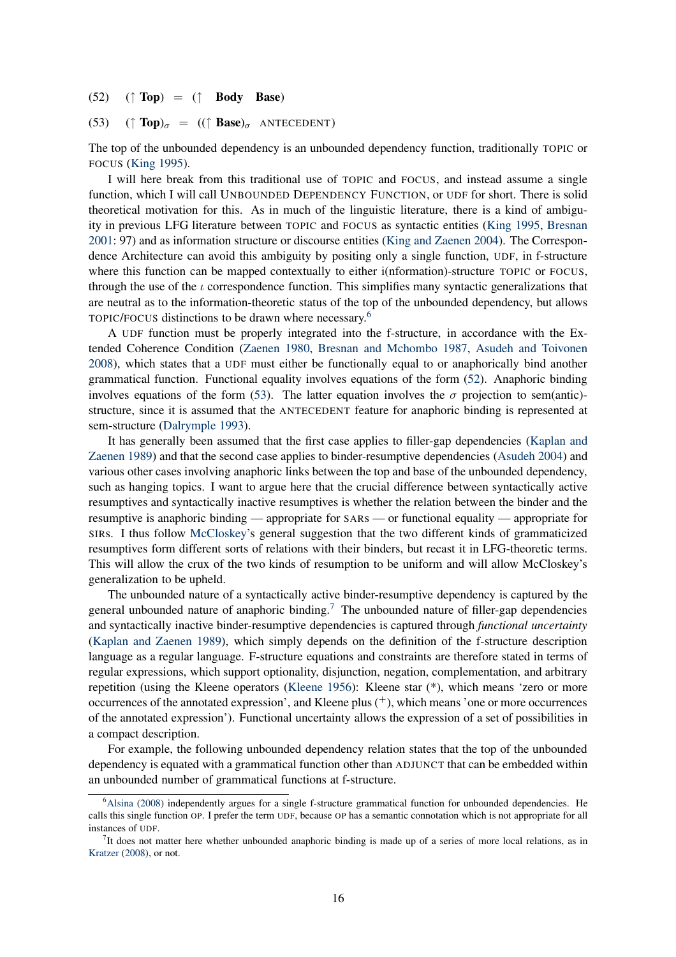- <span id="page-17-2"></span><span id="page-17-1"></span>(52) (↑ **Top**) = (↑ **Body Base**)
- (53)  $({\uparrow \text{Top}})_{\sigma} = (({\uparrow \text{Base}})_{\sigma} \text{ ANTECEDENT})$

The top of the unbounded dependency is an unbounded dependency function, traditionally TOPIC or FOCUS [\(King 1995](#page-50-8)).

I will here break from this traditional use of TOPIC and FOCUS, and instead assume a single function, which I will call UNBOUNDED DEPENDENCY FUNCTION, or UDF for short. There is solid theoretical motivation for this. As in much of the linguistic literature, there is a kind of ambiguity in previous LFG literature between TOPIC and FOCUS as syntactic entities [\(King 1995](#page-50-8), [Bresnan](#page-47-7) [2001:](#page-47-7) 97) and as information structure or discourse entities [\(King and Zaenen 2004\)](#page-50-9). The Correspondence Architecture can avoid this ambiguity by positing only a single function, UDF, in f-structure where this function can be mapped contextually to either i(nformation)-structure TOPIC or FOCUS, through the use of the  $\iota$  correspondence function. This simplifies many syntactic generalizations that are neutral as to the information-theoretic status of the top of the unbounded dependency, but allows TOPIC/FOCUS distinctions to be drawn where necessary.[6](#page-17-0)

A UDF function must be properly integrated into the f-structure, in accordance with the Extended Coherence Condition [\(Zaenen 1980,](#page-52-10) [Bresnan and Mchombo 1987](#page-47-9), [Asudeh and Toivonen](#page-46-10) [2008\)](#page-46-10), which states that a UDF must either be functionally equal to or anaphorically bind another grammatical function. Functional equality involves equations of the form [\(52\)](#page-17-1). Anaphoric binding involves equations of the form [\(53\)](#page-17-2). The latter equation involves the  $\sigma$  projection to sem(antic)structure, since it is assumed that the ANTECEDENT feature for anaphoric binding is represented at sem-structure [\(Dalrymple 1993\)](#page-47-10).

It [has generally been assumed that the first case applies to filler-gap dependencies \(](#page-50-7)Kaplan and Zaenen [1989](#page-50-7)) and that the second case applies to binder-resumptive dependencies [\(Asudeh 2004](#page-46-0)) and various other cases involving anaphoric links between the top and base of the unbounded dependency, such as hanging topics. I want to argue here that the crucial difference between syntactically active resumptives and syntactically inactive resumptives is whether the relation between the binder and the resumptive is anaphoric binding — appropriate for SARs — or functional equality — appropriate for SIRs. I thus follow [McCloskey](#page-51-1)'s general suggestion that the two different kinds of grammaticized resumptives form different sorts of relations with their binders, but recast it in LFG-theoretic terms. This will allow the crux of the two kinds of resumption to be uniform and will allow McCloskey's generalization to be upheld.

The unbounded nature of a syntactically active binder-resumptive dependency is captured by the general unbounded nature of anaphoric binding.<sup>[7](#page-17-3)</sup> The unbounded nature of filler-gap dependencies and syntactically inactive binder-resumptive dependencies is captured through *functional uncertainty* [\(Kaplan and Zaenen 1989\)](#page-50-7), which simply depends on the definition of the f-structure description language as a regular language. F-structure equations and constraints are therefore stated in terms of regular expressions, which support optionality, disjunction, negation, complementation, and arbitrary repetition (using the Kleene operators [\(Kleene 1956](#page-50-10)): Kleene star (\*), which means 'zero or more occurrences of the annotated expression', and Kleene plus  $(+)$ , which means 'one or more occurrences of the annotated expression'). Functional uncertainty allows the expression of a set of possibilities in a compact description.

For example, the following unbounded dependency relation states that the top of the unbounded dependency is equated with a grammatical function other than ADJUNCT that can be embedded within an unbounded number of grammatical functions at f-structure.

<span id="page-17-0"></span><sup>6</sup>[Alsina](#page-46-12) [\(2008](#page-46-12)) independently argues for a single f-structure grammatical function for unbounded dependencies. He calls this single function OP. I prefer the term UDF, because OP has a semantic connotation which is not appropriate for all instances of UDF.

<span id="page-17-3"></span><sup>&</sup>lt;sup>7</sup>It does not matter here whether unbounded anaphoric binding is made up of a series of more local relations, as in [Kratzer](#page-51-10) [\(2008\)](#page-51-10), or not.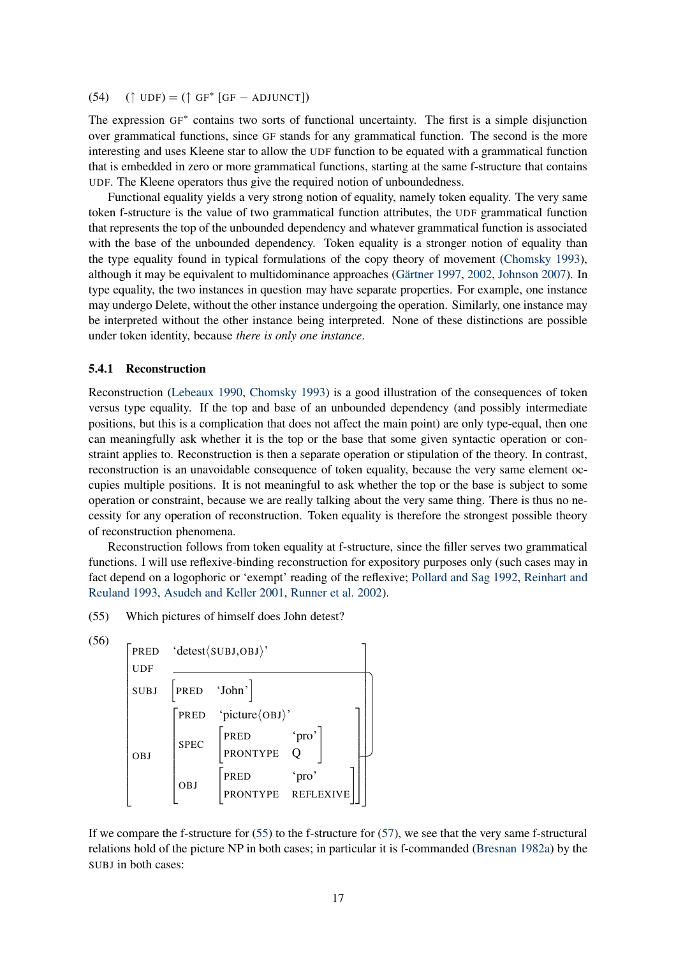<span id="page-18-2"></span>(54)  $(\uparrow \text{UDF}) = (\uparrow \text{GF}^* \text{ [GF} - \text{ADJUNCT}])$ 

The expression GF<sup>\*</sup> contains two sorts of functional uncertainty. The first is a simple disjunction over grammatical functions, since GF stands for any grammatical function. The second is the more interesting and uses Kleene star to allow the UDF function to be equated with a grammatical function that is embedded in zero or more grammatical functions, starting at the same f-structure that contains UDF. The Kleene operators thus give the required notion of unboundedness.

Functional equality yields a very strong notion of equality, namely token equality. The very same token f-structure is the value of two grammatical function attributes, the UDF grammatical function that represents the top of the unbounded dependency and whatever grammatical function is associated with the base of the unbounded dependency. Token equality is a stronger notion of equality than the type equality found in typical formulations of the copy theory of movement [\(Chomsky 1993\)](#page-47-11), although it may be equivalent to multidominance approaches (Gärtner 1997, [2002,](#page-49-9) [Johnson 2007](#page-50-11)). In type equality, the two instances in question may have separate properties. For example, one instance may undergo Delete, without the other instance undergoing the operation. Similarly, one instance may be interpreted without the other instance being interpreted. None of these distinctions are possible under token identity, because *there is only one instance*.

#### <span id="page-18-0"></span>**5.4.1 Reconstruction**

Reconstruction [\(Lebeaux 1990](#page-51-11), [Chomsky 1993](#page-47-11)) is a good illustration of the consequences of token versus type equality. If the top and base of an unbounded dependency (and possibly intermediate positions, but this is a complication that does not affect the main point) are only type-equal, then one can meaningfully ask whether it is the top or the base that some given syntactic operation or constraint applies to. Reconstruction is then a separate operation or stipulation of the theory. In contrast, reconstruction is an unavoidable consequence of token equality, because the very same element occupies multiple positions. It is not meaningful to ask whether the top or the base is subject to some operation or constraint, because we are really talking about the very same thing. There is thus no necessity for any operation of reconstruction. Token equality is therefore the strongest possible theory of reconstruction phenomena.

Reconstruction follows from token equality at f-structure, since the filler serves two grammatical functions. I will use reflexive-binding reconstruction for expository purposes only (such cases may in fact dep[end on a logophoric or 'exempt' reading of the reflexive;](#page-52-11) [Pollard and Sag 1992,](#page-51-12) Reinhart and Reuland [1993,](#page-52-11) [Asudeh and Keller 2001](#page-46-13), [Runner et al. 2002](#page-52-12)).

<span id="page-18-1"></span>(55) Which pictures of himself does John detest?



If we compare the f-structure for  $(55)$  to the f-structure for  $(57)$ , we see that the very same f-structural relations hold of the picture NP in both cases; in particular it is f-commanded [\(Bresnan 1982a](#page-47-12)) by the SUBJ in both cases: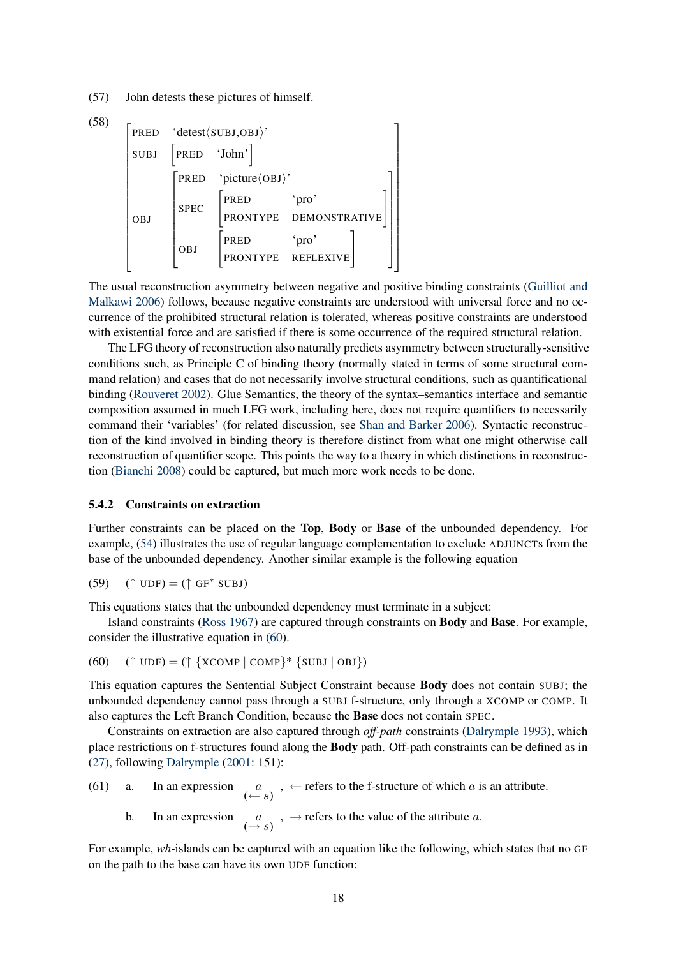<span id="page-19-1"></span>(57) John detests these pictures of himself.

$$
(58)
$$

(58)

\n
$$
\begin{bmatrix}\n\text{PRED} & 'detect \langle \text{SUBJ,OBJ} \rangle \\
\text{SUBJ} & \begin{bmatrix}\n\text{PRED} & 'John' \\
\text{PRED} & 'picture \langle \text{OBJ} \rangle \\
\text{SPEC} & \begin{bmatrix}\n\text{PRED} & \langle \text{pro} \rangle \\
\text{PRED} & \langle \text{pro} \rangle \\
\text{PRONType} & \text{DEMONSTRATIVE} \\
\text{DBJ} & \begin{bmatrix}\n\text{PRED} & \langle \text{pro} \rangle \\
\text{PRED} & \langle \text{pro} \rangle \\
\text{PRED} & \langle \text{pro} \rangle \\
\text{PRED} & \langle \text{pro} \rangle \\
\text{PRONTYPE} & \text{REFLEXIVE}\n\end{bmatrix}\n\end{bmatrix}
$$
\n

The usu[al reconstruction asymmetry between negative and positive binding constraints \(](#page-49-2)Guilliot and Malkawi [2006](#page-49-2)) follows, because negative constraints are understood with universal force and no occurrence of the prohibited structural relation is tolerated, whereas positive constraints are understood with existential force and are satisfied if there is some occurrence of the required structural relation.

The LFG theory of reconstruction also naturally predicts asymmetry between structurally-sensitive conditions such, as Principle C of binding theory (normally stated in terms of some structural command relation) and cases that do not necessarily involve structural conditions, such as quantificational binding [\(Rouveret 2002\)](#page-52-4). Glue Semantics, the theory of the syntax–semantics interface and semantic composition assumed in much LFG work, including here, does not require quantifiers to necessarily command their 'variables' (for related discussion, see [Shan and Barker 2006](#page-52-13)). Syntactic reconstruction of the kind involved in binding theory is therefore distinct from what one might otherwise call reconstruction of quantifier scope. This points the way to a theory in which distinctions in reconstruction [\(Bianchi 2008\)](#page-47-3) could be captured, but much more work needs to be done.

#### <span id="page-19-0"></span>**5.4.2 Constraints on extraction**

Further constraints can be placed on the **Top**, **Body** or **Base** of the unbounded dependency. For example, [\(54\)](#page-18-2) illustrates the use of regular language complementation to exclude ADJUNCTs from the base of the unbounded dependency. Another similar example is the following equation

(59) 
$$
(\uparrow \text{UDF}) = (\uparrow \text{GF}^* \text{SUBJ})
$$

This equations states that the unbounded dependency must terminate in a subject:

<span id="page-19-2"></span>Island constraints [\(Ross 1967](#page-52-14)) are captured through constraints on **Body** and **Base**. For example, consider the illustrative equation in [\(60\)](#page-19-2).

(60) 
$$
(\uparrow \text{UDF}) = (\uparrow \{XCOMP \mid COMP\}^* \{SUBJ \mid OBJ\})
$$

This equation captures the Sentential Subject Constraint because **Body** does not contain SUBJ; the unbounded dependency cannot pass through a SUBJ f-structure, only through a XCOMP or COMP. It also captures the Left Branch Condition, because the **Base** does not contain SPEC.

Constraints on extraction are also captured through *off-path* constraints [\(Dalrymple 1993](#page-47-10)), which place restrictions on f-structures found along the **Body** path. Off-path constraints can be defined as in [\(27\)](#page-8-2), following [Dalrymple](#page-47-1) [\(2001](#page-47-1): 151):

(61) a. In an expression  $a$  $(\leftarrow s)$ ,  $\leftarrow$  refers to the f-structure of which a is an attribute. b. In an expression  $a$  $(\rightarrow s)$ ,  $\rightarrow$  refers to the value of the attribute a.

For example, *wh*-islands can be captured with an equation like the following, which states that no GF on the path to the base can have its own UDF function: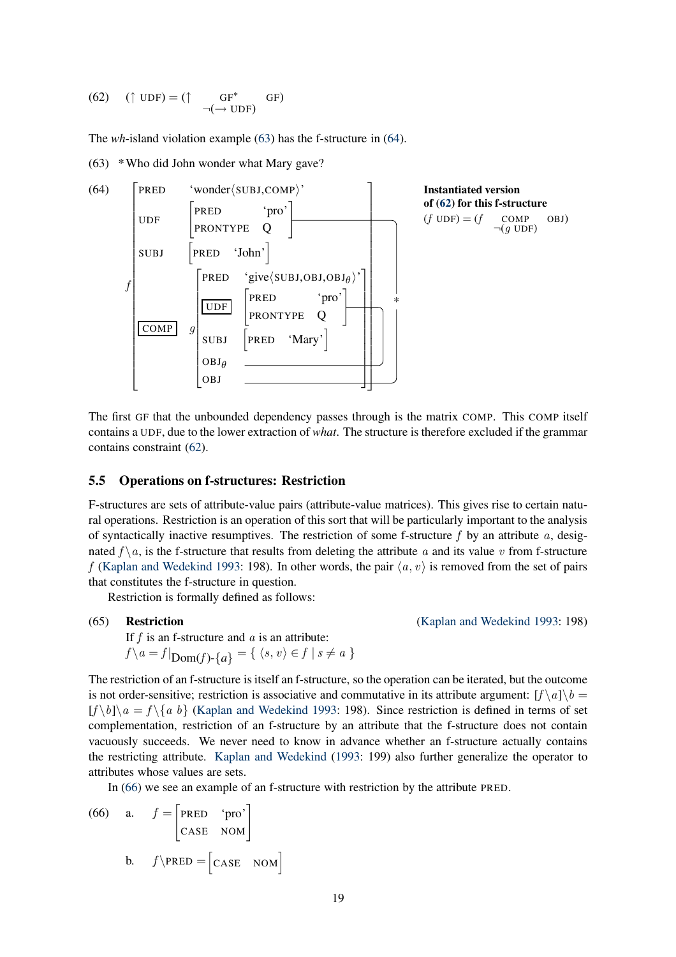<span id="page-20-3"></span>(62) 
$$
(\uparrow \text{ UDF}) = (\uparrow \quad \text{GF}^* \quad \text{GF})
$$

The *wh*-island violation example [\(63\)](#page-20-1) has the f-structure in [\(64\)](#page-20-2).

 $(63)$  \*Who did John wonder what Mary gave?

<span id="page-20-2"></span><span id="page-20-1"></span>

The first GF that the unbounded dependency passes through is the matrix COMP. This COMP itself contains a UDF, due to the lower extraction of *what*. The structure is therefore excluded if the grammar contains constraint [\(62\)](#page-20-3).

#### <span id="page-20-0"></span>**5.5 Operations on f-structures: Restriction**

F-structures are sets of attribute-value pairs (attribute-value matrices). This gives rise to certain natural operations. Restriction is an operation of this sort that will be particularly important to the analysis of syntactically inactive resumptives. The restriction of some f-structure f by an attribute a, designated  $f \mid a$ , is the f-structure that results from deleting the attribute a and its value v from f-structure f [\(Kaplan and Wedekind 1993](#page-50-3): 198). In other words, the pair  $\langle a, v \rangle$  is removed from the set of pairs that constitutes the f-structure in question.

Restriction is formally defined as follows:

(65) **Restriction** [\(Kaplan and Wedekind 1993](#page-50-3): 198)

If  $f$  is an f-structure and  $a$  is an attribute:  $f \setminus a = f|_{\text{Dom}(f)-\{a\}} = \{ \langle s, v \rangle \in f \mid s \neq a \}$ 

The restriction of an f-structure is itself an f-structure, so the operation can be iterated, but the outcome is not order-sensitive; restriction is associative and commutative in its attribute argument:  $[f \mid a] \mid b =$  $[f \mid b] \setminus a = f \setminus \{a \mid b\}$  [\(Kaplan and Wedekind 1993](#page-50-3): 198). Since restriction is defined in terms of set complementation, restriction of an f-structure by an attribute that the f-structure does not contain vacuously succeeds. We never need to know in advance whether an f-structure actually contains the restricting attribute. [Kaplan and Wedekind](#page-50-3) [\(1993:](#page-50-3) 199) also further generalize the operator to attributes whose values are sets.

In [\(66\)](#page-20-4) we see an example of an f-structure with restriction by the attribute PRED.

<span id="page-20-4"></span>(66) a. 
$$
f = \begin{bmatrix} PRED & 'pro' \\ CASE & NOM \end{bmatrix}
$$
  
b.  $f \backslash PRED = \begin{bmatrix} CASE & NOM \end{bmatrix}$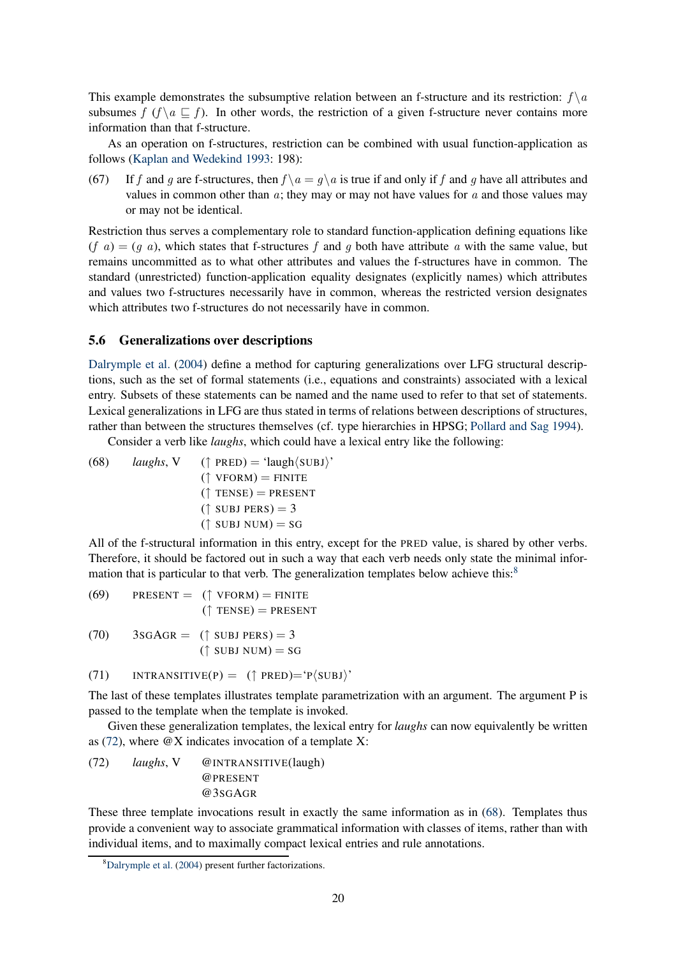This example demonstrates the subsumptive relation between an f-structure and its restriction:  $f \setminus a$ subsumes f  $(f \setminus a \sqsubseteq f)$ . In other words, the restriction of a given f-structure never contains more information than that f-structure.

As an operation on f-structures, restriction can be combined with usual function-application as follows [\(Kaplan and Wedekind 1993:](#page-50-3) 198):

(67) If f and g are f-structures, then  $f \setminus a = g \setminus a$  is true if and only if f and g have all attributes and values in common other than  $\alpha$ ; they may or may not have values for  $\alpha$  and those values may or may not be identical.

Restriction thus serves a complementary role to standard function-application defining equations like  $(f \ a) = (g \ a)$ , which states that f-structures f and g both have attribute a with the same value, but remains uncommitted as to what other attributes and values the f-structures have in common. The standard (unrestricted) function-application equality designates (explicitly names) which attributes and values two f-structures necessarily have in common, whereas the restricted version designates which attributes two f-structures do not necessarily have in common.

#### <span id="page-21-0"></span>**5.6 Generalizations over descriptions**

Dalrymple et al. [\(2004\)](#page-48-6) define a method for capturing generalizations over LFG structural descriptions, such as the set of formal statements (i.e., equations and constraints) associated with a lexical entry. Subsets of these statements can be named and the name used to refer to that set of statements. Lexical generalizations in LFG are thus stated in terms of relations between descriptions of structures, rather than between the structures themselves (cf. type hierarchies in HPSG; [Pollard and Sag 1994](#page-51-8)).

Consider a verb like *laughs*, which could have a lexical entry like the following:

<span id="page-21-3"></span>(68) *laughs*, V 
$$
(\uparrow
$$
 PRED) = 'laugh $\langle$ SUBJ $\rangle$ '  
\n( $\uparrow$  VFORM) = FINITE  
\n( $\uparrow$  TENSE) = PRESENT  
\n( $\uparrow$  SUBJ PERS) = 3  
\n( $\uparrow$  SUBJ NUM) = SG

All of the f-structural information in this entry, except for the PRED value, is shared by other verbs. Therefore, it should be factored out in such a way that each verb needs only state the minimal information that is particular to that verb. The generalization templates below achieve this: $8$ 

| (69) | PRESENT = $(\uparrow \text{VFORM})$ = FINITE |
|------|----------------------------------------------|
|      | $(\uparrow$ TENSE) = PRESENT                 |

(70) 
$$
3SGAGR = (\uparrow \text{SUBJ PERS}) = 3
$$

$$
(\uparrow \text{SUBJ NUM}) = SG
$$

(71) INTRANSITIVE(P) = (
$$
\uparrow
$$
 PRED)= ' $P$   $\langle$  SUBJ $\rangle$ '

The last of these templates illustrates template parametrization with an argument. The argument P is passed to the template when the template is invoked.

<span id="page-21-2"></span>Given these generalization templates, the lexical entry for *laughs* can now equivalently be written as [\(72\)](#page-21-2), where  $\mathcal{Q}X$  indicates invocation of a template X:

(72) *laughs*, V @INTRANSITIVE(laugh) @PRESENT @3SGAGR

These three template invocations result in exactly the same information as in [\(68\)](#page-21-3). Templates thus provide a convenient way to associate grammatical information with classes of items, rather than with individual items, and to maximally compact lexical entries and rule annotations.

<span id="page-21-1"></span><sup>8</sup>[Dalrymple et al.](#page-48-6) [\(2004](#page-48-6)) present further factorizations.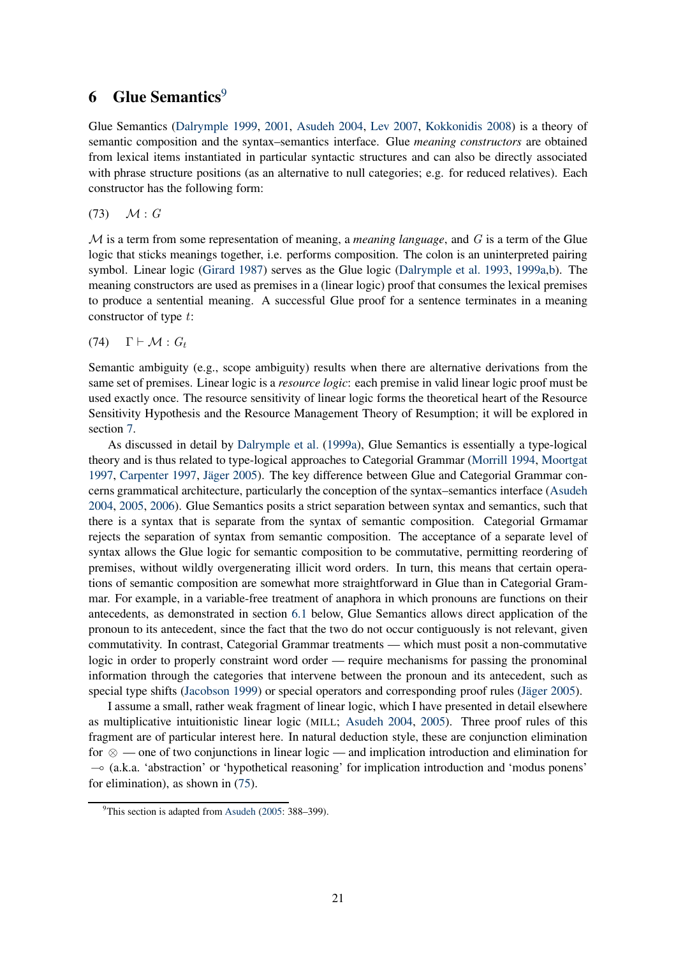## <span id="page-22-0"></span>**6** Glue Semantics<sup>[9](#page-22-1)</sup>

Glue Semantics [\(Dalrymple 1999,](#page-47-0) [2001,](#page-47-1) [Asudeh 2004,](#page-46-0) [Lev 2007](#page-51-13), [Kokkonidis 2008](#page-50-12)) is a theory of semantic composition and the syntax–semantics interface. Glue *meaning constructors* are obtained from lexical items instantiated in particular syntactic structures and can also be directly associated with phrase structure positions (as an alternative to null categories; e.g. for reduced relatives). Each constructor has the following form:

 $(73) \quad \mathcal{M}: G$ 

M is a term from some representation of meaning, a *meaning language*, and G is a term of the Glue logic that sticks meanings together, i.e. performs composition. The colon is an uninterpreted pairing symbol. Linear logic [\(Girard 1987\)](#page-49-0) serves as the Glue logic [\(Dalrymple et al. 1993,](#page-48-0) [1999a](#page-48-9)[,b\)](#page-48-10). The meaning constructors are used as premises in a (linear logic) proof that consumes the lexical premises to produce a sentential meaning. A successful Glue proof for a sentence terminates in a meaning constructor of type t:

(74)  $\Gamma \vdash \mathcal{M} : G_t$ 

Semantic ambiguity (e.g., scope ambiguity) results when there are alternative derivations from the same set of premises. Linear logic is a *resource logic*: each premise in valid linear logic proof must be used exactly once. The resource sensitivity of linear logic forms the theoretical heart of the Resource Sensitivity Hypothesis and the Resource Management Theory of Resumption; it will be explored in section [7.](#page-25-1)

As discussed in detail by [Dalrymple et al.](#page-48-9) [\(1999a](#page-48-9)), Glue Semantics is essentially a type-logical theory and is thus related to type-logical approaches to Categorial Grammar [\(Morrill 1994](#page-51-14), [Moortgat](#page-51-15) [1997,](#page-51-15) [Carpenter 1997](#page-47-13), Jäger 2005). The key difference between Glue and Categorial Grammar concerns grammatical architecture, particularly the conception of the syntax–semantics interface [\(Asudeh](#page-46-0) [2004,](#page-46-0) [2005,](#page-46-14) [2006\)](#page-46-9). Glue Semantics posits a strict separation between syntax and semantics, such that there is a syntax that is separate from the syntax of semantic composition. Categorial Grmamar rejects the separation of syntax from semantic composition. The acceptance of a separate level of syntax allows the Glue logic for semantic composition to be commutative, permitting reordering of premises, without wildly overgenerating illicit word orders. In turn, this means that certain operations of semantic composition are somewhat more straightforward in Glue than in Categorial Grammar. For example, in a variable-free treatment of anaphora in which pronouns are functions on their antecedents, as demonstrated in section [6.1](#page-24-0) below, Glue Semantics allows direct application of the pronoun to its antecedent, since the fact that the two do not occur contiguously is not relevant, given commutativity. In contrast, Categorial Grammar treatments — which must posit a non-commutative logic in order to properly constraint word order — require mechanisms for passing the pronominal information through the categories that intervene between the pronoun and its antecedent, such as special type shifts [\(Jacobson 1999\)](#page-49-11) or special operators and corresponding proof rules (Jäger 2005).

I assume a small, rather weak fragment of linear logic, which I have presented in detail elsewhere as multiplicative intuitionistic linear logic (MILL; [Asudeh 2004](#page-46-0), [2005\)](#page-46-14). Three proof rules of this fragment are of particular interest here. In natural deduction style, these are conjunction elimination for ⊗ — one of two conjunctions in linear logic — and implication introduction and elimination for ⊸ (a.k.a. 'abstraction' or 'hypothetical reasoning' for implication introduction and 'modus ponens' for elimination), as shown in [\(75\)](#page-22-2).

<span id="page-22-2"></span><span id="page-22-1"></span><sup>&</sup>lt;sup>9</sup>This section is adapted from [Asudeh](#page-46-14) [\(2005](#page-46-14): 388–399).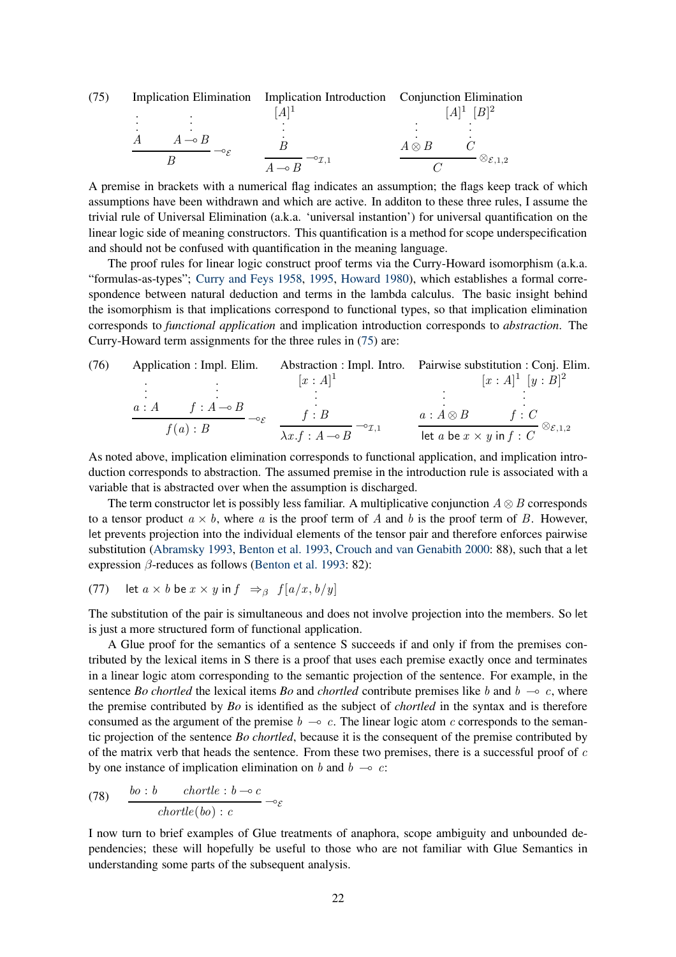(75) Implication Elimination Implication Introduction Conjunction Elimination  $\vdots$ A  $\vdots$ <br>A → B  $\multimap_{\mathcal{E}}$ B  $[A]$ <sup>1</sup> · · ·  $rac{B}{A \rightarrow B}$  ⊸ $T,1$ · · ·  $A \otimes B$  $[A]^{1}$   $[B]^{2}$ · · ·  $\mathcal{C}$  $\overline{C}$   $\otimes_{\mathcal{E},1,2}$ 

A premise in brackets with a numerical flag indicates an assumption; the flags keep track of which assumptions have been withdrawn and which are active. In additon to these three rules, I assume the trivial rule of Universal Elimination (a.k.a. 'universal instantion') for universal quantification on the linear logic side of meaning constructors. This quantification is a method for scope underspecification and should not be confused with quantification in the meaning language.

The proof rules for linear logic construct proof terms via the Curry-Howard isomorphism (a.k.a. "formulas-as-types"; [Curry and Feys 1958,](#page-47-14) [1995,](#page-47-15) [Howard 1980\)](#page-49-12), which establishes a formal correspondence between natural deduction and terms in the lambda calculus. The basic insight behind the isomorphism is that implications correspond to functional types, so that implication elimination corresponds to *functional application* and implication introduction corresponds to *abstraction*. The Curry-Howard term assignments for the three rules in [\(75\)](#page-22-2) are:

(76) Application : Impl. Elim. Abstraction : Impl. Intro. Pairwise substitution : Conj. Elim.  
\n
$$
\begin{array}{ccc}\n&\text{A} & \text{B} \\
\vdots & \vdots & \vdots \\
a : A & f : A \rightarrow B \\
f(a) : B & \lambda x.f : A \rightarrow B\n\end{array}\n\rightarrow x,1\n\begin{array}{ccc}\na : A \otimes B & f : C \\
\downarrow a : A \otimes B & f : C \\
\vdots & \vdots & \vdots \\
a : A \otimes B & f : C \\
\hline\n\end{array}\n\rightarrow x,1\n\begin{array}{ccc}\na : A \otimes B & f : C \\
\downarrow a \text{ be } x \times y \text{ in } f : C\n\end{array}
$$

As noted above, implication elimination corresponds to functional application, and implication introduction corresponds to abstraction. The assumed premise in the introduction rule is associated with a variable that is abstracted over when the assumption is discharged.

The term constructor let is possibly less familiar. A multiplicative conjunction  $A \otimes B$  corresponds to a tensor product  $a \times b$ , where a is the proof term of A and b is the proof term of B. However, let prevents projection into the individual elements of the tensor pair and therefore enforces pairwise substitution [\(Abramsky 1993,](#page-46-15) [Benton et al. 1993,](#page-46-16) [Crouch and van Genabith 2000:](#page-47-16) 88), such that a let expression  $β$ -reduces as follows [\(Benton et al. 1993:](#page-46-16) 82):

(77) let 
$$
a \times b
$$
 be  $x \times y$  in  $f \Rightarrow_{\beta} f[a/x, b/y]$ 

The substitution of the pair is simultaneous and does not involve projection into the members. So let is just a more structured form of functional application.

A Glue proof for the semantics of a sentence S succeeds if and only if from the premises contributed by the lexical items in S there is a proof that uses each premise exactly once and terminates in a linear logic atom corresponding to the semantic projection of the sentence. For example, in the sentence *Bo chortled* the lexical items *Bo* and *chortled* contribute premises like b and  $b \rightarrow c$ , where the premise contributed by *Bo* is identified as the subject of *chortled* in the syntax and is therefore consumed as the argument of the premise  $b \sim c$ . The linear logic atom c corresponds to the semantic projection of the sentence *Bo chortled*, because it is the consequent of the premise contributed by of the matrix verb that heads the sentence. From these two premises, there is a successful proof of  $c$ by one instance of implication elimination on b and b  $\multimap$  c:

(78) 
$$
\frac{bo : b \quad \text{chortle} : b \rightarrow c}{\text{chortle}(bo) : c} \rightarrow \varepsilon
$$

I now turn to brief examples of Glue treatments of anaphora, scope ambiguity and unbounded dependencies; these will hopefully be useful to those who are not familiar with Glue Semantics in understanding some parts of the subsequent analysis.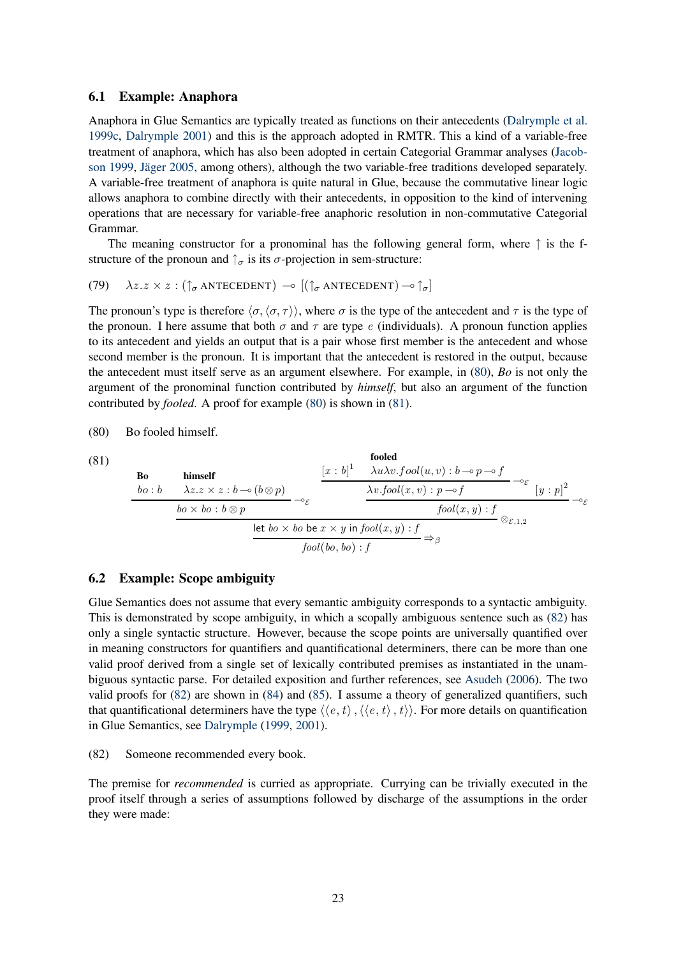#### <span id="page-24-0"></span>**6.1 Example: Anaphora**

Anaphora in Glue Semantics are typically treated as functions on their antecedents [\(Dalrymple et al.](#page-48-11) [1999c](#page-48-11), [Dalrymple 2001\)](#page-47-1) and this is the approach adopted in RMTR. This a kind of a variable-free tre[atment of anaphora, which has also been adopted in certain Categorial Grammar analyses \(](#page-49-11)Jacob-son [1999,](#page-49-11) Jäger 2005, among others), although the two variable-free traditions developed separately. A variable-free treatment of anaphora is quite natural in Glue, because the commutative linear logic allows anaphora to combine directly with their antecedents, in opposition to the kind of intervening operations that are necessary for variable-free anaphoric resolution in non-commutative Categorial Grammar.

The meaning constructor for a pronominal has the following general form, where  $\uparrow$  is the fstructure of the pronoun and  $\uparrow_{\sigma}$  is its  $\sigma$ -projection in sem-structure:

(79)  $\lambda z. z \times z : (\uparrow_{\sigma} \text{ANTECEDENT}) \rightarrow [(\uparrow_{\sigma} \text{ANTECEDENT}) \rightarrow \uparrow_{\sigma}]$ 

The pronoun's type is therefore  $\langle \sigma, \langle \sigma, \tau \rangle \rangle$ , where  $\sigma$  is the type of the antecedent and  $\tau$  is the type of the pronoun. I here assume that both  $\sigma$  and  $\tau$  are type e (individuals). A pronoun function applies to its antecedent and yields an output that is a pair whose first member is the antecedent and whose second member is the pronoun. It is important that the antecedent is restored in the output, because the antecedent must itself serve as an argument elsewhere. For example, in [\(80\)](#page-24-2), *Bo* is not only the argument of the pronominal function contributed by *himself*, but also an argument of the function contributed by *fooled*. A proof for example [\(80\)](#page-24-2) is shown in [\(81\)](#page-24-3).

<span id="page-24-3"></span><span id="page-24-2"></span>(80) Bo fooled himself.

(81) **Bo** bo : b **himself** λz.z × z : b⊸(b ⊗ p) ⊸<sup>E</sup> bo × bo : b ⊗ p [x : b] 1 **fooled** λuλv.fool(u, v) : b⊸p⊸f ⊸<sup>E</sup> λv.fool(x , v) : p ⊸f [y : p] 2 ⊸<sup>E</sup> fool(x , y) : f ⊗<sup>E</sup>,1,<sup>2</sup> let bo × bo be x × y in fool(x , y) : f ⇒<sup>β</sup> fool(bo, bo) : f

#### <span id="page-24-1"></span>**6.2 Example: Scope ambiguity**

Glue Semantics does not assume that every semantic ambiguity corresponds to a syntactic ambiguity. This is demonstrated by scope ambiguity, in which a scopally ambiguous sentence such as [\(82\)](#page-24-4) has only a single syntactic structure. However, because the scope points are universally quantified over in meaning constructors for quantifiers and quantificational determiners, there can be more than one valid proof derived from a single set of lexically contributed premises as instantiated in the unambiguous syntactic parse. For detailed exposition and further references, see [Asudeh](#page-46-9) [\(2006\)](#page-46-9). The two valid proofs for [\(82\)](#page-24-4) are shown in [\(84\)](#page-25-2) and [\(85\)](#page-25-3). I assume a theory of generalized quantifiers, such that quantificational determiners have the type  $\langle\langle e,t\rangle,\langle\langle e,t\rangle,t\rangle$ . For more details on quantification in Glue Semantics, see [Dalrymple](#page-47-0) [\(1999,](#page-47-0) [2001](#page-47-1)).

<span id="page-24-4"></span>(82) Someone recommended every book.

The premise for *recommended* is curried as appropriate. Currying can be trivially executed in the proof itself through a series of assumptions followed by discharge of the assumptions in the order they were made: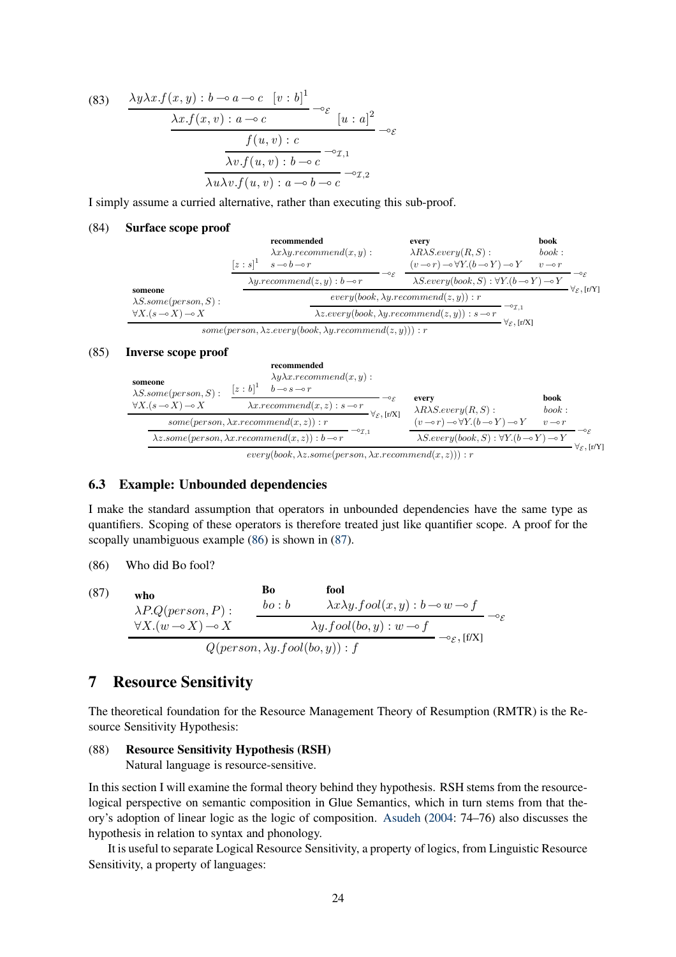(83) 
$$
\frac{\lambda y \lambda x.f(x, y) : b \to a \to c \quad [v:b]^1}{\lambda x.f(x, v) : a \to c} \xrightarrow{-\infty} [u:a]^2
$$

$$
\frac{f(u,v) : c}{\lambda v.f(u,v) : b \to c} \xrightarrow{-\infty} \mathcal{I},
$$

$$
\frac{\lambda v.f(u,v) : b \to c}{\lambda u \lambda v.f(u,v) : a \to b \to c} \xrightarrow{-\infty} \mathcal{I},
$$

<span id="page-25-2"></span>I simply assume a curried alternative, rather than executing this sub-proof.

#### (84) **Surface scope proof**

|                                                                                       | recommended<br>$\lambda x \lambda y$ .recommend $(x, y)$ :<br>$[z:s]^{\perp}$<br>$s\rightarrow b\rightarrow r$             | every<br>$\lambda R\lambda S.every(R, S)$ :<br>$(v \rightarrow r) \rightarrow \forall Y . (b \rightarrow Y) \rightarrow Y$ | book<br>book:<br>$v \rightarrow r$ |  |  |
|---------------------------------------------------------------------------------------|----------------------------------------------------------------------------------------------------------------------------|----------------------------------------------------------------------------------------------------------------------------|------------------------------------|--|--|
|                                                                                       | $\lambda y$ .recommend $(z, y) : b \rightarrow r$                                                                          | $\lambda S.every(book, S) : \forall Y.(b \rightarrow Y) \rightarrow Y$                                                     | $\forall_{\mathcal{E}}$ , [r/Y]    |  |  |
| someone<br>$\lambda S. some (person, S)$ :<br>$\forall X.(s \multimap X) \multimap X$ | $every (book, \lambda y. recommend(z, y)) : r$                                                                             |                                                                                                                            |                                    |  |  |
|                                                                                       | $-\sigma$ T. 1<br>$\lambda z. every (book, \lambda y. recommend(z, y)) : s \rightarrow r$<br>$\forall \varepsilon$ , [r/X] |                                                                                                                            |                                    |  |  |
|                                                                                       | $some(person, \lambda z.every(book, \lambda y.recommand(z, y))) : r$                                                       |                                                                                                                            |                                    |  |  |

#### <span id="page-25-3"></span>(85) **Inverse scope proof**

| someone                                                                        | $[z:b]^{\perp}$ | recommended<br>$\lambda y \lambda x$ recommend $(x, y)$ :<br>$b \rightarrow s \rightarrow r$ |                                                                                         |                   |                    |
|--------------------------------------------------------------------------------|-----------------|----------------------------------------------------------------------------------------------|-----------------------------------------------------------------------------------------|-------------------|--------------------|
| $\lambda S. some (person, S)$ :<br>$\forall X.(s \rightarrow X) \rightarrow X$ |                 | $\lambda x$ .recommend $(x, z)$ : $s \rightarrow r$                                          | every<br>$\lambda R\lambda S.every(R, S)$ :                                             | book<br>book:     |                    |
|                                                                                |                 | $\forall \varepsilon$ , [r/X]<br>$some(person, \lambda x. recommend(x, z)) : r$              | $(v \rightarrow r) \rightarrow \forall Y . (b \rightarrow Y) \rightarrow Y$             | $v \rightarrow r$ |                    |
|                                                                                |                 | $\mathcal{I}$ ,1<br>$\lambda z. some (person, \lambda x. recommend(x, z)) : b \rightarrow r$ | $\lambda$ <i>S.every</i> (book, <i>S</i> ): $\forall Y.(b \rightarrow Y) \rightarrow Y$ |                   | $\forall$ s, [r/Y] |
|                                                                                |                 | every book $\lambda z$ some (person $\lambda x$ recommend(x z))) $\cdot r$                   |                                                                                         |                   |                    |

 $xy(book, \lambda z. some (person, \lambda x. recommend(x, z)))$ 

### <span id="page-25-0"></span>**6.3 Example: Unbounded dependencies**

I make the standard assumption that operators in unbounded dependencies have the same type as quantifiers. Scoping of these operators is therefore treated just like quantifier scope. A proof for the scopally unambiguous example [\(86\)](#page-25-4) is shown in [\(87\)](#page-25-5).

<span id="page-25-5"></span><span id="page-25-4"></span>(86) Who did Bo fool?  
\n**Bo** fool  
\n(87) who  
\n
$$
\frac{1}{2} \int_{c}^{b} \frac{1}{b} \frac{1}{c} \frac{1}{c} \frac{1}{c} \frac{1}{c} \frac{1}{c} \frac{1}{c} \frac{1}{c} \frac{1}{c} \frac{1}{c} \frac{1}{c} \frac{1}{c} \frac{1}{c} \frac{1}{c} \frac{1}{c} \frac{1}{c} \frac{1}{c} \frac{1}{c} \frac{1}{c} \frac{1}{c} \frac{1}{c} \frac{1}{c} \frac{1}{c} \frac{1}{c} \frac{1}{c} \frac{1}{c} \frac{1}{c} \frac{1}{c} \frac{1}{c} \frac{1}{c} \frac{1}{c} \frac{1}{c} \frac{1}{c} \frac{1}{c} \frac{1}{c} \frac{1}{c} \frac{1}{c} \frac{1}{c} \frac{1}{c} \frac{1}{c} \frac{1}{c} \frac{1}{c} \frac{1}{c} \frac{1}{c} \frac{1}{c} \frac{1}{c} \frac{1}{c} \frac{1}{c} \frac{1}{c} \frac{1}{c} \frac{1}{c} \frac{1}{c} \frac{1}{c} \frac{1}{c} \frac{1}{c} \frac{1}{c} \frac{1}{c} \frac{1}{c} \frac{1}{c} \frac{1}{c} \frac{1}{c} \frac{1}{c} \frac{1}{c} \frac{1}{c} \frac{1}{c} \frac{1}{c} \frac{1}{c} \frac{1}{c} \frac{1}{c} \frac{1}{c} \frac{1}{c} \frac{1}{c} \frac{1}{c} \frac{1}{c} \frac{1}{c} \frac{1}{c} \frac{1}{c} \frac{1}{c} \frac{1}{c} \frac{1}{c} \frac{1}{c} \frac{1}{c} \frac{1}{c} \frac{1}{c} \frac{1}{c} \frac{1}{c} \frac{1}{c} \frac{1}{c} \frac{1}{c} \frac{1}{c} \frac{1}{c} \frac{1}{c} \frac{1}{c} \frac{1}{c} \frac{1}{c} \frac{1}{c} \frac{1}{c} \frac{1}{c} \frac{1}{c} \frac{1}{c} \frac{1}{c} \frac{1}{c} \
$$

| wno | $\lambda P.Q(person, P)$ :                  | bo:b | $\lambda x \lambda y.$ fool $(x, y) : b \rightarrow w \rightarrow f$ |                               |  |
|-----|---------------------------------------------|------|----------------------------------------------------------------------|-------------------------------|--|
|     | $\forall X.(w \rightarrow X) \rightarrow X$ |      | $\lambda y. f \circ o l(b \circ, y) : w \to f$                       |                               |  |
|     |                                             |      | $Q(person, \lambda y. fool(bo, y))$ : f                              | $\circ$ $\varepsilon$ , [f/X] |  |

## <span id="page-25-1"></span>**7 Resource Sensitivity**

The theoretical foundation for the Resource Management Theory of Resumption (RMTR) is the Resource Sensitivity Hypothesis:

#### (88) **Resource Sensitivity Hypothesis (RSH)**

Natural language is resource-sensitive.

In this section I will examine the formal theory behind they hypothesis. RSH stems from the resourcelogical perspective on semantic composition in Glue Semantics, which in turn stems from that theory's adoption of linear logic as the logic of composition. [Asudeh](#page-46-0) [\(2004:](#page-46-0) 74–76) also discusses the hypothesis in relation to syntax and phonology.

It is useful to separate Logical Resource Sensitivity, a property of logics, from Linguistic Resource Sensitivity, a property of languages: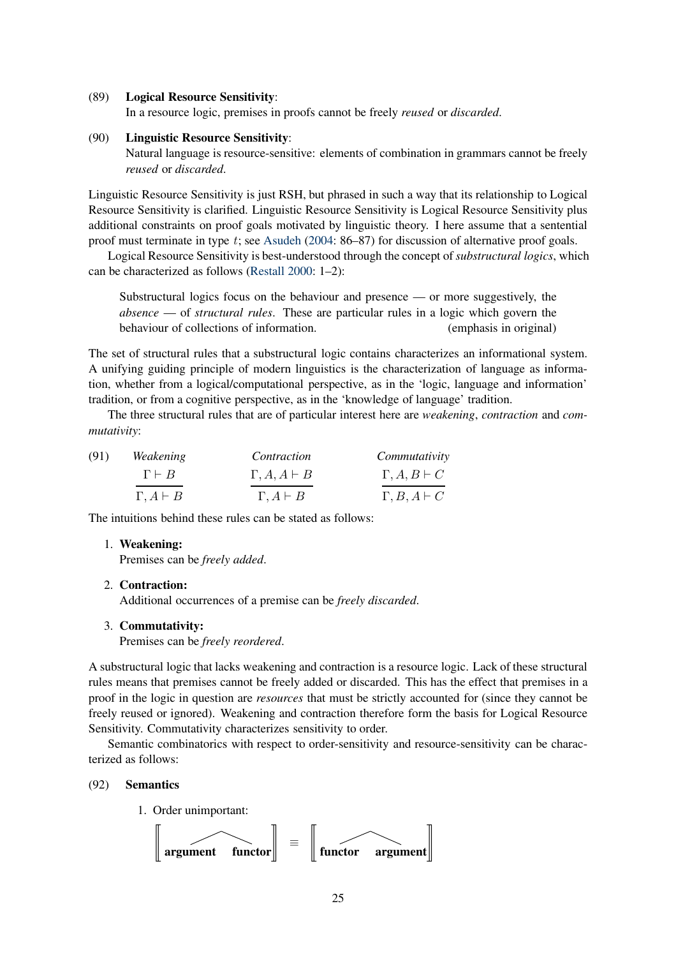#### (89) **Logical Resource Sensitivity**:

In a resource logic, premises in proofs cannot be freely *reused* or *discarded*.

#### (90) **Linguistic Resource Sensitivity**:

Natural language is resource-sensitive: elements of combination in grammars cannot be freely *reused* or *discarded*.

Linguistic Resource Sensitivity is just RSH, but phrased in such a way that its relationship to Logical Resource Sensitivity is clarified. Linguistic Resource Sensitivity is Logical Resource Sensitivity plus additional constraints on proof goals motivated by linguistic theory. I here assume that a sentential proof must terminate in type t; see [Asudeh](#page-46-0) [\(2004](#page-46-0): 86–87) for discussion of alternative proof goals.

Logical Resource Sensitivity is best-understood through the concept of *substructural logics*, which can be characterized as follows [\(Restall 2000:](#page-52-0) 1–2):

Substructural logics focus on the behaviour and presence — or more suggestively, the *absence* — of *structural rules*. These are particular rules in a logic which govern the behaviour of collections of information. (emphasis in original)

The set of structural rules that a substructural logic contains characterizes an informational system. A unifying guiding principle of modern linguistics is the characterization of language as information, whether from a logical/computational perspective, as in the 'logic, language and information' tradition, or from a cognitive perspective, as in the 'knowledge of language' tradition.

The three structural rules that are of particular interest here are *weakening*, *contraction* and *commutativity*:

| (91) | Weakening               | Contraction             | Commutativity           |
|------|-------------------------|-------------------------|-------------------------|
|      | $\Gamma \vdash B$       | $\Gamma, A, A \vdash B$ | $\Gamma, A, B \vdash C$ |
|      | $\Gamma$ . $A \vdash B$ | $\Gamma$ . $A \vdash B$ | $\Gamma, B, A \vdash C$ |

The intuitions behind these rules can be stated as follows:

#### 1. **Weakening:**

Premises can be *freely added*.

### 2. **Contraction:**

Additional occurrences of a premise can be *freely discarded*.

#### 3. **Commutativity:**

Premises can be *freely reordered*.

A substructural logic that lacks weakening and contraction is a resource logic. Lack of these structural rules means that premises cannot be freely added or discarded. This has the effect that premises in a proof in the logic in question are *resources* that must be strictly accounted for (since they cannot be freely reused or ignored). Weakening and contraction therefore form the basis for Logical Resource Sensitivity. Commutativity characterizes sensitivity to order.

Semantic combinatorics with respect to order-sensitivity and resource-sensitivity can be characterized as follows:

#### (92) **Semantics**

1. Order unimportant:

t **argument functor**<sup>|</sup> ≡ t **functor argument**<sup>|</sup>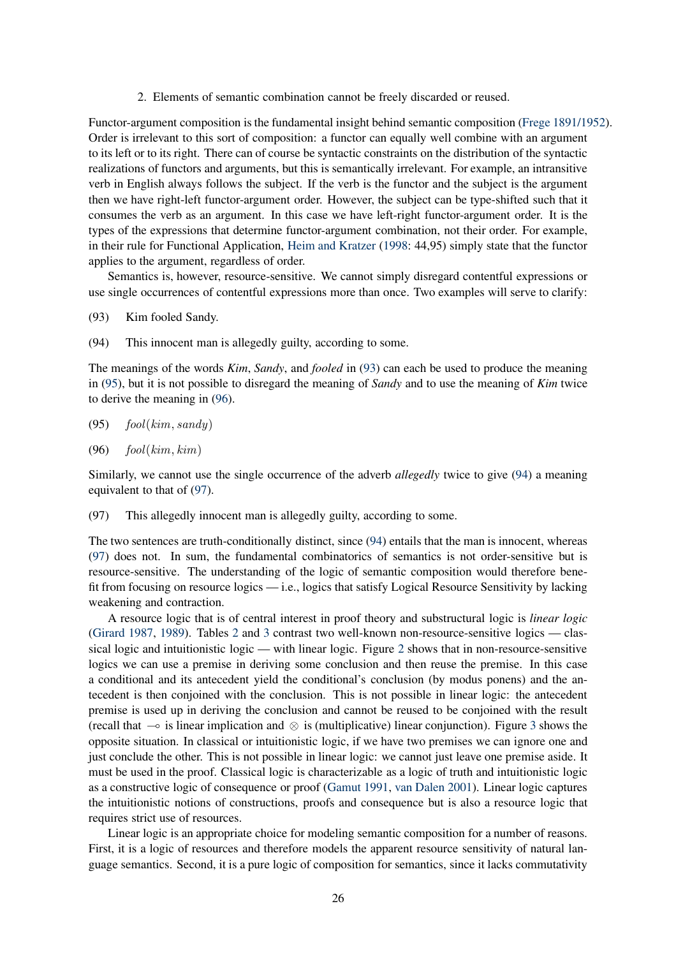2. Elements of semantic combination cannot be freely discarded or reused.

Functor-argument composition is the fundamental insight behind semantic composition [\(Frege 1891/1952\)](#page-48-12). Order is irrelevant to this sort of composition: a functor can equally well combine with an argument to its left or to its right. There can of course be syntactic constraints on the distribution of the syntactic realizations of functors and arguments, but this is semantically irrelevant. For example, an intransitive verb in English always follows the subject. If the verb is the functor and the subject is the argument then we have right-left functor-argument order. However, the subject can be type-shifted such that it consumes the verb as an argument. In this case we have left-right functor-argument order. It is the types of the expressions that determine functor-argument combination, not their order. For example, in their rule for Functional Application, [Heim and Kratzer](#page-49-7) [\(1998:](#page-49-7) 44,95) simply state that the functor applies to the argument, regardless of order.

<span id="page-27-0"></span>Semantics is, however, resource-sensitive. We cannot simply disregard contentful expressions or use single occurrences of contentful expressions more than once. Two examples will serve to clarify:

- <span id="page-27-3"></span>(93) Kim fooled Sandy.
- (94) This innocent man is allegedly guilty, according to some.

The meanings of the words *Kim*, *Sandy*, and *fooled* in [\(93\)](#page-27-0) can each be used to produce the meaning in [\(95\)](#page-27-1), but it is not possible to disregard the meaning of *Sandy* and to use the meaning of *Kim* twice to derive the meaning in [\(96\)](#page-27-2).

- <span id="page-27-2"></span><span id="page-27-1"></span> $(95)$  fool(kim, sandy)
- $(96)$  fool(kim, kim)

<span id="page-27-4"></span>Similarly, we cannot use the single occurrence of the adverb *allegedly* twice to give [\(94\)](#page-27-3) a meaning equivalent to that of [\(97\)](#page-27-4).

(97) This allegedly innocent man is allegedly guilty, according to some.

The two sentences are truth-conditionally distinct, since [\(94\)](#page-27-3) entails that the man is innocent, whereas [\(97\)](#page-27-4) does not. In sum, the fundamental combinatorics of semantics is not order-sensitive but is resource-sensitive. The understanding of the logic of semantic composition would therefore benefit from focusing on resource logics — i.e., logics that satisfy Logical Resource Sensitivity by lacking weakening and contraction.

A resource logic that is of central interest in proof theory and substructural logic is *linear logic* [\(Girard 1987,](#page-49-0) [1989](#page-49-13)). Tables [2](#page-28-1) and [3](#page-28-2) contrast two well-known non-resource-sensitive logics — classical logic and intuitionistic logic — with linear logic. Figure [2](#page-28-1) shows that in non-resource-sensitive logics we can use a premise in deriving some conclusion and then reuse the premise. In this case a conditional and its antecedent yield the conditional's conclusion (by modus ponens) and the antecedent is then conjoined with the conclusion. This is not possible in linear logic: the antecedent premise is used up in deriving the conclusion and cannot be reused to be conjoined with the result (recall that  $\sim$  is linear implication and  $\otimes$  is (multiplicative) linear conjunction). Figure [3](#page-28-2) shows the opposite situation. In classical or intuitionistic logic, if we have two premises we can ignore one and just conclude the other. This is not possible in linear logic: we cannot just leave one premise aside. It must be used in the proof. Classical logic is characterizable as a logic of truth and intuitionistic logic as a constructive logic of consequence or proof [\(Gamut 1991](#page-48-13), [van Dalen 2001\)](#page-52-15). Linear logic captures the intuitionistic notions of constructions, proofs and consequence but is also a resource logic that requires strict use of resources.

Linear logic is an appropriate choice for modeling semantic composition for a number of reasons. First, it is a logic of resources and therefore models the apparent resource sensitivity of natural language semantics. Second, it is a pure logic of composition for semantics, since it lacks commutativity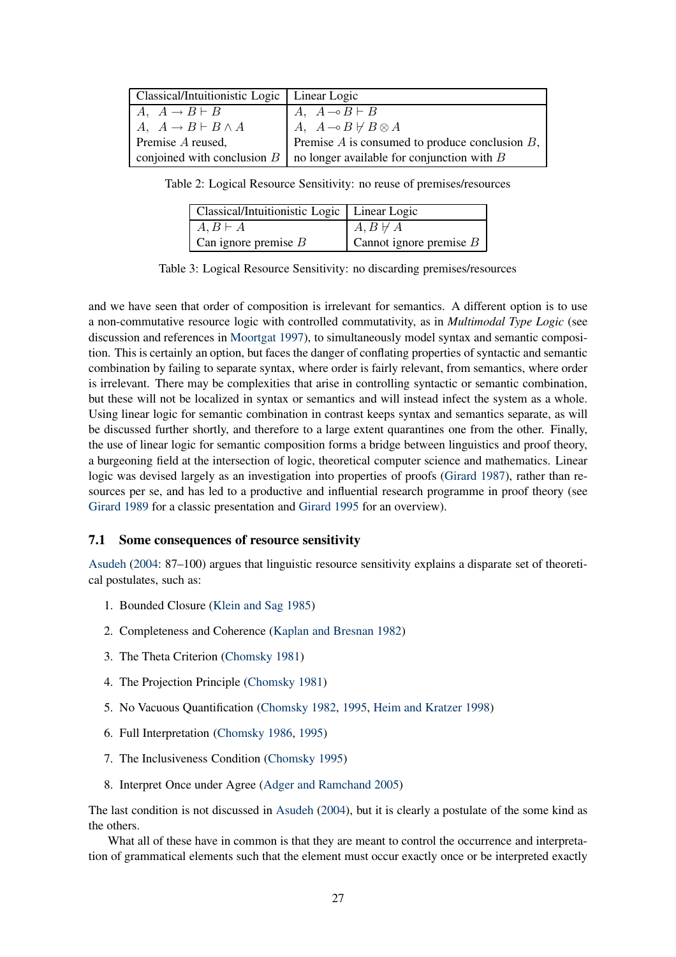| Classical/Intuitionistic Logic   Linear Logic |                                                     |
|-----------------------------------------------|-----------------------------------------------------|
| $A, A \rightarrow B \vdash B$                 | A, $A \rightarrow B \vdash B$                       |
| A, $A \rightarrow B \vdash B \wedge A$        | $A, A \multimap B \nvdash B \otimes A$              |
| Premise A reused,                             | Premise $A$ is consumed to produce conclusion $B$ , |
| conjoined with conclusion $B$                 | no longer available for conjunction with $B$        |

<span id="page-28-1"></span>Table 2: Logical Resource Sensitivity: no reuse of premises/resources

| Classical/Intuitionistic Logic   Linear Logic |                           |
|-----------------------------------------------|---------------------------|
| $A, B \vdash A$                               | $A, B \not\vdash A$       |
| Can ignore premise $B$                        | Cannot ignore premise $B$ |

<span id="page-28-2"></span>Table 3: Logical Resource Sensitivity: no discarding premises/resources

and we have seen that order of composition is irrelevant for semantics. A different option is to use a non-commutative resource logic with controlled commutativity, as in *Multimodal Type Logic* (see discussion and references in [Moortgat 1997](#page-51-15)), to simultaneously model syntax and semantic composition. This is certainly an option, but faces the danger of conflating properties of syntactic and semantic combination by failing to separate syntax, where order is fairly relevant, from semantics, where order is irrelevant. There may be complexities that arise in controlling syntactic or semantic combination, but these will not be localized in syntax or semantics and will instead infect the system as a whole. Using linear logic for semantic combination in contrast keeps syntax and semantics separate, as will be discussed further shortly, and therefore to a large extent quarantines one from the other. Finally, the use of linear logic for semantic composition forms a bridge between linguistics and proof theory, a burgeoning field at the intersection of logic, theoretical computer science and mathematics. Linear logic was devised largely as an investigation into properties of proofs [\(Girard 1987\)](#page-49-0), rather than resources per se, and has led to a productive and influential research programme in proof theory (see [Girard 1989](#page-49-13) for a classic presentation and [Girard 1995](#page-49-14) for an overview).

#### <span id="page-28-0"></span>**7.1 Some consequences of resource sensitivity**

Asudeh [\(2004](#page-46-0): 87–100) argues that linguistic resource sensitivity explains a disparate set of theoretical postulates, such as:

- 1. Bounded Closure [\(Klein and Sag 1985\)](#page-50-13)
- 2. Completeness and Coherence [\(Kaplan and Bresnan 1982](#page-50-4))
- 3. The Theta Criterion [\(Chomsky 1981](#page-47-4))
- 4. The Projection Principle [\(Chomsky 1981](#page-47-4))
- 5. No Vacuous Quantification [\(Chomsky 1982,](#page-47-17) [1995](#page-47-5), [Heim and Kratzer 1998](#page-49-7))
- 6. Full Interpretation [\(Chomsky 1986](#page-47-18), [1995\)](#page-47-5)
- 7. The Inclusiveness Condition [\(Chomsky 1995](#page-47-5))
- 8. Interpret Once under Agree [\(Adger and Ramchand 2005](#page-46-3))

The last condition is not discussed in [Asudeh](#page-46-0) [\(2004](#page-46-0)), but it is clearly a postulate of the some kind as the others.

What all of these have in common is that they are meant to control the occurrence and interpretation of grammatical elements such that the element must occur exactly once or be interpreted exactly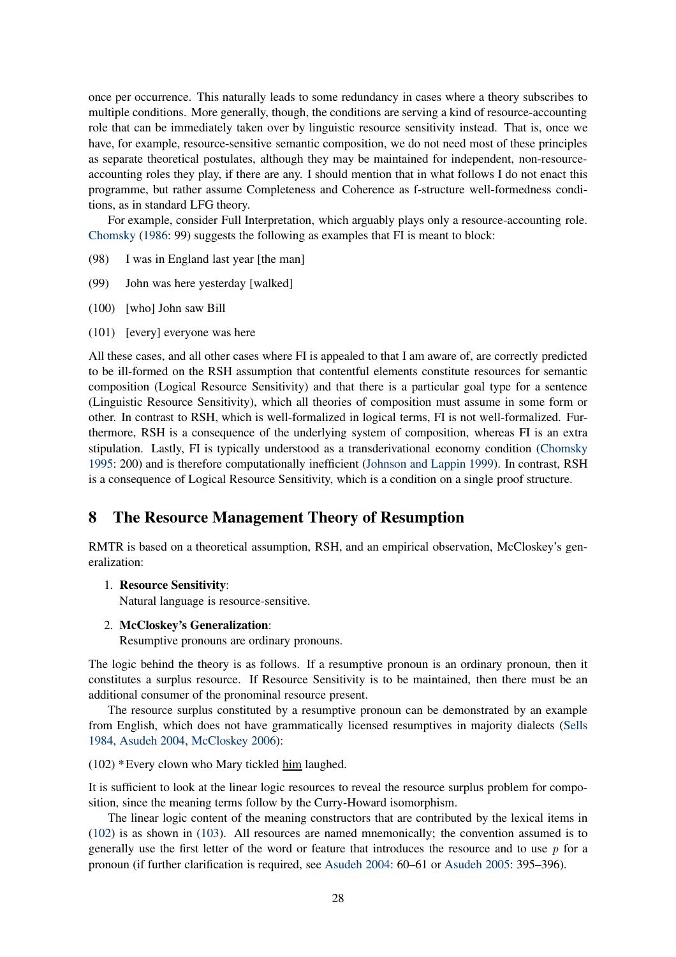once per occurrence. This naturally leads to some redundancy in cases where a theory subscribes to multiple conditions. More generally, though, the conditions are serving a kind of resource-accounting role that can be immediately taken over by linguistic resource sensitivity instead. That is, once we have, for example, resource-sensitive semantic composition, we do not need most of these principles as separate theoretical postulates, although they may be maintained for independent, non-resourceaccounting roles they play, if there are any. I should mention that in what follows I do not enact this programme, but rather assume Completeness and Coherence as f-structure well-formedness conditions, as in standard LFG theory.

For example, consider Full Interpretation, which arguably plays only a resource-accounting role. [Chomsky](#page-47-18) [\(1986:](#page-47-18) 99) suggests the following as examples that FI is meant to block:

- (98) I was in England last year [the man]
- (99) John was here yesterday [walked]
- (100) [who] John saw Bill
- (101) [every] everyone was here

All these cases, and all other cases where FI is appealed to that I am aware of, are correctly predicted to be ill-formed on the RSH assumption that contentful elements constitute resources for semantic composition (Logical Resource Sensitivity) and that there is a particular goal type for a sentence (Linguistic Resource Sensitivity), which all theories of composition must assume in some form or other. In contrast to RSH, which is well-formalized in logical terms, FI is not well-formalized. Furthermore, RSH is a consequence of the underlying system of composition, whereas FI is an extra stipulation. Lastly, FI is typically understood as a transderivational economy condition [\(Chomsky](#page-47-5) [1995:](#page-47-5) 200) and is therefore computationally inefficient [\(Johnson and Lappin 1999](#page-49-15)). In contrast, RSH is a consequence of Logical Resource Sensitivity, which is a condition on a single proof structure.

## <span id="page-29-0"></span>**8 The Resource Management Theory of Resumption**

RMTR is based on a theoretical assumption, RSH, and an empirical observation, McCloskey's generalization:

#### 1. **Resource Sensitivity**:

Natural language is resource-sensitive.

#### 2. **McCloskey's Generalization**:

Resumptive pronouns are ordinary pronouns.

The logic behind the theory is as follows. If a resumptive pronoun is an ordinary pronoun, then it constitutes a surplus resource. If Resource Sensitivity is to be maintained, then there must be an additional consumer of the pronominal resource present.

The resource surplus constituted by a resumptive pronoun can be demonstrated by an example from English, which does not have grammatically licensed resumptives in majority dialects [\(Sells](#page-52-1) [1984,](#page-52-1) [Asudeh 2004,](#page-46-0) [McCloskey 2006\)](#page-51-1):

<span id="page-29-1"></span>(102) \*Every clown who Mary tickled him laughed.

It is sufficient to look at the linear logic resources to reveal the resource surplus problem for composition, since the meaning terms follow by the Curry-Howard isomorphism.

The linear logic content of the meaning constructors that are contributed by the lexical items in [\(102\)](#page-29-1) is as shown in [\(103\)](#page-30-0). All resources are named mnemonically; the convention assumed is to generally use the first letter of the word or feature that introduces the resource and to use  $p$  for a pronoun (if further clarification is required, see [Asudeh 2004](#page-46-0): 60–61 or [Asudeh 2005:](#page-46-14) 395–396).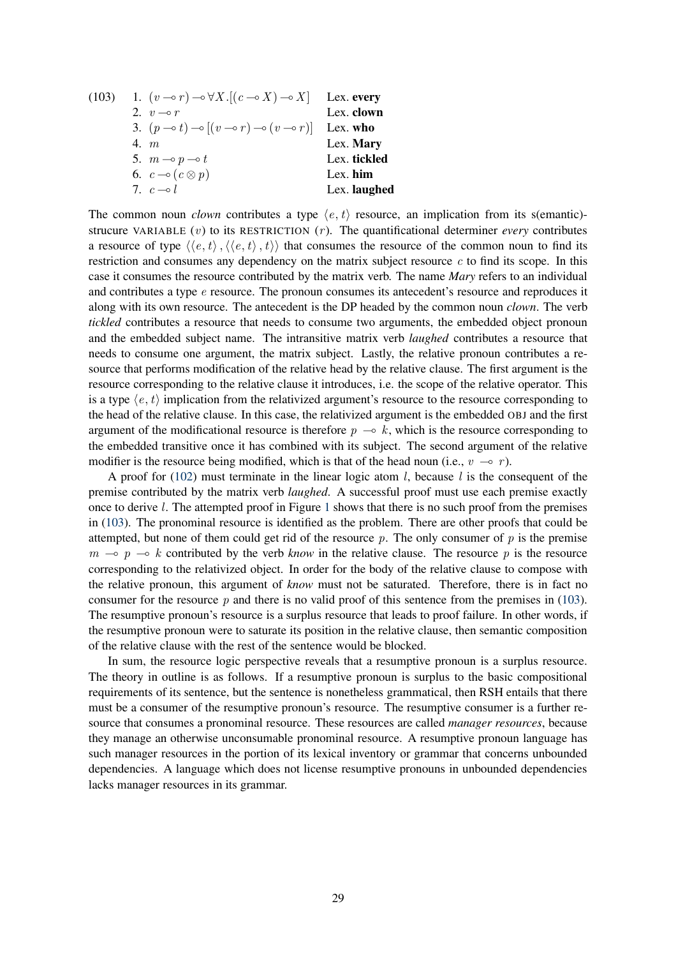<span id="page-30-0"></span>

| (103) | 1. $(v \rightarrow r) \rightarrow \forall X . [(c \rightarrow X) \rightarrow X]$ Lex. every           |              |
|-------|-------------------------------------------------------------------------------------------------------|--------------|
|       | 2. $v \rightarrow r$                                                                                  | Lex. clown   |
|       | 3. $(p \rightarrow t)$ $\rightarrow$ $[(v \rightarrow r)$ $\rightarrow$ $(v \rightarrow r)]$ Lex. who |              |
|       | 4. $m$                                                                                                | Lex. Mary    |
|       | 5. $m \rightarrow p \rightarrow t$                                                                    | Lex. tickled |
|       | 6. $c \neg o \, (c \otimes p)$                                                                        | Lex. him     |
|       | 7. $c \rightarrow l$                                                                                  | Lex. laughed |

The common noun *clown* contributes a type  $\langle e, t \rangle$  resource, an implication from its s(emantic)strucure VARIABLE  $(v)$  to its RESTRICTION  $(r)$ . The quantificational determiner *every* contributes a resource of type  $\langle\langle e,t\rangle,\langle\langle e,t\rangle,t\rangle\rangle$  that consumes the resource of the common noun to find its restriction and consumes any dependency on the matrix subject resource  $c$  to find its scope. In this case it consumes the resource contributed by the matrix verb. The name *Mary* refers to an individual and contributes a type e resource. The pronoun consumes its antecedent's resource and reproduces it along with its own resource. The antecedent is the DP headed by the common noun *clown*. The verb *tickled* contributes a resource that needs to consume two arguments, the embedded object pronoun and the embedded subject name. The intransitive matrix verb *laughed* contributes a resource that needs to consume one argument, the matrix subject. Lastly, the relative pronoun contributes a resource that performs modification of the relative head by the relative clause. The first argument is the resource corresponding to the relative clause it introduces, i.e. the scope of the relative operator. This is a type  $\langle e, t \rangle$  implication from the relativized argument's resource to the resource corresponding to the head of the relative clause. In this case, the relativized argument is the embedded OBJ and the first argument of the modificational resource is therefore  $p \sim k$ , which is the resource corresponding to the embedded transitive once it has combined with its subject. The second argument of the relative modifier is the resource being modified, which is that of the head noun (i.e.,  $v \rightarrow r$ ).

A proof for [\(102\)](#page-29-1) must terminate in the linear logic atom l, because l is the consequent of the premise contributed by the matrix verb *laughed*. A successful proof must use each premise exactly once to derive  $l$ . The attempted proof in Figure [1](#page-31-0) shows that there is no such proof from the premises in [\(103\)](#page-30-0). The pronominal resource is identified as the problem. There are other proofs that could be attempted, but none of them could get rid of the resource p. The only consumer of p is the premise  $m \rightarrow p \rightarrow k$  contributed by the verb *know* in the relative clause. The resource p is the resource corresponding to the relativized object. In order for the body of the relative clause to compose with the relative pronoun, this argument of *know* must not be saturated. Therefore, there is in fact no consumer for the resource p and there is no valid proof of this sentence from the premises in [\(103\)](#page-30-0). The resumptive pronoun's resource is a surplus resource that leads to proof failure. In other words, if the resumptive pronoun were to saturate its position in the relative clause, then semantic composition of the relative clause with the rest of the sentence would be blocked.

In sum, the resource logic perspective reveals that a resumptive pronoun is a surplus resource. The theory in outline is as follows. If a resumptive pronoun is surplus to the basic compositional requirements of its sentence, but the sentence is nonetheless grammatical, then RSH entails that there must be a consumer of the resumptive pronoun's resource. The resumptive consumer is a further resource that consumes a pronominal resource. These resources are called *manager resources*, because they manage an otherwise unconsumable pronominal resource. A resumptive pronoun language has such manager resources in the portion of its lexical inventory or grammar that concerns unbounded dependencies. A language which does not license resumptive pronouns in unbounded dependencies lacks manager resources in its grammar.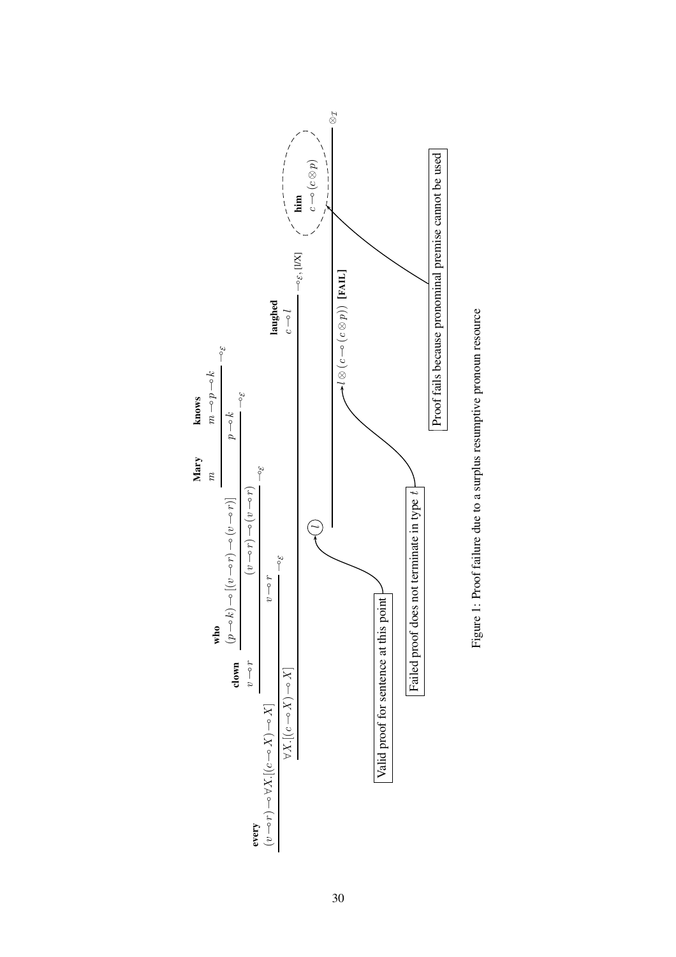

<span id="page-31-0"></span>Figure 1: Proof failure due to a surplus resumptive pronoun resource Figure 1: Proof failure due to a surplus resumptive pronoun resource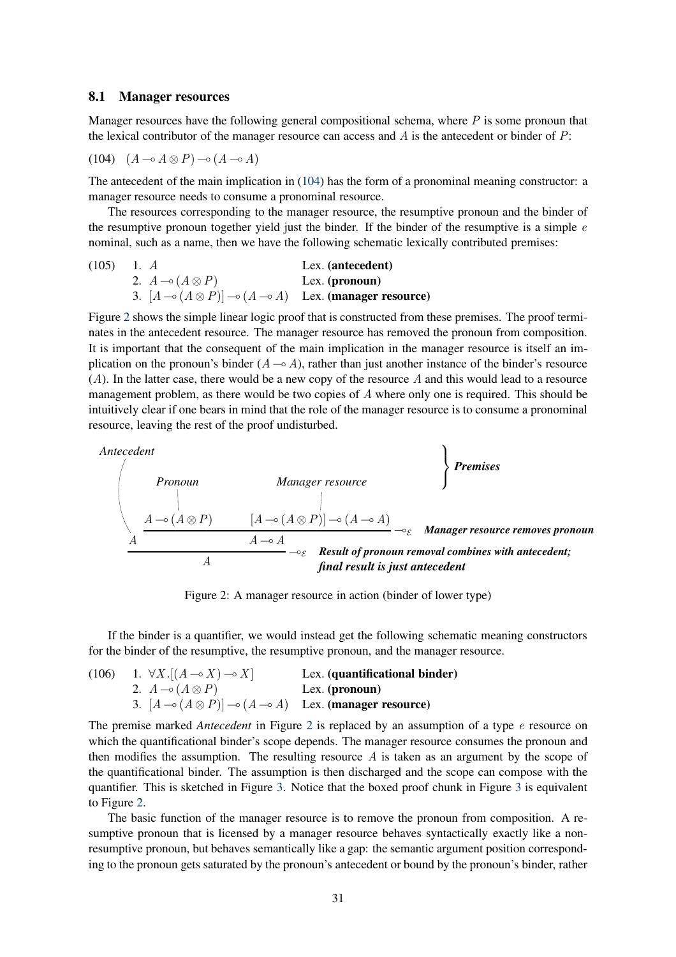#### <span id="page-32-0"></span>**8.1 Manager resources**

<span id="page-32-1"></span>Manager resources have the following general compositional schema, where  $P$  is some pronoun that the lexical contributor of the manager resource can access and  $\vec{A}$  is the antecedent or binder of  $\vec{P}$ :

$$
(104)\quad (A\multimap A\otimes P)\multimap (A\multimap A)
$$

The antecedent of the main implication in [\(104\)](#page-32-1) has the form of a pronominal meaning constructor: a manager resource needs to consume a pronominal resource.

The resources corresponding to the manager resource, the resumptive pronoun and the binder of the resumptive pronoun together yield just the binder. If the binder of the resumptive is a simple  $e$ nominal, such as a name, then we have the following schematic lexically contributed premises:

<span id="page-32-3"></span>(105) 1. 
$$
A
$$
 Lex. (antecedent)  
\n2.  $A \rightarrow (A \otimes P)$  Lex. (pronoun)  
\n3.  $[A \rightarrow (A \otimes P)] \rightarrow (A \rightarrow A)$  Lex. (manager resource)

Figure [2](#page-32-2) shows the simple linear logic proof that is constructed from these premises. The proof terminates in the antecedent resource. The manager resource has removed the pronoun from composition. It is important that the consequent of the main implication in the manager resource is itself an implication on the pronoun's binder  $(A \neg A)$ , rather than just another instance of the binder's resource  $(A)$ . In the latter case, there would be a new copy of the resource A and this would lead to a resource management problem, as there would be two copies of A where only one is required. This should be intuitively clear if one bears in mind that the role of the manager resource is to consume a pronominal resource, leaving the rest of the proof undisturbed.



<span id="page-32-2"></span>Figure 2: A manager resource in action (binder of lower type)

If the binder is a quantifier, we would instead get the following schematic meaning constructors for the binder of the resumptive, the resumptive pronoun, and the manager resource.

| (106) | 1. $\forall X . [(A \rightarrow X) \rightarrow X]$                                       | Lex. (quantificational binder) |
|-------|------------------------------------------------------------------------------------------|--------------------------------|
|       | 2. $A \rightarrow (A \otimes P)$                                                         | Lex. (pronoun)                 |
|       | 3. $[A \rightarrow (A \otimes P)] \rightarrow (A \rightarrow A)$ Lex. (manager resource) |                                |

The premise marked *Antecedent* in Figure [2](#page-32-2) is replaced by an assumption of a type e resource on which the quantificational binder's scope depends. The manager resource consumes the pronoun and then modifies the assumption. The resulting resource  $A$  is taken as an argument by the scope of the quantificational binder. The assumption is then discharged and the scope can compose with the quantifier. This is sketched in Figure [3.](#page-33-0) Notice that the boxed proof chunk in Figure [3](#page-33-0) is equivalent to Figure [2.](#page-32-2)

The basic function of the manager resource is to remove the pronoun from composition. A resumptive pronoun that is licensed by a manager resource behaves syntactically exactly like a nonresumptive pronoun, but behaves semantically like a gap: the semantic argument position corresponding to the pronoun gets saturated by the pronoun's antecedent or bound by the pronoun's binder, rather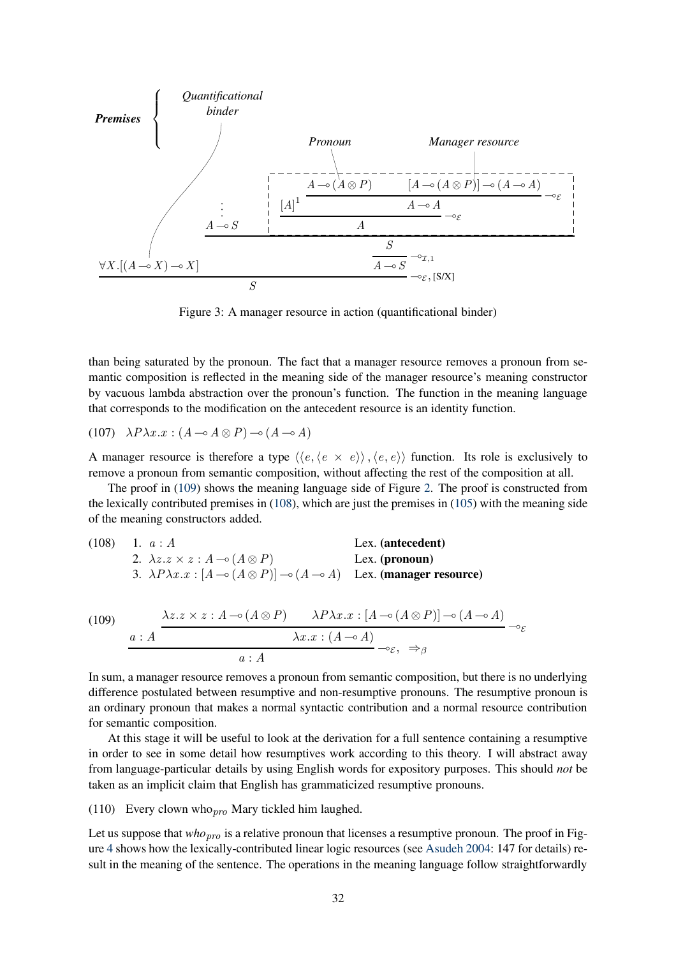

<span id="page-33-0"></span>Figure 3: A manager resource in action (quantificational binder)

than being saturated by the pronoun. The fact that a manager resource removes a pronoun from semantic composition is reflected in the meaning side of the manager resource's meaning constructor by vacuous lambda abstraction over the pronoun's function. The function in the meaning language that corresponds to the modification on the antecedent resource is an identity function.

$$
(107)\quad \lambda P\lambda x.x:(A\multimap A\otimes P)\multimap (A\multimap A)
$$

A manager resource is therefore a type  $\langle\langle e, \langle e \times e \rangle \rangle, \langle e, e \rangle \rangle$  function. Its role is exclusively to remove a pronoun from semantic composition, without affecting the rest of the composition at all.

The proof in [\(109\)](#page-33-1) shows the meaning language side of Figure [2.](#page-32-2) The proof is constructed from the lexically contributed premises in [\(108\)](#page-33-2), which are just the premises in [\(105\)](#page-32-3) with the meaning side of the meaning constructors added.

<span id="page-33-2"></span>(108) 1. a : A Lex. **(antecedent)** 2.  $\lambda z.z \times z : A \rightarrow (A \otimes P)$  Lex. **(pronoun)** 3.  $\lambda P \lambda x . x : [A \multimap (A \otimes P)] \multimap (A \multimap A)$  Lex. **(manager resource)** 

<span id="page-33-1"></span>(109) 
$$
\frac{\lambda z.z \times z : A \rightarrow (A \otimes P) \quad \lambda P \lambda x.x : [A \rightarrow (A \otimes P)] \rightarrow (A \rightarrow A)}{\lambda x.x : (A \rightarrow A)} \rightarrow \varepsilon
$$

$$
a : A \xrightarrow{a : A} \neg \varepsilon, \Rightarrow_{\beta}
$$

In sum, a manager resource removes a pronoun from semantic composition, but there is no underlying difference postulated between resumptive and non-resumptive pronouns. The resumptive pronoun is an ordinary pronoun that makes a normal syntactic contribution and a normal resource contribution for semantic composition.

At this stage it will be useful to look at the derivation for a full sentence containing a resumptive in order to see in some detail how resumptives work according to this theory. I will abstract away from language-particular details by using English words for expository purposes. This should *not* be taken as an implicit claim that English has grammaticized resumptive pronouns.

(110) Every clown who<sub>pro</sub> Mary tickled him laughed.

Let us suppose that *who*<sub>pro</sub> is a relative pronoun that licenses a resumptive pronoun. The proof in Figure [4](#page-35-0) shows how the lexically-contributed linear logic resources (see [Asudeh 2004:](#page-46-0) 147 for details) result in the meaning of the sentence. The operations in the meaning language follow straightforwardly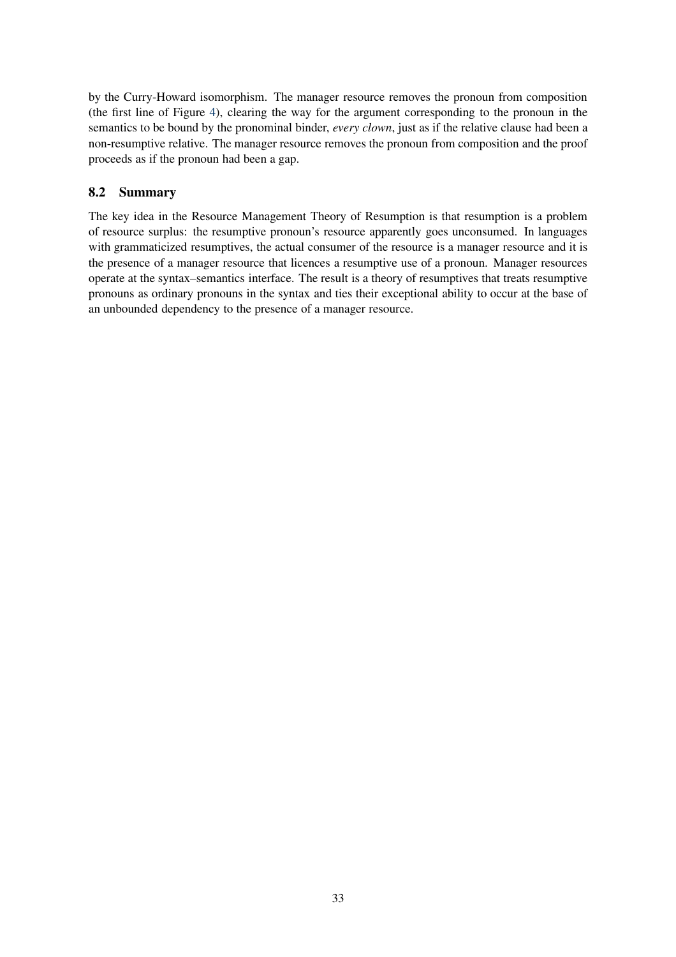by the Curry-Howard isomorphism. The manager resource removes the pronoun from composition (the first line of Figure [4\)](#page-35-0), clearing the way for the argument corresponding to the pronoun in the semantics to be bound by the pronominal binder, *every clown*, just as if the relative clause had been a non-resumptive relative. The manager resource removes the pronoun from composition and the proof proceeds as if the pronoun had been a gap.

## <span id="page-34-0"></span>**8.2 Summary**

The key idea in the Resource Management Theory of Resumption is that resumption is a problem of resource surplus: the resumptive pronoun's resource apparently goes unconsumed. In languages with grammaticized resumptives, the actual consumer of the resource is a manager resource and it is the presence of a manager resource that licences a resumptive use of a pronoun. Manager resources operate at the syntax–semantics interface. The result is a theory of resumptives that treats resumptive pronouns as ordinary pronouns in the syntax and ties their exceptional ability to occur at the base of an unbounded dependency to the presence of a manager resource.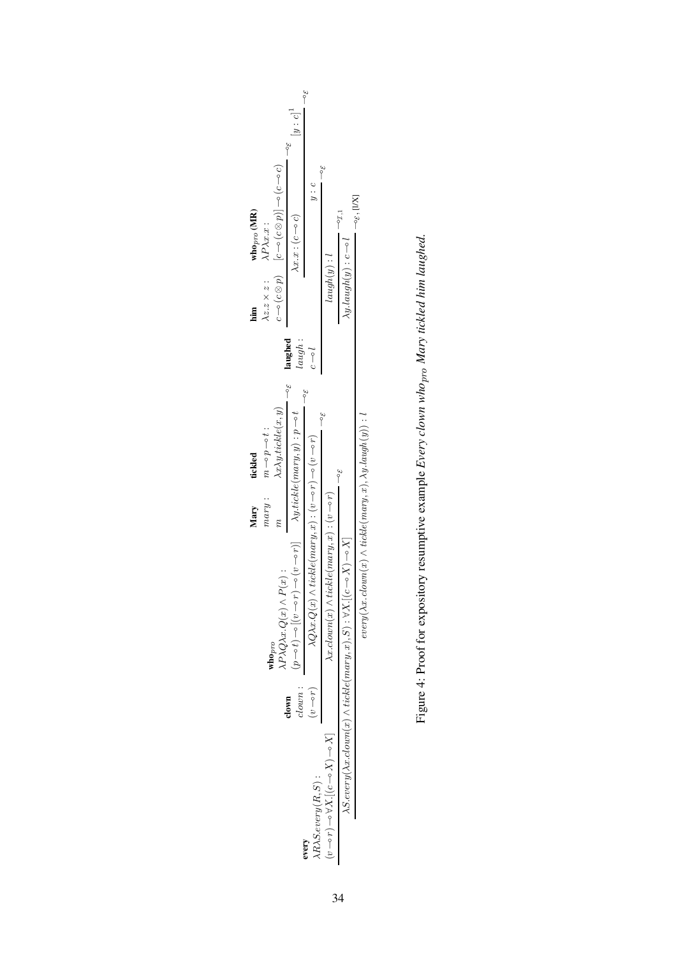| who <sub>pro</sub> (MR)<br>him | $\overline{c}$ (2) $\overline{c}$ (2) $\overline{c}$ (2) $\overline{c}$ (2) $\overline{c}$ (2) $\overline{c}$ (2) $\overline{c}$ (2) $\overline{c}$ (2) $\overline{c}$ (2) $\overline{c}$ (2) $\overline{c}$ (2) $\overline{c}$ (2) $\overline{c}$ (2) $\overline{c}$ (2) $\overline{c}$ (2) $\overline{c}$ (2) $\overline{c}$ (2)<br>$\lambda P \lambda x.x$ :<br>$\lambda z. z \times z$ : | $\overline{\phantom{a}}$ $\overline{\phantom{a}}$ $\overline{\phantom{a}}$ $\overline{\phantom{a}}$ $\overline{\phantom{a}}$ $\overline{\phantom{a}}$ $\overline{\phantom{a}}$ $\overline{\phantom{a}}$ $\overline{\phantom{a}}$ $\overline{\phantom{a}}$ $\overline{\phantom{a}}$ $\overline{\phantom{a}}$ $\overline{\phantom{a}}$ $\overline{\phantom{a}}$ $\overline{\phantom{a}}$ $\overline{\phantom{a}}$ $\overline{\phantom{a}}$ $\overline{\phantom{a}}$ $\overline{\$<br>$\lambda x.x : (c - c)$ | ە<br>م<br>y : c                                                                                       | $-\infty$<br>$_{lalign}$                                                         | $-27.1$<br>$\lambda y.laugh(y) : c - l$                                         | $-e$ , [IXI]                                                              |
|--------------------------------|----------------------------------------------------------------------------------------------------------------------------------------------------------------------------------------------------------------------------------------------------------------------------------------------------------------------------------------------------------------------------------------------|------------------------------------------------------------------------------------------------------------------------------------------------------------------------------------------------------------------------------------------------------------------------------------------------------------------------------------------------------------------------------------------------------------------------------------------------------------------------------------------------------------|-------------------------------------------------------------------------------------------------------|----------------------------------------------------------------------------------|---------------------------------------------------------------------------------|---------------------------------------------------------------------------|
|                                |                                                                                                                                                                                                                                                                                                                                                                                              | logu<br>laughed                                                                                                                                                                                                                                                                                                                                                                                                                                                                                            | $\sim$                                                                                                |                                                                                  |                                                                                 |                                                                           |
| tickled<br>Mary                | $\lambda x \lambda y.tickle(x, y)$<br>$m \rightarrow p \rightarrow t$ :<br>mary:<br>$P(x)$ :<br>$\lambda P \lambda Q \lambda x \ldotp Q(x) \wedge I$<br>$w$ ho $p_{TO}$                                                                                                                                                                                                                      | $3^{\circ} -$<br>$\lambda y.tickle(mary, y): p \rightarrow t$<br>$(u \circ \sigma - a)$ $\sigma$ $(v \circ \sigma)$                                                                                                                                                                                                                                                                                                                                                                                        | ۹<br>م<br>$\lambda Q \lambda x. Q(x) \wedge$ tickle (mary, x) : $(v - \circ r) - \circ (v - \circ r)$ | عمل<br>$,block(e(mary, x):(v \multimap r))$<br>$\lambda x$ .clown $(x) \wedge t$ | $36 -$<br>$(c - X) -\circ X$                                                    | $every(\lambda x.close(x) \wedge ticket(mary, x), \lambda y.lang(y))$ : l |
|                                |                                                                                                                                                                                                                                                                                                                                                                                              | $_{lown:}$<br>clown                                                                                                                                                                                                                                                                                                                                                                                                                                                                                        | $(v \rightarrow r)$<br>$R\lambda S.every(R,S):$<br>every                                              | $(v \rightarrow r) \rightarrow X$ . $[(c \rightarrow X) \rightarrow X]$          | $\lambda S. every (\lambda x. cloun(x) \wedge tichtel(mary, x), S): \forall X.$ |                                                                           |

<span id="page-35-0"></span>Figure 4: Proof for expository resumptive example Every clown who<sub>pro</sub> Mary tickled him laughed. Figure 4: Proof for expository resumptive example *Every clown who*pro *Mary tickled him laughed.*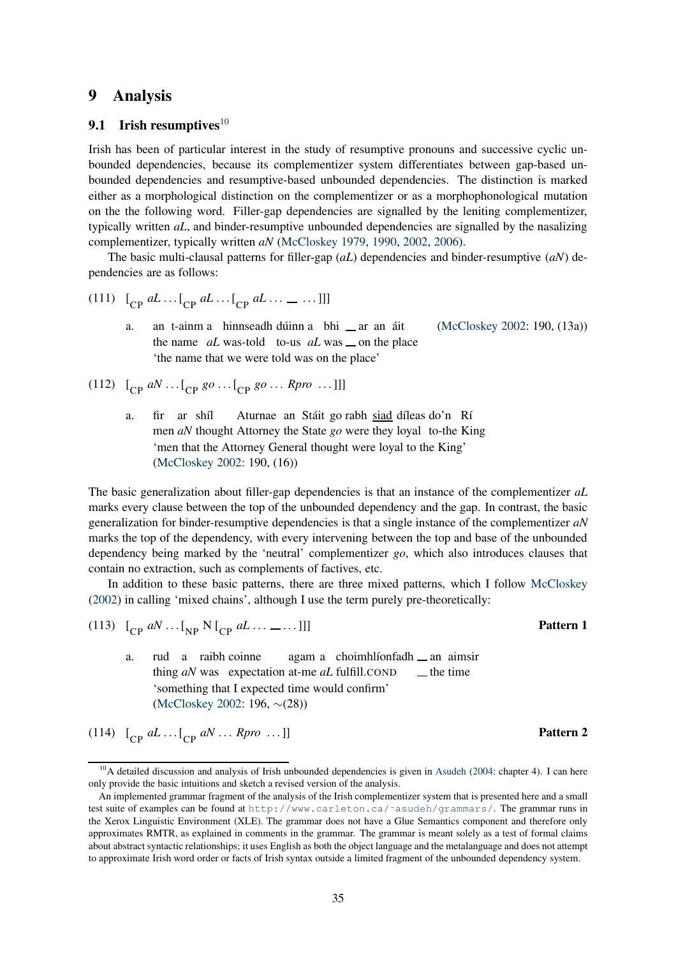### <span id="page-36-1"></span><span id="page-36-0"></span>**9 Analysis**

#### **9.1** Irish resumptives<sup>[10](#page-36-2)</sup>

Irish has been of particular interest in the study of resumptive pronouns and successive cyclic unbounded dependencies, because its complementizer system differentiates between gap-based unbounded dependencies and resumptive-based unbounded dependencies. The distinction is marked either as a morphological distinction on the complementizer or as a morphophonological mutation on the the following word. Filler-gap dependencies are signalled by the leniting complementizer, typically written *aL*, and binder-resumptive unbounded dependencies are signalled by the nasalizing complementizer, typically written *aN* [\(McCloskey 1979,](#page-51-2) [1990](#page-51-3), [2002](#page-51-0), [2006\)](#page-51-1).

The basic multi-clausal patterns for filler-gap (*aL*) dependencies and binder-resumptive (*aN*) dependencies are as follows:

- <span id="page-36-3"></span> $(111)$   $\left[\begin{array}{ccc}C_{\text{P}} & aL \dots \end{array}\right]$   $\left[\begin{array}{ccc}C_{\text{P}} & aL \dots \end{array}\right]$ 
	- a. an t-ainm a hinnseadh dúinn a bhi *e* ar an áit the name *aL* was-told to-us *aL* was \_ on the place [\(McCloskey 2002:](#page-51-0) 190, (13a)) 'the name that we were told was on the place'

<span id="page-36-4"></span>
$$
(112) \quad [C_{\text{CP}} \, aN \dots [C_{\text{CP}} \, g0 \dots [C_{\text{CP}} \, g0 \dots \, R\text{pro} \dots]]]
$$

a. fir ar shíl men aN thought Attorney the State go were they loyal to-the King Aturnae an Stáit go rabh siad díleas do'n Rí 'men that the Attorney General thought were loyal to the King' [\(McCloskey 2002:](#page-51-0) 190, (16))

The basic generalization about filler-gap dependencies is that an instance of the complementizer *aL* marks every clause between the top of the unbounded dependency and the gap. In contrast, the basic generalization for binder-resumptive dependencies is that a single instance of the complementizer *aN* marks the top of the dependency, with every intervening between the top and base of the unbounded dependency being marked by the 'neutral' complementizer *go*, which also introduces clauses that contain no extraction, such as complements of factives, etc.

In addition to these basic patterns, there are three mixed patterns, which I follow [McCloskey](#page-51-0) [\(2002](#page-51-0)) in calling 'mixed chains', although I use the term purely pre-theoretically:

$$
(113) \quad [C_{\text{CP}} \, aN \dots [C_{\text{NP}} \, N \, [C_{\text{CP}} \, aL \dots \dots ]]]
$$
 \n
$$
\text{Pattern 1}
$$

a. rud a raibh coinne thing *aN* was expectation at-me *aL* fulfill.COND agam a choimhlíonfadh <sub>an</sub> aimsir the time 'something that I expected time would confirm' [\(McCloskey 2002:](#page-51-0) 196, ∼(28))

<span id="page-36-5"></span>(114)  $[_{CP} aL ... [_{CP} aN ... Rpro ...]]$  **Pattern 2** 

<span id="page-36-2"></span> $10A$  detailed discussion and analysis of Irish unbounded dependencies is given in [Asudeh](#page-46-0) [\(2004:](#page-46-0) chapter 4). I can here only provide the basic intuitions and sketch a revised version of the analysis.

An implemented grammar fragment of the analysis of the Irish complementizer system that is presented here and a small test suite of examples can be found at [http://www.carleton.ca/˜asudeh/grammars/](http://www.carleton.ca/~asudeh/grammars/). The grammar runs in the Xerox Linguistic Environment (XLE). The grammar does not have a Glue Semantics component and therefore only approximates RMTR, as explained in comments in the grammar. The grammar is meant solely as a test of formal claims about abstract syntactic relationships; it uses English as both the object language and the metalanguage and does not attempt to approximate Irish word order or facts of Irish syntax outside a limited fragment of the unbounded dependency system.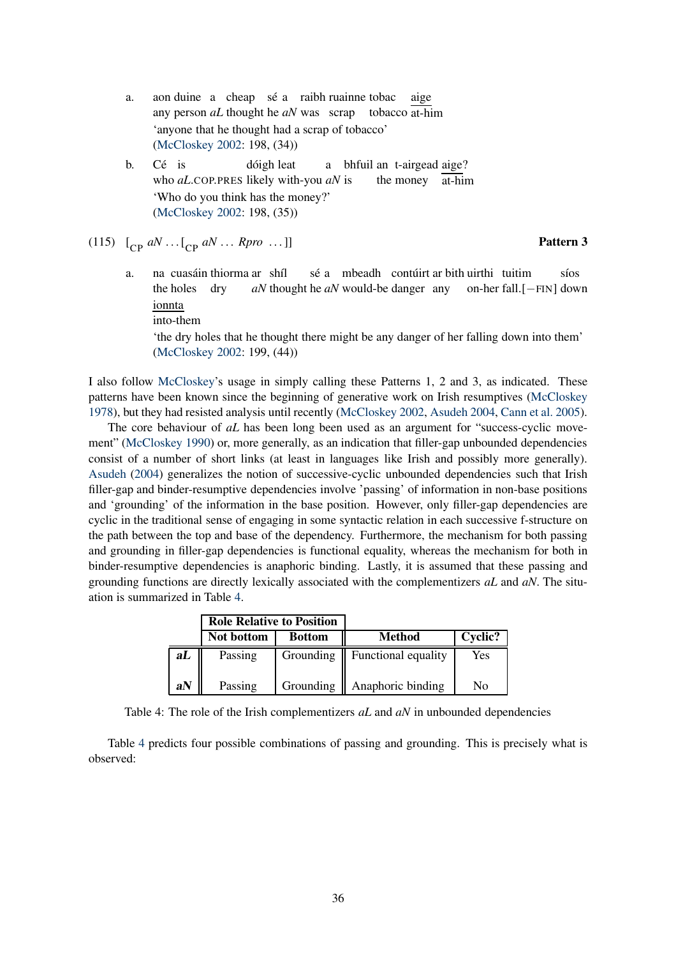- a. aon duine a cheap sé a raibh ruainne tobac any person *aL* thought he *aN* was scrap tobacco at-him aige 'anyone that he thought had a scrap of tobacco' [\(McCloskey 2002:](#page-51-0) 198, (34))
- b. Cé is who *aL*.COP.PRES likely with-you *aN* is dóigh leat a bhfuil an t-airgead aige? the money at-him 'Who do you think has the money?' [\(McCloskey 2002:](#page-51-0) 198, (35))

a. na cuasáin thiorma ar shíl the holes dry *aN* thought he *aN* would-be danger any sé a mbeadh contúirt ar bith uirthi tuitim on-her fall.[−FIN] down síos ionnta into-them

'the dry holes that he thought there might be any danger of her falling down into them' [\(McCloskey 2002:](#page-51-0) 199, (44))

I also follow [McCloskey](#page-51-0)'s usage in simply calling these Patterns 1, 2 and 3, as indicated. These patterns have been known since the beginning of generative work on Irish resumptives [\(McCloskey](#page-51-16) [1978\)](#page-51-16), but they had resisted analysis until recently [\(McCloskey 2002](#page-51-0), [Asudeh 2004,](#page-46-0) [Cann et al. 2005\)](#page-47-19).

The core behaviour of *aL* has been long been used as an argument for "success-cyclic movement" [\(McCloskey 1990](#page-51-3)) or, more generally, as an indication that filler-gap unbounded dependencies consist of a number of short links (at least in languages like Irish and possibly more generally). [Asudeh](#page-46-0) [\(2004](#page-46-0)) generalizes the notion of successive-cyclic unbounded dependencies such that Irish filler-gap and binder-resumptive dependencies involve 'passing' of information in non-base positions and 'grounding' of the information in the base position. However, only filler-gap dependencies are cyclic in the traditional sense of engaging in some syntactic relation in each successive f-structure on the path between the top and base of the dependency. Furthermore, the mechanism for both passing and grounding in filler-gap dependencies is functional equality, whereas the mechanism for both in binder-resumptive dependencies is anaphoric binding. Lastly, it is assumed that these passing and grounding functions are directly lexically associated with the complementizers *aL* and *aN*. The situation is summarized in Table [4.](#page-37-0)

|                | <b>Role Relative to Position</b> |               |                                |         |
|----------------|----------------------------------|---------------|--------------------------------|---------|
|                | Not bottom                       | <b>Bottom</b> | <b>Method</b>                  | Cyclic? |
| aL             | Passing                          | Grounding     | Functional equality            | Yes     |
| a <sub>N</sub> | Passing                          |               | Grounding    Anaphoric binding | No      |

Table 4: The role of the Irish complementizers *aL* and *aN* in unbounded dependencies

<span id="page-37-0"></span>Table [4](#page-37-0) predicts four possible combinations of passing and grounding. This is precisely what is observed:

<sup>(115)</sup>  $\left[_{\text{CP }} aN \dots \right]_{\text{CP }} aN \dots R \text{ pro } \dots ]$ ]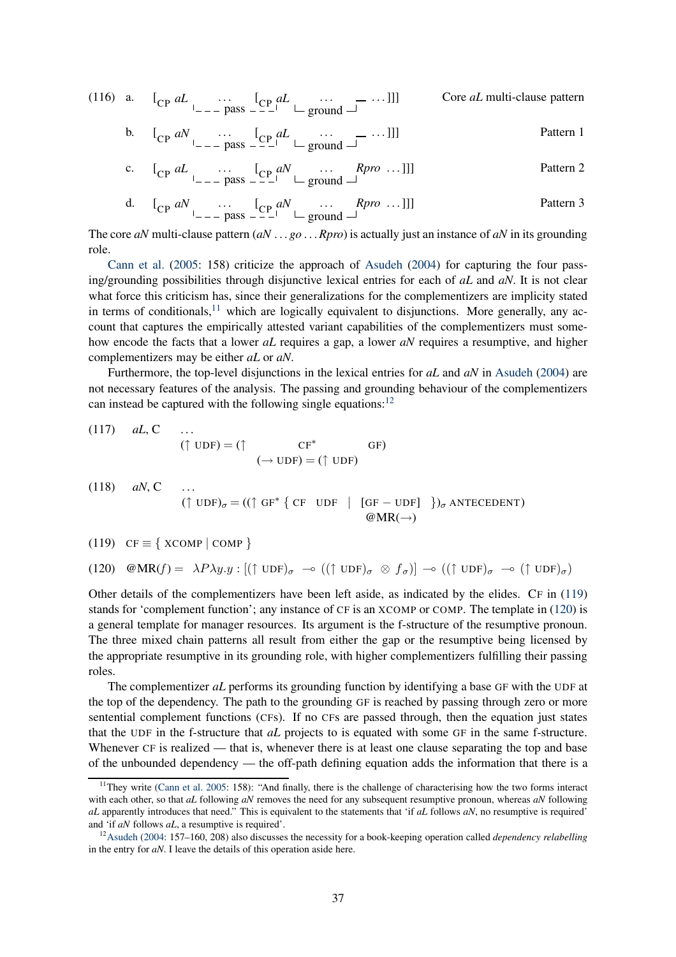(116) a.  $\left[\begin{array}{ccc} \n\text{C}_{\text{P}} & aL & \dots & \dots & \dots \\
\text{C}_{\text{P}} & \text{C}_{\text{P}} & aL & \dots & \dots \\
\end{array}\right] \quad \text{Core } aL \text{ multi-clause pattern}$ 

b. 
$$
\left[\begin{array}{ccc} aN & \cdots & \cdots & \cdots \\ \cdots & \cdots & \cdots & \cdots \\ \cdots & \cdots & \cdots & \cdots \end{array}\right]
$$
 Pattern 1

c. 
$$
\left[\begin{array}{ccc} 1 & \cdots & 1 \\ 0 & 0 & \cdots \end{array}\right]
$$
  $\begin{array}{ccc} 1 & \cdots & R & \cdots \\ 0 & 1 & \cdots & \cdots \end{array}$   $\begin{array}{ccc} 0 & \cdots & 0 \\ 0 & 0 & \cdots \end{array}$   $\begin{array}{ccc} 1 & \cdots & 0 \\ 0 & 1 & \cdots \end{array}$   $\begin{array}{ccc} 0 & \cdots & 0 \\ 0 & 1 & \cdots \end{array}$   $\begin{array}{ccc} 1 & \cdots & 0 \\ 0 & 1 & \cdots \end{array}$   $\begin{array}{ccc} 0 & \cdots & 0 \\ 0 & 1 & \cdots \end{array}$   $\begin{array}{ccc} 0 & \cdots & 0 \\ 0 & 1 & \cdots & 0 \\ 0 & 1 & \cdots & 0 \end{array}$   $\begin{array}{ccc} 0 & \cdots & 0 \\ 0 & 1 & \cdots & 0 \\ 0 & 1 & \cdots & 0 \end{array}$   $\begin{array}{ccc} 0 & \cdots & 0 \\ 0 & 1 & \cdots & 0 \\ 0 & 0 & 1 & \cdots & 0 \\ 0 & 0 & 1 & \cdots & 0 \end{array}$   $\begin{array}{ccc} 0 & \cdots & 0 \\ 0 & 1 & \cdots & 0 \\ 0 & 0 & 1 & \cdots & 0 \\ 0 & 0 & 1 & \cdots & 0 \\ 0 & 0 & 0 & 1 & \cdots & 0 \end{array}$ 

d. 
$$
\left[ \begin{array}{ccc} c_{\text{P}} & aN & \dots & c_{\text{P}} & aN \\ -1 & -1 & 0 & -1 \end{array} \right]
$$
  $\longrightarrow$  *Partern 3*   
  $\longrightarrow$  *Partern 3*

The core *aN* multi-clause pattern (*aN* . . . *go* . . . *Rpro*) is actually just an instance of *aN* in its grounding [role.](#page-47-19)

Cann et al. [\(2005](#page-47-19): 158) criticize the approach of [Asudeh](#page-46-0) [\(2004](#page-46-0)) for capturing the four passing/grounding possibilities through disjunctive lexical entries for each of *aL* and *aN*. It is not clear what force this criticism has, since their generalizations for the complementizers are implicity stated in terms of conditionals, $11$  which are logically equivalent to disjunctions. More generally, any account that captures the empirically attested variant capabilities of the complementizers must somehow encode the facts that a lower *aL* requires a gap, a lower *aN* requires a resumptive, and higher complementizers may be either *aL* or *aN*.

Furthermore, the top-level disjunctions in the lexical entries for *aL* and *aN* in [Asudeh](#page-46-0) [\(2004](#page-46-0)) are not necessary features of the analysis. The passing and grounding behaviour of the complementizers can instead be captured with the following single equations:  $12$ 

(117) 
$$
aL, C
$$
 ...  
\n $(\uparrow \text{UDF}) = (\uparrow \text{CF}^* \text{GF})$   
\n $(\rightarrow \text{UDF}) = (\uparrow \text{UDF})$ 

<span id="page-38-4"></span>(118) 
$$
aN
$$
, C ...  
\n
$$
C \qquad ...
$$
\n
$$
C \qquad ( \uparrow \text{UDF})_{\sigma} = (( \uparrow \text{GF}^* \{ \text{CF} \quad \text{UDF} \mid [\text{GF} - \text{UDF}] \} )_{\sigma} \text{ ANTECEDENT})
$$
\n
$$
\textcircled{M R} (\rightarrow)
$$

<span id="page-38-3"></span><span id="page-38-2"></span>(119)  $CF \equiv \{ XCOMP \mid COMP \}$ 

(120) 
$$
\mathcal{Q}MR(f) = \lambda P \lambda y.y : [(\uparrow \text{UDF})_{\sigma} \multimap ((\uparrow \text{UDF})_{\sigma} \otimes f_{\sigma})] \multimap ((\uparrow \text{UDF})_{\sigma} \multimap (\uparrow \text{UDF})_{\sigma})
$$

Other details of the complementizers have been left aside, as indicated by the elides. CF in [\(119\)](#page-38-2) stands for 'complement function'; any instance of CF is an XCOMP or COMP. The template in [\(120\)](#page-38-3) is a general template for manager resources. Its argument is the f-structure of the resumptive pronoun. The three mixed chain patterns all result from either the gap or the resumptive being licensed by the appropriate resumptive in its grounding role, with higher complementizers fulfilling their passing roles.

The complementizer *aL* performs its grounding function by identifying a base GF with the UDF at the top of the dependency. The path to the grounding GF is reached by passing through zero or more sentential complement functions (CFs). If no CFs are passed through, then the equation just states that the UDF in the f-structure that *aL* projects to is equated with some GF in the same f-structure. Whenever CF is realized — that is, whenever there is at least one clause separating the top and base of the unbounded dependency — the off-path defining equation adds the information that there is a

<span id="page-38-0"></span><sup>&</sup>lt;sup>11</sup>They write [\(Cann et al. 2005](#page-47-19): 158): "And finally, there is the challenge of characterising how the two forms interact with each other, so that *aL* following *aN* removes the need for any subsequent resumptive pronoun, whereas *aN* following *aL* apparently introduces that need." This is equivalent to the statements that 'if *aL* follows *aN*, no resumptive is required' and 'if *aN* follows *aL*, a resumptive is required'.

<span id="page-38-1"></span><sup>12</sup>[Asudeh](#page-46-0) [\(2004](#page-46-0): 157–160, 208) also discusses the necessity for a book-keeping operation called *dependency relabelling* in the entry for *aN*. I leave the details of this operation aside here.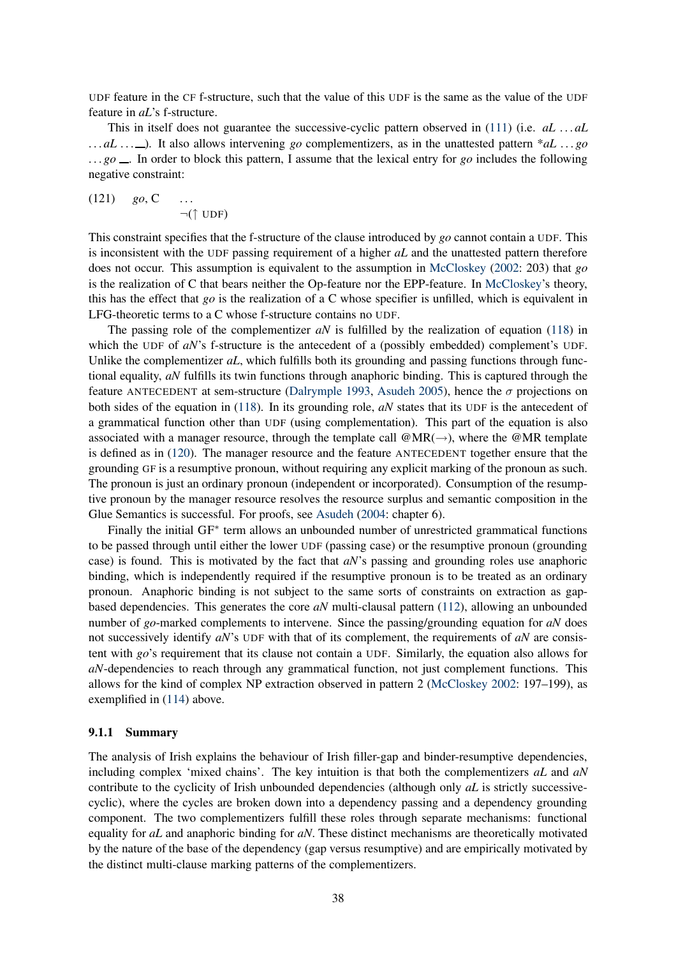UDF feature in the CF f-structure, such that the value of this UDF is the same as the value of the UDF feature in *aL*'s f-structure.

This in itself does not guarantee the successive-cyclic pattern observed in [\(111\)](#page-36-3) (i.e. *aL* . . . *aL* . . . *aL* . . . ). It also allows intervening *go* complementizers, as in the unattested pattern \**aL* . . . *go* ... *go* ... In order to block this pattern, I assume that the lexical entry for *go* includes the following negative constraint:

(121) 
$$
go, C
$$
 ...  
 $\neg(\uparrow \text{UDF})$ 

This constraint specifies that the f-structure of the clause introduced by *go* cannot contain a UDF. This is inconsistent with the UDF passing requirement of a higher *aL* and the unattested pattern therefore does not occur. This assumption is equivalent to the assumption in [McCloskey](#page-51-0) [\(2002:](#page-51-0) 203) that *go* is the realization of C that bears neither the Op-feature nor the EPP-feature. In [McCloskey'](#page-51-0)s theory, this has the effect that *go* is the realization of a C whose specifier is unfilled, which is equivalent in LFG-theoretic terms to a C whose f-structure contains no UDF.

The passing role of the complementizer  $aN$  is fulfilled by the realization of equation [\(118\)](#page-38-4) in which the UDF of *aN*'s f-structure is the antecedent of a (possibly embedded) complement's UDF. Unlike the complementizer *aL*, which fulfills both its grounding and passing functions through functional equality, *aN* fulfills its twin functions through anaphoric binding. This is captured through the feature ANTECEDENT at sem-structure [\(Dalrymple 1993](#page-47-10), [Asudeh 2005](#page-46-14)), hence the  $\sigma$  projections on both sides of the equation in [\(118\)](#page-38-4). In its grounding role, *aN* states that its UDF is the antecedent of a grammatical function other than UDF (using complementation). This part of the equation is also associated with a manager resource, through the template call  $@MR(\rightarrow)$ , where the  $@MR$  template is defined as in [\(120\)](#page-38-3). The manager resource and the feature ANTECEDENT together ensure that the grounding GF is a resumptive pronoun, without requiring any explicit marking of the pronoun as such. The pronoun is just an ordinary pronoun (independent or incorporated). Consumption of the resumptive pronoun by the manager resource resolves the resource surplus and semantic composition in the Glue Semantics is successful. For proofs, see [Asudeh](#page-46-0) [\(2004](#page-46-0): chapter 6).

Finally the initial GF<sup>∗</sup> term allows an unbounded number of unrestricted grammatical functions to be passed through until either the lower UDF (passing case) or the resumptive pronoun (grounding case) is found. This is motivated by the fact that *aN*'s passing and grounding roles use anaphoric binding, which is independently required if the resumptive pronoun is to be treated as an ordinary pronoun. Anaphoric binding is not subject to the same sorts of constraints on extraction as gapbased dependencies. This generates the core *aN* multi-clausal pattern [\(112\)](#page-36-4), allowing an unbounded number of *go*-marked complements to intervene. Since the passing/grounding equation for *aN* does not successively identify *aN*'s UDF with that of its complement, the requirements of *aN* are consistent with *go*'s requirement that its clause not contain a UDF. Similarly, the equation also allows for *aN*-dependencies to reach through any grammatical function, not just complement functions. This allows for the kind of complex NP extraction observed in pattern 2 [\(McCloskey 2002](#page-51-0): 197–199), as exemplified in [\(114\)](#page-36-5) above.

#### <span id="page-39-0"></span>**9.1.1 Summary**

The analysis of Irish explains the behaviour of Irish filler-gap and binder-resumptive dependencies, including complex 'mixed chains'. The key intuition is that both the complementizers *aL* and *aN* contribute to the cyclicity of Irish unbounded dependencies (although only *aL* is strictly successivecyclic), where the cycles are broken down into a dependency passing and a dependency grounding component. The two complementizers fulfill these roles through separate mechanisms: functional equality for *aL* and anaphoric binding for *aN*. These distinct mechanisms are theoretically motivated by the nature of the base of the dependency (gap versus resumptive) and are empirically motivated by the distinct multi-clause marking patterns of the complementizers.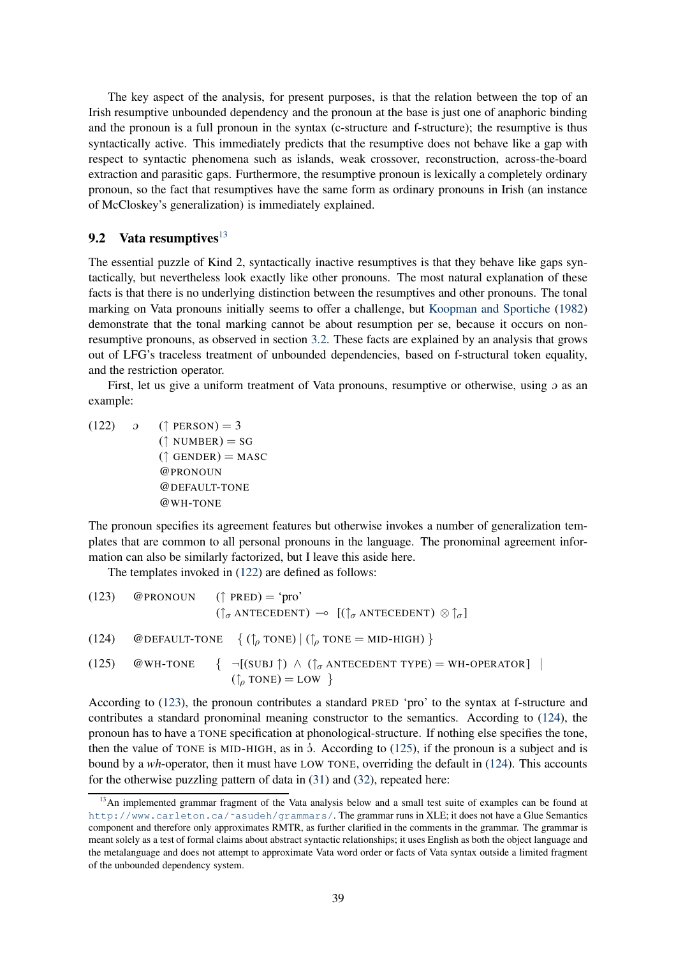The key aspect of the analysis, for present purposes, is that the relation between the top of an Irish resumptive unbounded dependency and the pronoun at the base is just one of anaphoric binding and the pronoun is a full pronoun in the syntax (c-structure and f-structure); the resumptive is thus syntactically active. This immediately predicts that the resumptive does not behave like a gap with respect to syntactic phenomena such as islands, weak crossover, reconstruction, across-the-board extraction and parasitic gaps. Furthermore, the resumptive pronoun is lexically a completely ordinary pronoun, so the fact that resumptives have the same form as ordinary pronouns in Irish (an instance of McCloskey's generalization) is immediately explained.

### <span id="page-40-0"></span>**9.2** Vata resumptives<sup>[13](#page-40-1)</sup>

The essential puzzle of Kind 2, syntactically inactive resumptives is that they behave like gaps syntactically, but nevertheless look exactly like other pronouns. The most natural explanation of these facts is that there is no underlying distinction between the resumptives and other pronouns. The tonal marking on Vata pronouns initially seems to offer a challenge, but [Koopman and Sportiche](#page-51-5) [\(1982](#page-51-5)) demonstrate that the tonal marking cannot be about resumption per se, because it occurs on nonresumptive pronouns, as observed in section [3.2.](#page-7-0) These facts are explained by an analysis that grows out of LFG's traceless treatment of unbounded dependencies, based on f-structural token equality, and the restriction operator.

<span id="page-40-2"></span>First, let us give a uniform treatment of Vata pronouns, resumptive or otherwise, using  $\sigma$  as an example:

 $(122)$  o  $(†$  PERSON $) = 3$  $(\uparrow$  NUMBER) = SG  $(†$  GENDER) = MASC @PRONOUN @DEFAULT-TONE @WH-TONE

The pronoun specifies its agreement features but otherwise invokes a number of generalization templates that are common to all personal pronouns in the language. The pronominal agreement information can also be similarly factorized, but I leave this aside here.

The templates invoked in [\(122\)](#page-40-2) are defined as follows:

<span id="page-40-5"></span><span id="page-40-4"></span><span id="page-40-3"></span>

| (123) | @PRONOUN | $(\uparrow$ PRED) = 'pro'<br>$(\uparrow_{\sigma}$ ANTECEDENT) $\multimap$ $[(\uparrow_{\sigma}$ ANTECEDENT) $\otimes \uparrow_{\sigma}]$                                      |
|-------|----------|-------------------------------------------------------------------------------------------------------------------------------------------------------------------------------|
| (124) |          | @DEFAULT-TONE $\{(\uparrow\rho \text{ TONE})   (\uparrow\rho \text{ TONE} = \text{MID-HIGH}) \}$                                                                              |
| (125) |          | $\mathbb{Q}$ WH-TONE $\left\{ \neg [(\text{SUBJ} \uparrow) \wedge (\uparrow_{\sigma} \text{ANTECEDENT TYPE}) = \text{WH-OPERATOR} \right\}$<br>$(\uparrow_o$ TONE) = LOW $\}$ |
|       |          | According to (123), the pronoun contributes a standard PRED 'pro' to the syntax at f-structure and                                                                            |

contributes a standard pronominal meaning constructor to the semantics. According to [\(124\)](#page-40-4), the pronoun has to have a TONE specification at phonological-structure. If nothing else specifies the tone, then the value of TONE is MID-HIGH, as in  $\dot{\phi}$ . According to [\(125\)](#page-40-5), if the pronoun is a subject and is bound by a *wh*-operator, then it must have LOW TONE, overriding the default in [\(124\)](#page-40-4). This accounts for the otherwise puzzling pattern of data in [\(31\)](#page-8-0) and [\(32\)](#page-8-1), repeated here:

<span id="page-40-1"></span><sup>&</sup>lt;sup>13</sup>An implemented grammar fragment of the Vata analysis below and a small test suite of examples can be found at [http://www.carleton.ca/˜asudeh/grammars/](http://www.carleton.ca/~asudeh/grammars/). The grammar runs in XLE; it does not have a Glue Semantics component and therefore only approximates RMTR, as further clarified in the comments in the grammar. The grammar is meant solely as a test of formal claims about abstract syntactic relationships; it uses English as both the object language and the metalanguage and does not attempt to approximate Vata word order or facts of Vata syntax outside a limited fragment of the unbounded dependency system.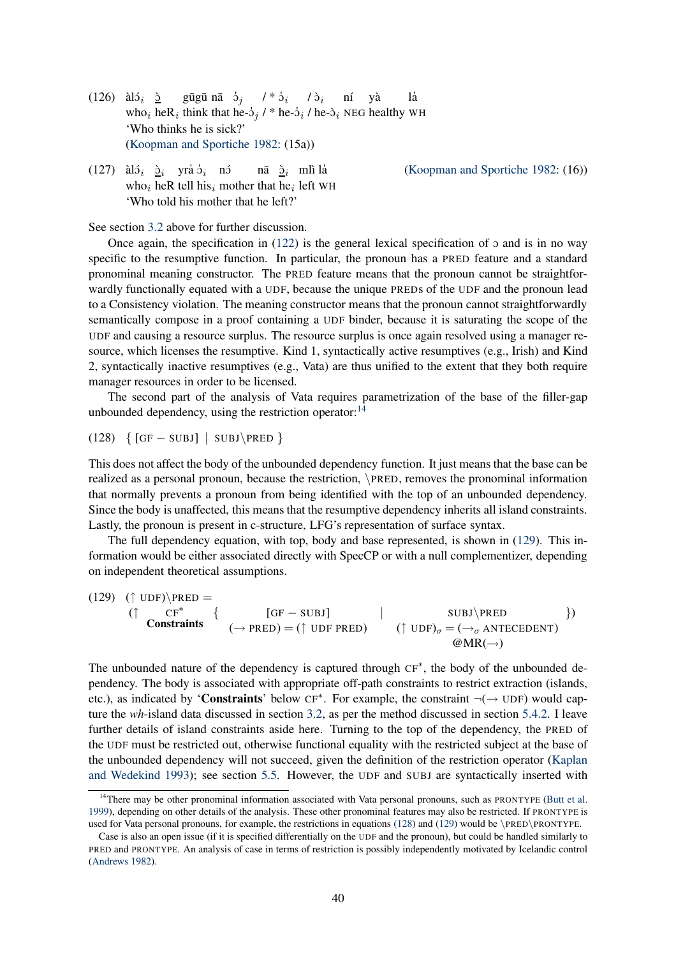- (126) àl $5_i$   $\dot{2}$  gūgūnā  $5_j$  /\* $5_i$  / $5_i$  ní yà who<sub>i</sub> heR<sub>i</sub> think that he- $\dot{0}_j$  / \* he- $\dot{0}_i$  / he- $\dot{0}_i$  NEG healthy WH  $1a$ 'Who thinks he is sick?' [\(Koopman and Sportiche 1982](#page-51-5): (15a))
- (127) àl $5_i$   $\dot{2}_i$  yra $\dot{5}_i$  n $5$  nā  $\dot{2}_i$  mlì la who<sub>i</sub> heR tell his<sub>i</sub> mother that he<sub>i</sub> left WH 'Who told his mother that he left?'

[\(Koopman and Sportiche 1982](#page-51-5): (16))

See section [3.2](#page-7-0) above for further discussion.

Once again, the specification in  $(122)$  is the general lexical specification of  $\sigma$  and is in no way specific to the resumptive function. In particular, the pronoun has a PRED feature and a standard pronominal meaning constructor. The PRED feature means that the pronoun cannot be straightforwardly functionally equated with a UDF, because the unique PREDs of the UDF and the pronoun lead to a Consistency violation. The meaning constructor means that the pronoun cannot straightforwardly semantically compose in a proof containing a UDF binder, because it is saturating the scope of the UDF and causing a resource surplus. The resource surplus is once again resolved using a manager resource, which licenses the resumptive. Kind 1, syntactically active resumptives (e.g., Irish) and Kind 2, syntactically inactive resumptives (e.g., Vata) are thus unified to the extent that they both require manager resources in order to be licensed.

<span id="page-41-2"></span>The second part of the analysis of Vata requires parametrization of the base of the filler-gap unbounded dependency, using the restriction operator: $14$ 

 $(128)$  {  $[GF - SUBJ ]$  | SUBJ\PRED }

This does not affect the body of the unbounded dependency function. It just means that the base can be realized as a personal pronoun, because the restriction, \PRED, removes the pronominal information that normally prevents a pronoun from being identified with the top of an unbounded dependency. Since the body is unaffected, this means that the resumptive dependency inherits all island constraints. Lastly, the pronoun is present in c-structure, LFG's representation of surface syntax.

The full dependency equation, with top, body and base represented, is shown in [\(129\)](#page-41-1). This information would be either associated directly with SpecCP or with a null complementizer, depending on independent theoretical assumptions.

<span id="page-41-1"></span> $(129)$  (↑ UDF) PRED =  $(\uparrow$  CF<sup>\*</sup> **Constraints**  $\{$  [GF – SUBJ]  $(\rightarrow$  PRED) = († UDF PRED) | SUBJ\PRED († UDF) $_{\sigma} = (\rightarrow_{\sigma} \text{ANTECEDENT})$  $@MR(\rightarrow)$ })

The unbounded nature of the dependency is captured through CF<sup>\*</sup>, the body of the unbounded dependency. The body is associated with appropriate off-path constraints to restrict extraction (islands, etc.), as indicated by '**Constraints**' below CF<sup>∗</sup> . For example, the constraint ¬(→ UDF) would capture the *wh*-island data discussed in section [3.2,](#page-7-0) as per the method discussed in section [5.4.2.](#page-19-0) I leave further details of island constraints aside here. Turning to the top of the dependency, the PRED of the UDF must be restricted out, otherwise functional equality with the restricted subject at the base of the unbounde[d dependency will not succeed, given the definition of the restriction operator \(](#page-50-3)Kaplan and Wedekind [1993\)](#page-50-3); see section [5.5.](#page-20-0) However, the UDF and SUBJ are syntactically inserted with

<span id="page-41-0"></span><sup>&</sup>lt;sup>14</sup>There may be other pronominal information associated with Vata personal pronouns, such as PRONTYPE [\(Butt et al.](#page-47-20) [1999\)](#page-47-20), depending on other details of the analysis. These other pronominal features may also be restricted. If PRONTYPE is used for Vata personal pronouns, for example, the restrictions in equations [\(128\)](#page-41-2) and [\(129\)](#page-41-1) would be \PRED\PRONTYPE.

Case is also an open issue (if it is specified differentially on the UDF and the pronoun), but could be handled similarly to PRED and PRONTYPE. An analysis of case in terms of restriction is possibly independently motivated by Icelandic control [\(Andrews 1982](#page-46-17)).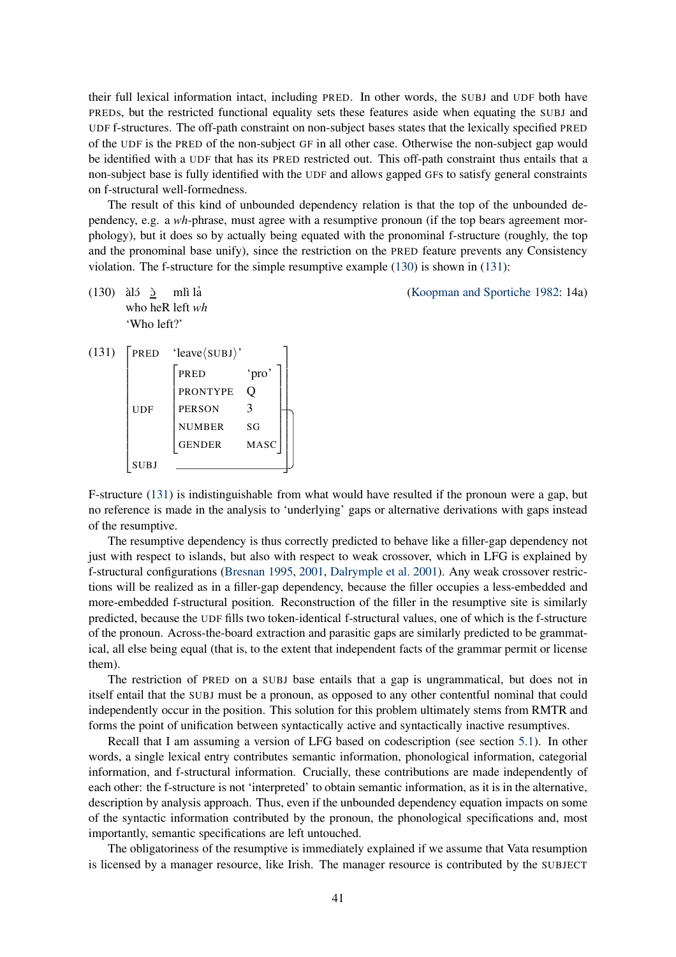their full lexical information intact, including PRED. In other words, the SUBJ and UDF both have PREDs, but the restricted functional equality sets these features aside when equating the SUBJ and UDF f-structures. The off-path constraint on non-subject bases states that the lexically specified PRED of the UDF is the PRED of the non-subject GF in all other case. Otherwise the non-subject gap would be identified with a UDF that has its PRED restricted out. This off-path constraint thus entails that a non-subject base is fully identified with the UDF and allows gapped GFs to satisfy general constraints on f-structural well-formedness.

The result of this kind of unbounded dependency relation is that the top of the unbounded dependency, e.g. a *wh*-phrase, must agree with a resumptive pronoun (if the top bears agreement morphology), but it does so by actually being equated with the pronominal f-structure (roughly, the top and the pronominal base unify), since the restriction on the PRED feature prevents any Consistency violation. The f-structure for the simple resumptive example [\(130\)](#page-42-0) is shown in [\(131\)](#page-42-1):

<span id="page-42-0"></span>(130) àló <u>ò</u> mlì-là who heR left *wh* 'Who left?'

[\(Koopman and Sportiche 1982](#page-51-5): 14a)

<span id="page-42-1"></span>

| (131) |            | PRED 'leave $\langle$ SUBJ $\rangle$ ' |                |  |
|-------|------------|----------------------------------------|----------------|--|
|       |            | PRED                                   | 'pro'          |  |
|       |            | <b>PRONTYPE</b>                        | $\overline{O}$ |  |
|       | <b>UDF</b> | <b>PERSON</b>                          | $\mathcal{R}$  |  |
|       |            | <b>NUMBER</b>                          | SG             |  |
|       |            | <b>GENDER</b>                          | MASC           |  |
|       | SUBJ       |                                        |                |  |

F-structure [\(131\)](#page-42-1) is indistinguishable from what would have resulted if the pronoun were a gap, but no reference is made in the analysis to 'underlying' gaps or alternative derivations with gaps instead of the resumptive.

The resumptive dependency is thus correctly predicted to behave like a filler-gap dependency not just with respect to islands, but also with respect to weak crossover, which in LFG is explained by f-structural configurations [\(Bresnan 1995,](#page-47-8) [2001](#page-47-7), [Dalrymple et al. 2001](#page-48-14)). Any weak crossover restrictions will be realized as in a filler-gap dependency, because the filler occupies a less-embedded and more-embedded f-structural position. Reconstruction of the filler in the resumptive site is similarly predicted, because the UDF fills two token-identical f-structural values, one of which is the f-structure of the pronoun. Across-the-board extraction and parasitic gaps are similarly predicted to be grammatical, all else being equal (that is, to the extent that independent facts of the grammar permit or license them).

The restriction of PRED on a SUBJ base entails that a gap is ungrammatical, but does not in itself entail that the SUBJ must be a pronoun, as opposed to any other contentful nominal that could independently occur in the position. This solution for this problem ultimately stems from RMTR and forms the point of unification between syntactically active and syntactically inactive resumptives.

Recall that I am assuming a version of LFG based on codescription (see section [5.1\)](#page-13-0). In other words, a single lexical entry contributes semantic information, phonological information, categorial information, and f-structural information. Crucially, these contributions are made independently of each other: the f-structure is not 'interpreted' to obtain semantic information, as it is in the alternative, description by analysis approach. Thus, even if the unbounded dependency equation impacts on some of the syntactic information contributed by the pronoun, the phonological specifications and, most importantly, semantic specifications are left untouched.

The obligatoriness of the resumptive is immediately explained if we assume that Vata resumption is licensed by a manager resource, like Irish. The manager resource is contributed by the SUBJECT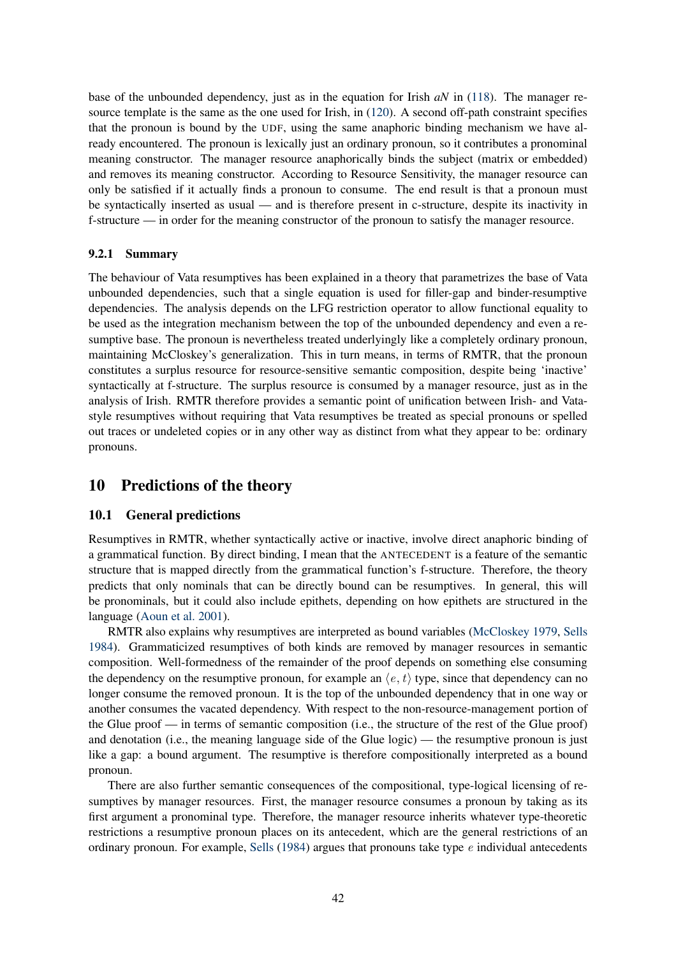base of the unbounded dependency, just as in the equation for Irish *aN* in [\(118\)](#page-38-4). The manager resource template is the same as the one used for Irish, in [\(120\)](#page-38-3). A second off-path constraint specifies that the pronoun is bound by the UDF, using the same anaphoric binding mechanism we have already encountered. The pronoun is lexically just an ordinary pronoun, so it contributes a pronominal meaning constructor. The manager resource anaphorically binds the subject (matrix or embedded) and removes its meaning constructor. According to Resource Sensitivity, the manager resource can only be satisfied if it actually finds a pronoun to consume. The end result is that a pronoun must be syntactically inserted as usual — and is therefore present in c-structure, despite its inactivity in f-structure — in order for the meaning constructor of the pronoun to satisfy the manager resource.

#### <span id="page-43-0"></span>**9.2.1 Summary**

The behaviour of Vata resumptives has been explained in a theory that parametrizes the base of Vata unbounded dependencies, such that a single equation is used for filler-gap and binder-resumptive dependencies. The analysis depends on the LFG restriction operator to allow functional equality to be used as the integration mechanism between the top of the unbounded dependency and even a resumptive base. The pronoun is nevertheless treated underlyingly like a completely ordinary pronoun, maintaining McCloskey's generalization. This in turn means, in terms of RMTR, that the pronoun constitutes a surplus resource for resource-sensitive semantic composition, despite being 'inactive' syntactically at f-structure. The surplus resource is consumed by a manager resource, just as in the analysis of Irish. RMTR therefore provides a semantic point of unification between Irish- and Vatastyle resumptives without requiring that Vata resumptives be treated as special pronouns or spelled out traces or undeleted copies or in any other way as distinct from what they appear to be: ordinary pronouns.

## <span id="page-43-1"></span>**10 Predictions of the theory**

#### <span id="page-43-2"></span>**10.1 General predictions**

Resumptives in RMTR, whether syntactically active or inactive, involve direct anaphoric binding of a grammatical function. By direct binding, I mean that the ANTECEDENT is a feature of the semantic structure that is mapped directly from the grammatical function's f-structure. Therefore, the theory predicts that only nominals that can be directly bound can be resumptives. In general, this will be pronominals, but it could also include epithets, depending on how epithets are structured in the language [\(Aoun et al. 2001](#page-46-18)).

RMTR also explains why resumptives are interpreted as bound variables [\(McCloskey 1979,](#page-51-2) [Sells](#page-52-1) [1984\)](#page-52-1). Grammaticized resumptives of both kinds are removed by manager resources in semantic composition. Well-formedness of the remainder of the proof depends on something else consuming the dependency on the resumptive pronoun, for example an  $\langle e, t \rangle$  type, since that dependency can no longer consume the removed pronoun. It is the top of the unbounded dependency that in one way or another consumes the vacated dependency. With respect to the non-resource-management portion of the Glue proof — in terms of semantic composition (i.e., the structure of the rest of the Glue proof) and denotation (i.e., the meaning language side of the Glue logic) — the resumptive pronoun is just like a gap: a bound argument. The resumptive is therefore compositionally interpreted as a bound pronoun.

There are also further semantic consequences of the compositional, type-logical licensing of resumptives by manager resources. First, the manager resource consumes a pronoun by taking as its first argument a pronominal type. Therefore, the manager resource inherits whatever type-theoretic restrictions a resumptive pronoun places on its antecedent, which are the general restrictions of an ordinary pronoun. For example, [Sells](#page-52-1) [\(1984](#page-52-1)) argues that pronouns take type e individual antecedents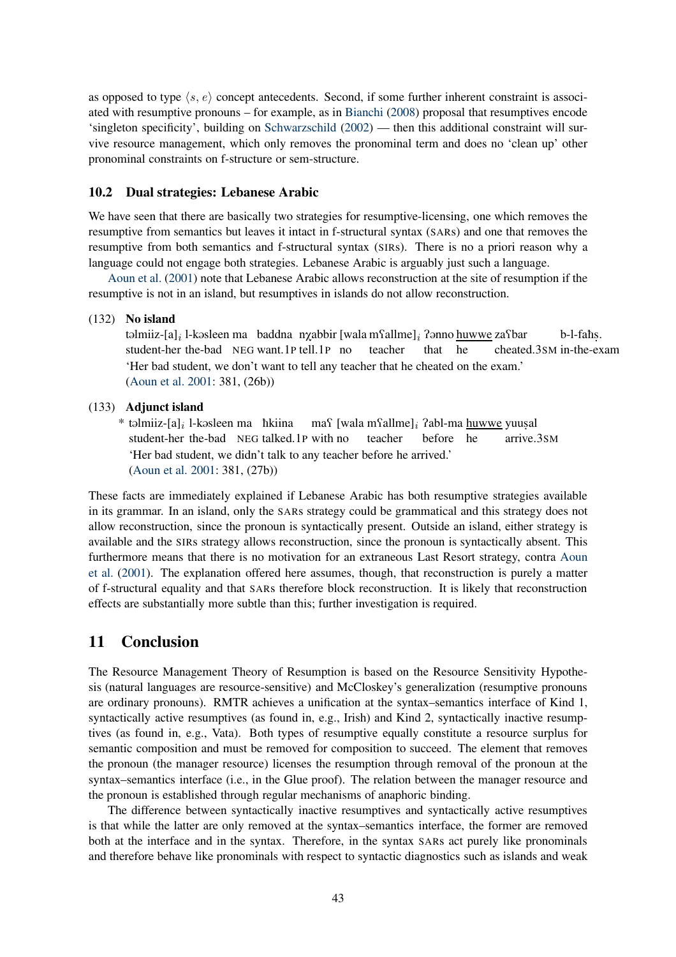as opposed to type  $\langle s, e \rangle$  concept antecedents. Second, if some further inherent constraint is associated with resumptive pronouns – for example, as in [Bianchi](#page-47-3) [\(2008\)](#page-47-3) proposal that resumptives encode 'singleton specificity', building on [Schwarzschild](#page-52-16) [\(2002\)](#page-52-16) — then this additional constraint will survive resource management, which only removes the pronominal term and does no 'clean up' other pronominal constraints on f-structure or sem-structure.

#### <span id="page-44-0"></span>**10.2 Dual strategies: Lebanese Arabic**

We have seen that there are basically two strategies for resumptive-licensing, one which removes the resumptive from semantics but leaves it intact in f-structural syntax (SARs) and one that removes the resumptive from both semantics and f-structural syntax (SIRs). There is no a priori reason why a [language could](#page-46-18) not engage both strategies. Lebanese Arabic is arguably just such a language.

Aoun et al. [\(2001](#page-46-18)) note that Lebanese Arabic allows reconstruction at the site of resumption if the resumptive is not in an island, but resumptives in islands do not allow reconstruction.

#### (132) **No island**

təlmiiz-[a] $_i$  l-kəsleen ma $^-$  baddna $^-$ n $\chi$ abbir [wala m $\Omega$ allme] $_i$  ?ənno  $\underline{\text{huwwe}}$  za $\Omega$ bar student-her the-bad NEG want. 1P tell. 1P no teacher that he cheated.3SM ˙ in-the-exam b-l-faħș. 'Her bad student, we don't want to tell any teacher that he cheated on the exam.' [\(Aoun et al. 2001:](#page-46-18) 381, (26b))

#### (133) **Adjunct island**

 $*$  təlmiiz-[a]<sub>i</sub> l-kəsleen ma hkiina student-her the-bad NEG talked.1P with no ma $\Omega$  [wala m $\Omega$ allme] $_i$  ?abl-ma <u>huwwe</u> yuusal teacher before he ˙ arrive.3SM 'Her bad student, we didn't talk to any teacher before he arrived.' [\(Aoun et al. 2001:](#page-46-18) 381, (27b))

These facts are immediately explained if Lebanese Arabic has both resumptive strategies available in its grammar. In an island, only the SARs strategy could be grammatical and this strategy does not allow reconstruction, since the pronoun is syntactically present. Outside an island, either strategy is available and the SIRs strategy allows reconstruction, since the pronoun is syntactically absent. This furth[ermore means that there is no motivation for an extraneous Last Resort strategy, contra](#page-46-18) Aoun et al. [\(2001\)](#page-46-18). The explanation offered here assumes, though, that reconstruction is purely a matter of f-structural equality and that SARs therefore block reconstruction. It is likely that reconstruction effects are substantially more subtle than this; further investigation is required.

## <span id="page-44-1"></span>**11 Conclusion**

The Resource Management Theory of Resumption is based on the Resource Sensitivity Hypothesis (natural languages are resource-sensitive) and McCloskey's generalization (resumptive pronouns are ordinary pronouns). RMTR achieves a unification at the syntax–semantics interface of Kind 1, syntactically active resumptives (as found in, e.g., Irish) and Kind 2, syntactically inactive resumptives (as found in, e.g., Vata). Both types of resumptive equally constitute a resource surplus for semantic composition and must be removed for composition to succeed. The element that removes the pronoun (the manager resource) licenses the resumption through removal of the pronoun at the syntax–semantics interface (i.e., in the Glue proof). The relation between the manager resource and the pronoun is established through regular mechanisms of anaphoric binding.

The difference between syntactically inactive resumptives and syntactically active resumptives is that while the latter are only removed at the syntax–semantics interface, the former are removed both at the interface and in the syntax. Therefore, in the syntax SARs act purely like pronominals and therefore behave like pronominals with respect to syntactic diagnostics such as islands and weak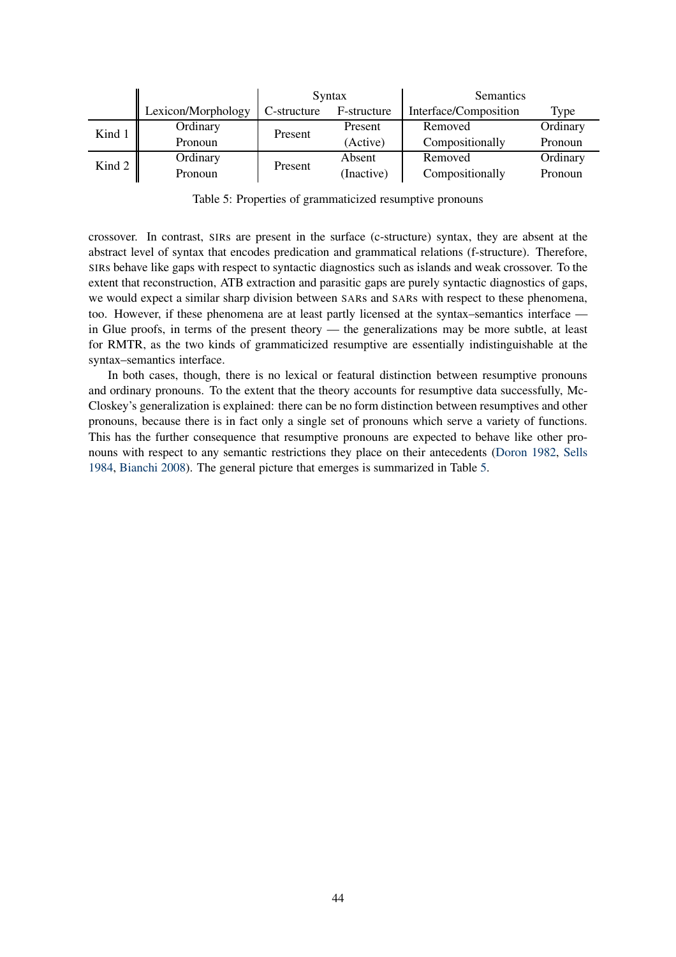|        |                    | Syntax      |             | Semantics             |          |
|--------|--------------------|-------------|-------------|-----------------------|----------|
|        | Lexicon/Morphology | C-structure | F-structure | Interface/Composition | Type     |
| Kind 1 | Ordinary           | Present     | Present     | Removed               | Ordinary |
|        | Pronoun            |             | (Active)    | Compositionally       | Pronoun  |
| Kind 2 | Ordinary           | Present     | Absent      | Removed               | Ordinary |
|        | Pronoun            |             | (Inactive)  | Compositionally       | Pronoun  |

<span id="page-45-0"></span>Table 5: Properties of grammaticized resumptive pronouns

crossover. In contrast, SIRs are present in the surface (c-structure) syntax, they are absent at the abstract level of syntax that encodes predication and grammatical relations (f-structure). Therefore, SIRs behave like gaps with respect to syntactic diagnostics such as islands and weak crossover. To the extent that reconstruction, ATB extraction and parasitic gaps are purely syntactic diagnostics of gaps, we would expect a similar sharp division between SARs and SARs with respect to these phenomena, too. However, if these phenomena are at least partly licensed at the syntax–semantics interface in Glue proofs, in terms of the present theory — the generalizations may be more subtle, at least for RMTR, as the two kinds of grammaticized resumptive are essentially indistinguishable at the syntax–semantics interface.

In both cases, though, there is no lexical or featural distinction between resumptive pronouns and ordinary pronouns. To the extent that the theory accounts for resumptive data successfully, Mc-Closkey's generalization is explained: there can be no form distinction between resumptives and other pronouns, because there is in fact only a single set of pronouns which serve a variety of functions. This has the further consequence that resumptive pronouns are expected to behave like other pronouns with respect to any semantic restrictions they place on their antecedents [\(Doron 1982](#page-48-15), [Sells](#page-52-1) [1984,](#page-52-1) [Bianchi 2008](#page-47-3)). The general picture that emerges is summarized in Table [5.](#page-45-0)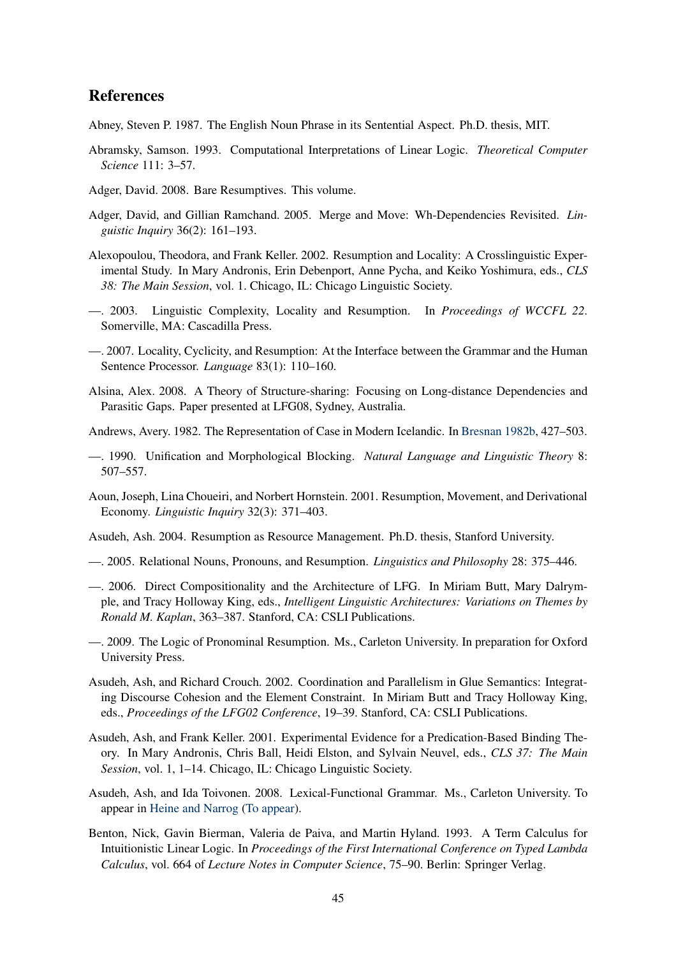## **References**

- <span id="page-46-8"></span>Abney, Steven P. 1987. The English Noun Phrase in its Sentential Aspect. Ph.D. thesis, MIT.
- <span id="page-46-15"></span>Abramsky, Samson. 1993. Computational Interpretations of Linear Logic. *Theoretical Computer Science* 111: 3–57.
- <span id="page-46-2"></span>Adger, David. 2008. Bare Resumptives. This volume.
- <span id="page-46-3"></span>Adger, David, and Gillian Ramchand. 2005. Merge and Move: Wh-Dependencies Revisited. *Linguistic Inquiry* 36(2): 161–193.
- <span id="page-46-4"></span>Alexopoulou, Theodora, and Frank Keller. 2002. Resumption and Locality: A Crosslinguistic Experimental Study. In Mary Andronis, Erin Debenport, Anne Pycha, and Keiko Yoshimura, eds., *CLS 38: The Main Session*, vol. 1. Chicago, IL: Chicago Linguistic Society.
- <span id="page-46-5"></span>—. 2003. Linguistic Complexity, Locality and Resumption. In *Proceedings of WCCFL 22*. Somerville, MA: Cascadilla Press.
- <span id="page-46-6"></span>—. 2007. Locality, Cyclicity, and Resumption: At the Interface between the Grammar and the Human Sentence Processor. *Language* 83(1): 110–160.
- <span id="page-46-12"></span>Alsina, Alex. 2008. A Theory of Structure-sharing: Focusing on Long-distance Dependencies and Parasitic Gaps. Paper presented at LFG08, Sydney, Australia.
- <span id="page-46-17"></span>Andrews, Avery. 1982. The Representation of Case in Modern Icelandic. In [Bresnan 1982b](#page-47-21), 427–503.
- <span id="page-46-11"></span>—. 1990. Unification and Morphological Blocking. *Natural Language and Linguistic Theory* 8: 507–557.
- <span id="page-46-18"></span>Aoun, Joseph, Lina Choueiri, and Norbert Hornstein. 2001. Resumption, Movement, and Derivational Economy. *Linguistic Inquiry* 32(3): 371–403.
- <span id="page-46-0"></span>Asudeh, Ash. 2004. Resumption as Resource Management. Ph.D. thesis, Stanford University.
- <span id="page-46-14"></span>—. 2005. Relational Nouns, Pronouns, and Resumption. *Linguistics and Philosophy* 28: 375–446.
- <span id="page-46-9"></span>—. 2006. Direct Compositionality and the Architecture of LFG. In Miriam Butt, Mary Dalrymple, and Tracy Holloway King, eds., *Intelligent Linguistic Architectures: Variations on Themes by Ronald M. Kaplan*, 363–387. Stanford, CA: CSLI Publications.
- <span id="page-46-1"></span>—. 2009. The Logic of Pronominal Resumption. Ms., Carleton University. In preparation for Oxford University Press.
- <span id="page-46-7"></span>Asudeh, Ash, and Richard Crouch. 2002. Coordination and Parallelism in Glue Semantics: Integrating Discourse Cohesion and the Element Constraint. In Miriam Butt and Tracy Holloway King, eds., *Proceedings of the LFG02 Conference*, 19–39. Stanford, CA: CSLI Publications.
- <span id="page-46-13"></span>Asudeh, Ash, and Frank Keller. 2001. Experimental Evidence for a Predication-Based Binding Theory. In Mary Andronis, Chris Ball, Heidi Elston, and Sylvain Neuvel, eds., *CLS 37: The Main Session*, vol. 1, 1–14. Chicago, IL: Chicago Linguistic Society.
- <span id="page-46-10"></span>Asudeh, Ash, and Ida Toivonen. 2008. Lexical-Functional Grammar. Ms., Carleton University. To appear in [Heine and Narrog](#page-49-16) [\(To appear](#page-49-16)).
- <span id="page-46-16"></span>Benton, Nick, Gavin Bierman, Valeria de Paiva, and Martin Hyland. 1993. A Term Calculus for Intuitionistic Linear Logic. In *Proceedings of the First International Conference on Typed Lambda Calculus*, vol. 664 of *Lecture Notes in Computer Science*, 75–90. Berlin: Springer Verlag.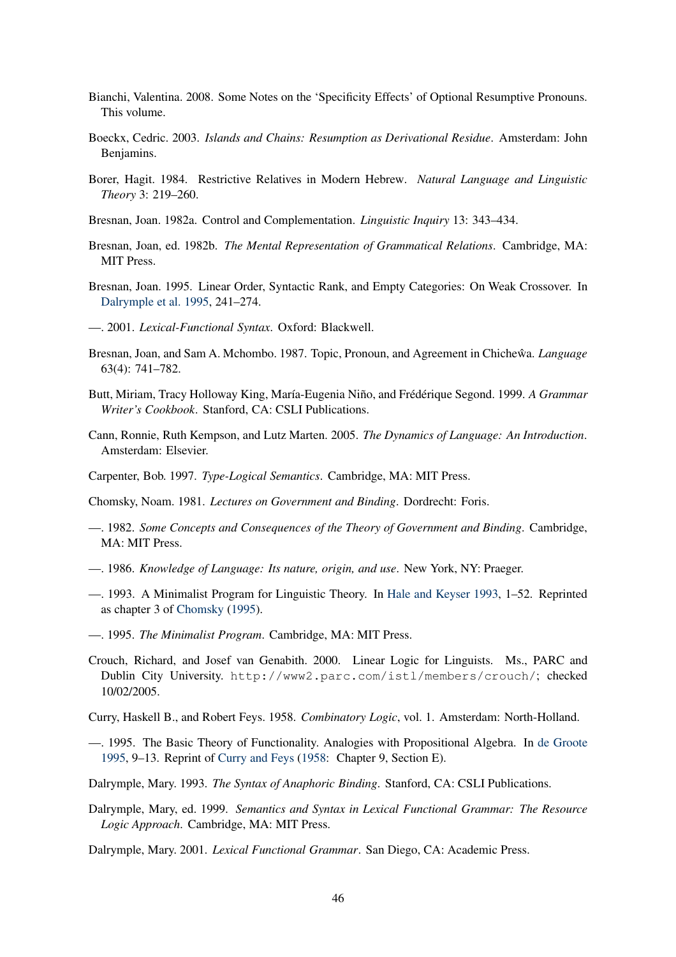- <span id="page-47-3"></span>Bianchi, Valentina. 2008. Some Notes on the 'Specificity Effects' of Optional Resumptive Pronouns. This volume.
- <span id="page-47-6"></span>Boeckx, Cedric. 2003. *Islands and Chains: Resumption as Derivational Residue*. Amsterdam: John Benjamins.
- <span id="page-47-2"></span>Borer, Hagit. 1984. Restrictive Relatives in Modern Hebrew. *Natural Language and Linguistic Theory* 3: 219–260.
- <span id="page-47-12"></span>Bresnan, Joan. 1982a. Control and Complementation. *Linguistic Inquiry* 13: 343–434.
- <span id="page-47-21"></span>Bresnan, Joan, ed. 1982b. *The Mental Representation of Grammatical Relations*. Cambridge, MA: MIT Press.
- <span id="page-47-8"></span>Bresnan, Joan. 1995. Linear Order, Syntactic Rank, and Empty Categories: On Weak Crossover. In [Dalrymple et al. 1995,](#page-48-16) 241–274.
- <span id="page-47-7"></span>—. 2001. *Lexical-Functional Syntax*. Oxford: Blackwell.
- <span id="page-47-9"></span>Bresnan, Joan, and Sam A. Mchombo. 1987. Topic, Pronoun, and Agreement in Chiche ŵa. *Language* 63(4): 741–782.
- <span id="page-47-20"></span>Butt, Miriam, Tracy Holloway King, María-Eugenia Niño, and Frédérique Segond. 1999. *A Grammar Writer's Cookbook*. Stanford, CA: CSLI Publications.
- <span id="page-47-19"></span>Cann, Ronnie, Ruth Kempson, and Lutz Marten. 2005. *The Dynamics of Language: An Introduction*. Amsterdam: Elsevier.
- <span id="page-47-13"></span>Carpenter, Bob. 1997. *Type-Logical Semantics*. Cambridge, MA: MIT Press.
- <span id="page-47-4"></span>Chomsky, Noam. 1981. *Lectures on Government and Binding*. Dordrecht: Foris.
- <span id="page-47-17"></span>—. 1982. *Some Concepts and Consequences of the Theory of Government and Binding*. Cambridge, MA: MIT Press.
- <span id="page-47-18"></span>—. 1986. *Knowledge of Language: Its nature, origin, and use*. New York, NY: Praeger.
- <span id="page-47-11"></span>—. 1993. A Minimalist Program for Linguistic Theory. In [Hale and Keyser 1993](#page-49-17), 1–52. Reprinted as chapter 3 of [Chomsky](#page-47-5) [\(1995](#page-47-5)).
- <span id="page-47-5"></span>—. 1995. *The Minimalist Program*. Cambridge, MA: MIT Press.
- <span id="page-47-16"></span>Crouch, Richard, and Josef van Genabith. 2000. Linear Logic for Linguists. Ms., PARC and Dublin City University. http://www2.parc.com/istl/members/crouch/; checked 10/02/2005.

<span id="page-47-14"></span>Curry, Haskell B., and Robert Feys. 1958. *Combinatory Logic*, vol. 1. Amsterdam: North-Holland.

- <span id="page-47-15"></span>—. 1995. The Basic Theory of Functionality. Analogies with Propositional Algebra. In [de Groote](#page-48-17) [1995,](#page-48-17) 9–13. Reprint of [Curry and Feys](#page-47-14) [\(1958:](#page-47-14) Chapter 9, Section E).
- <span id="page-47-10"></span>Dalrymple, Mary. 1993. *The Syntax of Anaphoric Binding*. Stanford, CA: CSLI Publications.
- <span id="page-47-0"></span>Dalrymple, Mary, ed. 1999. *Semantics and Syntax in Lexical Functional Grammar: The Resource Logic Approach*. Cambridge, MA: MIT Press.
- <span id="page-47-1"></span>Dalrymple, Mary. 2001. *Lexical Functional Grammar*. San Diego, CA: Academic Press.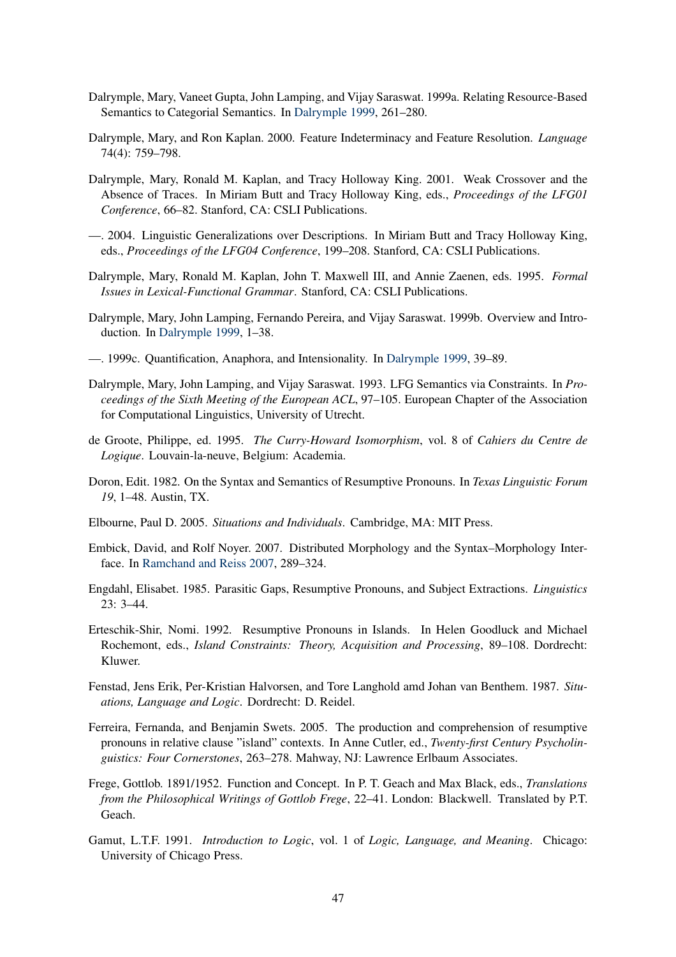- <span id="page-48-9"></span>Dalrymple, Mary, Vaneet Gupta, John Lamping, and Vijay Saraswat. 1999a. Relating Resource-Based Semantics to Categorial Semantics. In [Dalrymple 1999](#page-47-0), 261–280.
- <span id="page-48-8"></span>Dalrymple, Mary, and Ron Kaplan. 2000. Feature Indeterminacy and Feature Resolution. *Language* 74(4): 759–798.
- <span id="page-48-14"></span>Dalrymple, Mary, Ronald M. Kaplan, and Tracy Holloway King. 2001. Weak Crossover and the Absence of Traces. In Miriam Butt and Tracy Holloway King, eds., *Proceedings of the LFG01 Conference*, 66–82. Stanford, CA: CSLI Publications.
- <span id="page-48-6"></span>—. 2004. Linguistic Generalizations over Descriptions. In Miriam Butt and Tracy Holloway King, eds., *Proceedings of the LFG04 Conference*, 199–208. Stanford, CA: CSLI Publications.
- <span id="page-48-16"></span>Dalrymple, Mary, Ronald M. Kaplan, John T. Maxwell III, and Annie Zaenen, eds. 1995. *Formal Issues in Lexical-Functional Grammar*. Stanford, CA: CSLI Publications.
- <span id="page-48-10"></span>Dalrymple, Mary, John Lamping, Fernando Pereira, and Vijay Saraswat. 1999b. Overview and Introduction. In [Dalrymple 1999](#page-47-0), 1–38.
- <span id="page-48-11"></span>—. 1999c. Quantification, Anaphora, and Intensionality. In [Dalrymple 1999](#page-47-0), 39–89.
- <span id="page-48-0"></span>Dalrymple, Mary, John Lamping, and Vijay Saraswat. 1993. LFG Semantics via Constraints. In *Proceedings of the Sixth Meeting of the European ACL*, 97–105. European Chapter of the Association for Computational Linguistics, University of Utrecht.
- <span id="page-48-17"></span>de Groote, Philippe, ed. 1995. *The Curry-Howard Isomorphism*, vol. 8 of *Cahiers du Centre de Logique*. Louvain-la-neuve, Belgium: Academia.
- <span id="page-48-15"></span>Doron, Edit. 1982. On the Syntax and Semantics of Resumptive Pronouns. In *Texas Linguistic Forum 19*, 1–48. Austin, TX.
- <span id="page-48-4"></span>Elbourne, Paul D. 2005. *Situations and Individuals*. Cambridge, MA: MIT Press.
- <span id="page-48-1"></span>Embick, David, and Rolf Noyer. 2007. Distributed Morphology and the Syntax–Morphology Interface. In [Ramchand and Reiss 2007](#page-51-17), 289–324.
- <span id="page-48-5"></span>Engdahl, Elisabet. 1985. Parasitic Gaps, Resumptive Pronouns, and Subject Extractions. *Linguistics* 23: 3–44.
- <span id="page-48-3"></span>Erteschik-Shir, Nomi. 1992. Resumptive Pronouns in Islands. In Helen Goodluck and Michael Rochemont, eds., *Island Constraints: Theory, Acquisition and Processing*, 89–108. Dordrecht: Kluwer.
- <span id="page-48-7"></span>Fenstad, Jens Erik, Per-Kristian Halvorsen, and Tore Langhold amd Johan van Benthem. 1987. *Situations, Language and Logic*. Dordrecht: D. Reidel.
- <span id="page-48-2"></span>Ferreira, Fernanda, and Benjamin Swets. 2005. The production and comprehension of resumptive pronouns in relative clause "island" contexts. In Anne Cutler, ed., *Twenty-first Century Psycholinguistics: Four Cornerstones*, 263–278. Mahway, NJ: Lawrence Erlbaum Associates.
- <span id="page-48-12"></span>Frege, Gottlob. 1891/1952. Function and Concept. In P. T. Geach and Max Black, eds., *Translations from the Philosophical Writings of Gottlob Frege*, 22–41. London: Blackwell. Translated by P.T. Geach.
- <span id="page-48-13"></span>Gamut, L.T.F. 1991. *Introduction to Logic*, vol. 1 of *Logic, Language, and Meaning*. Chicago: University of Chicago Press.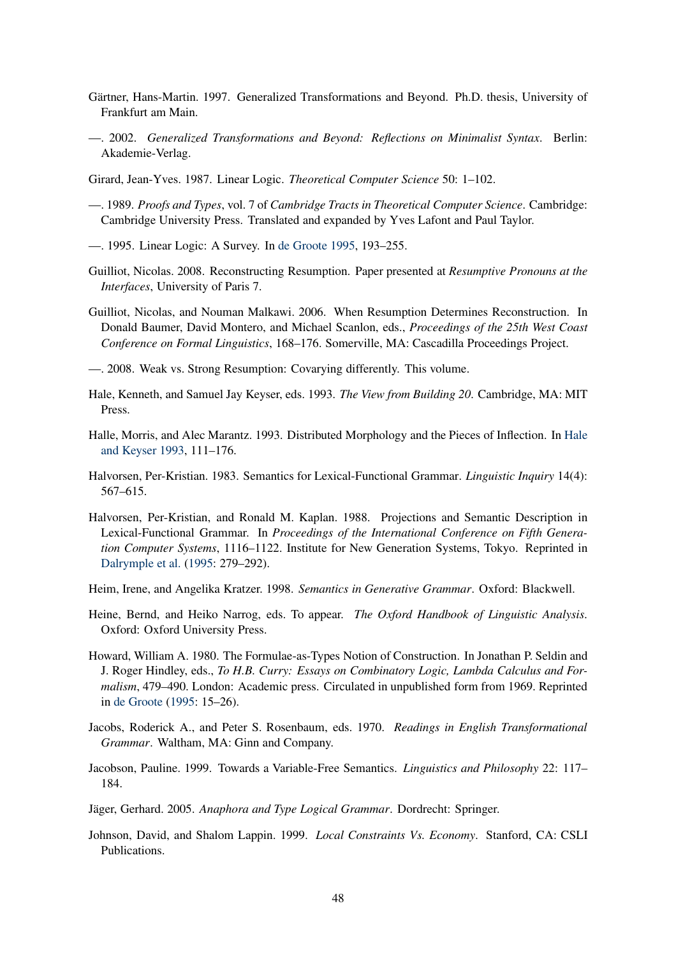- <span id="page-49-8"></span>Gärtner, Hans-Martin. 1997. Generalized Transformations and Beyond. Ph.D. thesis, University of Frankfurt am Main.
- <span id="page-49-9"></span>—. 2002. *Generalized Transformations and Beyond: Reflections on Minimalist Syntax*. Berlin: Akademie-Verlag.
- <span id="page-49-0"></span>Girard, Jean-Yves. 1987. Linear Logic. *Theoretical Computer Science* 50: 1–102.
- <span id="page-49-13"></span>—. 1989. *Proofs and Types*, vol. 7 of *Cambridge Tracts in Theoretical Computer Science*. Cambridge: Cambridge University Press. Translated and expanded by Yves Lafont and Paul Taylor.
- <span id="page-49-14"></span>—. 1995. Linear Logic: A Survey. In [de Groote 1995](#page-48-17), 193–255.
- <span id="page-49-4"></span>Guilliot, Nicolas. 2008. Reconstructing Resumption. Paper presented at *Resumptive Pronouns at the Interfaces*, University of Paris 7.
- <span id="page-49-2"></span>Guilliot, Nicolas, and Nouman Malkawi. 2006. When Resumption Determines Reconstruction. In Donald Baumer, David Montero, and Michael Scanlon, eds., *Proceedings of the 25th West Coast Conference on Formal Linguistics*, 168–176. Somerville, MA: Cascadilla Proceedings Project.
- <span id="page-49-3"></span>—. 2008. Weak vs. Strong Resumption: Covarying differently. This volume.
- <span id="page-49-17"></span>Hale, Kenneth, and Samuel Jay Keyser, eds. 1993. *The View from Building 20*. Cambridge, MA: MIT Press.
- <span id="page-49-1"></span>Halle, Morris[, and Alec Marantz. 1993. Distributed Morphology and the Pieces of Inflection. In](#page-49-17) Hale and Keyser [1993](#page-49-17), 111–176.
- <span id="page-49-6"></span>Halvorsen, Per-Kristian. 1983. Semantics for Lexical-Functional Grammar. *Linguistic Inquiry* 14(4): 567–615.
- <span id="page-49-5"></span>Halvorsen, Per-Kristian, and Ronald M. Kaplan. 1988. Projections and Semantic Description in Lexical-Functional Grammar. In *Proceedings of the International Conference on Fifth Generation Computer Systems*, 1116–1122. Institute for New Generation Systems, Tokyo. Reprinted in [Dalrymple et al.](#page-48-16) [\(1995](#page-48-16): 279–292).
- <span id="page-49-7"></span>Heim, Irene, and Angelika Kratzer. 1998. *Semantics in Generative Grammar*. Oxford: Blackwell.
- <span id="page-49-16"></span>Heine, Bernd, and Heiko Narrog, eds. To appear. *The Oxford Handbook of Linguistic Analysis*. Oxford: Oxford University Press.
- <span id="page-49-12"></span>Howard, William A. 1980. The Formulae-as-Types Notion of Construction. In Jonathan P. Seldin and J. Roger Hindley, eds., *To H.B. Curry: Essays on Combinatory Logic, Lambda Calculus and Formalism*, 479–490. London: Academic press. Circulated in unpublished form from 1969. Reprinted in [de Groote](#page-48-17) [\(1995](#page-48-17): 15–26).
- <span id="page-49-18"></span>Jacobs, Roderick A., and Peter S. Rosenbaum, eds. 1970. *Readings in English Transformational Grammar*. Waltham, MA: Ginn and Company.
- <span id="page-49-11"></span>Jacobson, Pauline. 1999. Towards a Variable-Free Semantics. *Linguistics and Philosophy* 22: 117– 184.
- <span id="page-49-10"></span>Jäger, Gerhard. 2005. *Anaphora and Type Logical Grammar*. Dordrecht: Springer.
- <span id="page-49-15"></span>Johnson, David, and Shalom Lappin. 1999. *Local Constraints Vs. Economy*. Stanford, CA: CSLI Publications.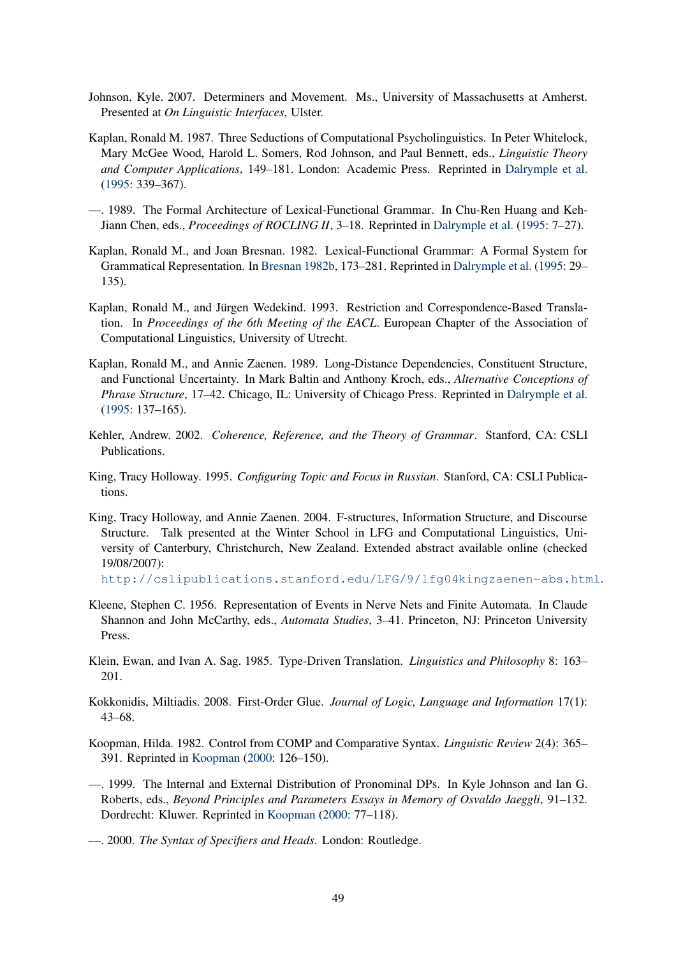- <span id="page-50-11"></span>Johnson, Kyle. 2007. Determiners and Movement. Ms., University of Massachusetts at Amherst. Presented at *On Linguistic Interfaces*, Ulster.
- <span id="page-50-5"></span>Kaplan, Ronald M. 1987. Three Seductions of Computational Psycholinguistics. In Peter Whitelock, Mary McGee Wood, Harold L. Somers, Rod Johnson, and Paul Bennett, eds., *Linguistic Theory and Computer Applications*, 149–181. London: Academic Press. Reprinted in [Dalrymple et al.](#page-48-16) [\(1995](#page-48-16): 339–367).
- <span id="page-50-6"></span>—. 1989. The Formal Architecture of Lexical-Functional Grammar. In Chu-Ren Huang and Keh-Jiann Chen, eds., *Proceedings of ROCLING II*, 3–18. Reprinted in [Dalrymple et al.](#page-48-16) [\(1995](#page-48-16): 7–27).
- <span id="page-50-4"></span>Kaplan, Ronald M., and Joan Bresnan. 1982. Lexical-Functional Grammar: A Formal System for Grammatical Representation. In [Bresnan 1982b,](#page-47-21) 173–281. Reprinted in [Dalrymple et al.](#page-48-16) [\(1995:](#page-48-16) 29– 135).
- <span id="page-50-3"></span>Kaplan, Ronald M., and Jürgen Wedekind. 1993. Restriction and Correspondence-Based Translation. In *Proceedings of the 6th Meeting of the EACL*. European Chapter of the Association of Computational Linguistics, University of Utrecht.
- <span id="page-50-7"></span>Kaplan, Ronald M., and Annie Zaenen. 1989. Long-Distance Dependencies, Constituent Structure, and Functional Uncertainty. In Mark Baltin and Anthony Kroch, eds., *Alternative Conceptions of Phrase Structure*, 17–42. Chicago, IL: University of Chicago Press. Reprinted in [Dalrymple et al.](#page-48-16) [\(1995](#page-48-16): 137–165).
- <span id="page-50-1"></span>Kehler, Andrew. 2002. *Coherence, Reference, and the Theory of Grammar*. Stanford, CA: CSLI Publications.
- <span id="page-50-8"></span>King, Tracy Holloway. 1995. *Configuring Topic and Focus in Russian*. Stanford, CA: CSLI Publications.
- <span id="page-50-9"></span>King, Tracy Holloway, and Annie Zaenen. 2004. F-structures, Information Structure, and Discourse Structure. Talk presented at the Winter School in LFG and Computational Linguistics, University of Canterbury, Christchurch, New Zealand. Extended abstract available online (checked 19/08/2007):

<http://cslipublications.stanford.edu/LFG/9/lfg04kingzaenen-abs.html>.

- <span id="page-50-10"></span>Kleene, Stephen C. 1956. Representation of Events in Nerve Nets and Finite Automata. In Claude Shannon and John McCarthy, eds., *Automata Studies*, 3–41. Princeton, NJ: Princeton University Press.
- <span id="page-50-13"></span>Klein, Ewan, and Ivan A. Sag. 1985. Type-Driven Translation. *Linguistics and Philosophy* 8: 163– 201.
- <span id="page-50-12"></span>Kokkonidis, Miltiadis. 2008. First-Order Glue. *Journal of Logic, Language and Information* 17(1): 43–68.
- <span id="page-50-0"></span>Koopman, Hilda. 1982. Control from COMP and Comparative Syntax. *Linguistic Review* 2(4): 365– 391. Reprinted in [Koopman](#page-50-14) [\(2000](#page-50-14): 126–150).
- <span id="page-50-2"></span>—. 1999. The Internal and External Distribution of Pronominal DPs. In Kyle Johnson and Ian G. Roberts, eds., *Beyond Principles and Parameters Essays in Memory of Osvaldo Jaeggli*, 91–132. Dordrecht: Kluwer. Reprinted in [Koopman](#page-50-14) [\(2000:](#page-50-14) 77–118).
- <span id="page-50-14"></span>—. 2000. *The Syntax of Specifiers and Heads*. London: Routledge.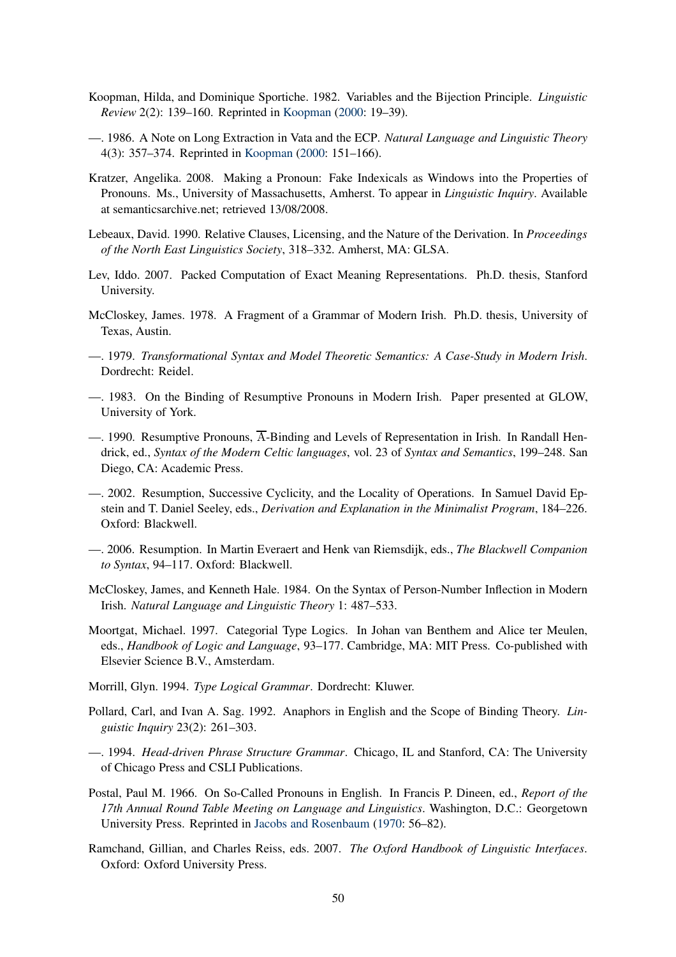- <span id="page-51-5"></span>Koopman, Hilda, and Dominique Sportiche. 1982. Variables and the Bijection Principle. *Linguistic Review* 2(2): 139–160. Reprinted in [Koopman](#page-50-14) [\(2000:](#page-50-14) 19–39).
- <span id="page-51-6"></span>—. 1986. A Note on Long Extraction in Vata and the ECP. *Natural Language and Linguistic Theory* 4(3): 357–374. Reprinted in [Koopman](#page-50-14) [\(2000:](#page-50-14) 151–166).
- <span id="page-51-10"></span>Kratzer, Angelika. 2008. Making a Pronoun: Fake Indexicals as Windows into the Properties of Pronouns. Ms., University of Massachusetts, Amherst. To appear in *Linguistic Inquiry*. Available at semanticsarchive.net; retrieved 13/08/2008.
- <span id="page-51-11"></span>Lebeaux, David. 1990. Relative Clauses, Licensing, and the Nature of the Derivation. In *Proceedings of the North East Linguistics Society*, 318–332. Amherst, MA: GLSA.
- <span id="page-51-13"></span>Lev, Iddo. 2007. Packed Computation of Exact Meaning Representations. Ph.D. thesis, Stanford University.
- <span id="page-51-16"></span>McCloskey, James. 1978. A Fragment of a Grammar of Modern Irish. Ph.D. thesis, University of Texas, Austin.
- <span id="page-51-2"></span>—. 1979. *Transformational Syntax and Model Theoretic Semantics: A Case-Study in Modern Irish*. Dordrecht: Reidel.
- <span id="page-51-4"></span>—. 1983. On the Binding of Resumptive Pronouns in Modern Irish. Paper presented at GLOW, University of York.
- <span id="page-51-3"></span>—. 1990. Resumptive Pronouns,  $\overline{A}$ -Binding and Levels of Representation in Irish. In Randall Hendrick, ed., *Syntax of the Modern Celtic languages*, vol. 23 of *Syntax and Semantics*, 199–248. San Diego, CA: Academic Press.
- <span id="page-51-0"></span>—. 2002. Resumption, Successive Cyclicity, and the Locality of Operations. In Samuel David Epstein and T. Daniel Seeley, eds., *Derivation and Explanation in the Minimalist Program*, 184–226. Oxford: Blackwell.
- <span id="page-51-1"></span>—. 2006. Resumption. In Martin Everaert and Henk van Riemsdijk, eds., *The Blackwell Companion to Syntax*, 94–117. Oxford: Blackwell.
- <span id="page-51-9"></span>McCloskey, James, and Kenneth Hale. 1984. On the Syntax of Person-Number Inflection in Modern Irish. *Natural Language and Linguistic Theory* 1: 487–533.
- <span id="page-51-15"></span>Moortgat, Michael. 1997. Categorial Type Logics. In Johan van Benthem and Alice ter Meulen, eds., *Handbook of Logic and Language*, 93–177. Cambridge, MA: MIT Press. Co-published with Elsevier Science B.V., Amsterdam.
- <span id="page-51-14"></span>Morrill, Glyn. 1994. *Type Logical Grammar*. Dordrecht: Kluwer.
- <span id="page-51-12"></span>Pollard, Carl, and Ivan A. Sag. 1992. Anaphors in English and the Scope of Binding Theory. *Linguistic Inquiry* 23(2): 261–303.
- <span id="page-51-8"></span>—. 1994. *Head-driven Phrase Structure Grammar*. Chicago, IL and Stanford, CA: The University of Chicago Press and CSLI Publications.
- <span id="page-51-7"></span>Postal, Paul M. 1966. On So-Called Pronouns in English. In Francis P. Dineen, ed., *Report of the 17th Annual Round Table Meeting on Language and Linguistics*. Washington, D.C.: Georgetown University Press. Reprinted in [Jacobs and Rosenbaum](#page-49-18) [\(1970:](#page-49-18) 56–82).
- <span id="page-51-17"></span>Ramchand, Gillian, and Charles Reiss, eds. 2007. *The Oxford Handbook of Linguistic Interfaces*. Oxford: Oxford University Press.